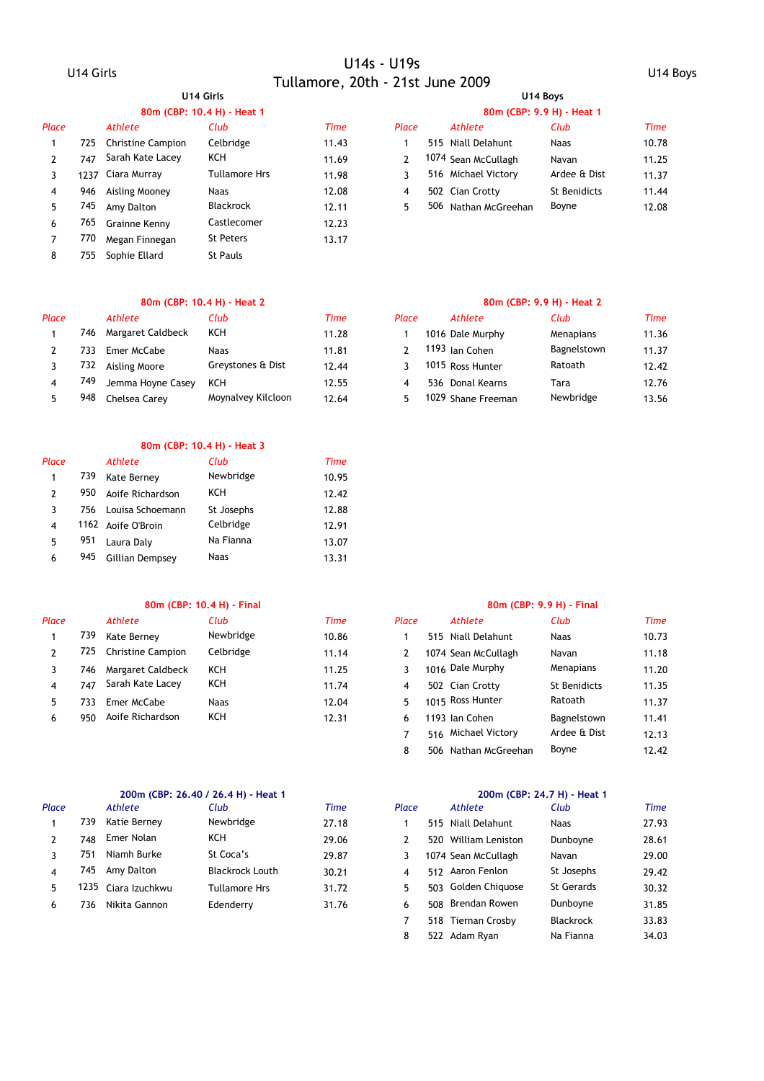### **80m (CBP: 10.4 H) - Heat 1 80m (CBP: 9.9 H) - Heat 1**

|     | Athlete          | Club                                                        | <b>Time</b> | Place | Athlete | Club                                                                                                           | Time  |
|-----|------------------|-------------------------------------------------------------|-------------|-------|---------|----------------------------------------------------------------------------------------------------------------|-------|
|     |                  | Celbridge                                                   | 11.43       |       |         | <b>Naas</b>                                                                                                    | 10.78 |
| 747 | Sarah Kate Lacey | KCH                                                         | 11.69       |       |         | Navan                                                                                                          | 11.25 |
|     |                  | <b>Tullamore Hrs</b>                                        | 11.98       |       |         | Ardee & Dist                                                                                                   | 11.37 |
| 946 | Aisling Mooney   | <b>Naas</b>                                                 | 12.08       | 4     |         | <b>St Benidicts</b>                                                                                            | 11.44 |
| 745 | Amy Dalton       | <b>Blackrock</b>                                            | 12.11       | 5     |         | Boyne                                                                                                          | 12.08 |
| 765 |                  | Castlecomer                                                 | 12.23       |       |         |                                                                                                                |       |
| 770 | Megan Finnegan   | <b>St Peters</b>                                            | 13.17       |       |         |                                                                                                                |       |
| 755 | Sophie Ellard    | <b>St Pauls</b>                                             |             |       |         |                                                                                                                |       |
|     |                  | 725 Christine Campion<br>1237 Ciara Murray<br>Grainne Kenny |             |       |         | 515 Niall Delahunt<br>1074 Sean McCullagh<br>516 Michael Victory<br>502 Cian Crotty<br>506<br>Nathan McGreehan |       |

### **80m (CBP: 10.4 H) - Heat 2 80m (CBP: 9.9 H) - Heat 2**

| Place |     | Athlete           | Club               | Time  | Place |     | Athlete            | Club        | Time  |
|-------|-----|-------------------|--------------------|-------|-------|-----|--------------------|-------------|-------|
|       | 746 | Margaret Caldbeck | KCH                | 11.28 |       |     | 1016 Dale Murphy   | Menapians   | 11.36 |
|       |     | Emer McCabe       | <b>Naas</b>        | 11.81 |       |     | 1193 Ian Cohen     | Bagnelstown | 11.37 |
|       | 732 | Aisling Moore     | Greystones & Dist  | 12.44 |       |     | 1015 Ross Hunter   | Ratoath     | 12.42 |
|       | 749 | Jemma Hoyne Casey | KCH                | 12.55 |       | 536 | Donal Kearns       | Tara        | 12.76 |
|       | 948 | Chelsea Carey     | Moynalvey Kilcloon | 12.64 |       |     | 1029 Shane Freeman | Newbridge   | 13.56 |

### **80m (CBP: 10.4 H) - Heat 3**

| Place                    |     | <b>Athlete</b>     | Club        | Time  |
|--------------------------|-----|--------------------|-------------|-------|
| 1                        | 739 | Kate Berney        | Newbridge   | 10.95 |
| $\mathcal{P}$            | 950 | Aoife Richardson   | KCH         | 12.42 |
| 3                        | 756 | Louisa Schoemann   | St Josephs  | 12.88 |
| $\overline{\mathcal{A}}$ |     | 1162 Aoife O'Broin | Celbridge   | 12.91 |
| 5                        | 951 | Laura Daly         | Na Fianna   | 13.07 |
| 6                        | 945 | Gillian Dempsey    | <b>Naas</b> | 13.31 |
|                          |     |                    |             |       |

### **80m (CBP: 10.4 H) - Final 80m (CBP: 9.9 H) - Final**

| Place |      | Athlete                  | Club      | <b>Time</b> | Place |     | <b>Athlete</b>      | Club         | Time  |
|-------|------|--------------------------|-----------|-------------|-------|-----|---------------------|--------------|-------|
|       | 739  | Kate Bernev              | Newbridge | 10.86       |       | 515 | Niall Delahunt      | Naas         | 10.73 |
|       | 725. | <b>Christine Campion</b> | Celbridge | 11.14       |       |     | 1074 Sean McCullagh | Navan        | 11.18 |
|       | 746. | Margaret Caldbeck        | KCH       | 11.25       |       |     | 1016 Dale Murphy    | Menapians    | 11.20 |
|       | 747  | Sarah Kate Lacey         | KCH       | 11.74       | 4     |     | 502 Cian Crotty     | St Benidicts | 11.35 |
|       | 33   | Emer McCabe              | Naas      | 12.04       | ь,    |     | 1015 Ross Hunter    | Ratoath      | 11.37 |
|       | 950  | Aoife Richardson         | KCH       | 12.31       | 6     |     | 1193 Ian Cohen      | Bagnelstown  | 11.41 |

| 27.93 |
|-------|
|       |
| 28.61 |
| 29.00 |
| 29.42 |
| 30.32 |
| 31.85 |
|       |

### **U14 Girls U14 Boys**

| Club             | Time  | Place | Athlete              | Club         | Time  |
|------------------|-------|-------|----------------------|--------------|-------|
| Celbridge        | 11.43 |       | 515 Niall Delahunt   | <b>Naas</b>  | 10.78 |
| ксн              | 11.69 |       | 1074 Sean McCullagh  | Navan        | 11.25 |
| Tullamore Hrs    | 11.98 |       | 516 Michael Victory  | Ardee & Dist | 11.37 |
| <b>Naas</b>      | 12.08 | 4     | 502 Cian Crotty      | St Benidicts | 11.44 |
| <b>Blackrock</b> | 12.11 |       | 506 Nathan McGreehan | Boyne        | 12.08 |

| Club               | Time  | Place | Athlete            | Club        | <b>Time</b> |
|--------------------|-------|-------|--------------------|-------------|-------------|
| ксн                | 11.28 |       | 1016 Dale Murphy   | Menapians   | 11.36       |
| <b>Naas</b>        | 11.81 |       | 1193 Jan Cohen     | Bagnelstown | 11.37       |
| Greystones & Dist  | 12.44 |       | 1015 Ross Hunter   | Ratoath     | 12.42       |
| ксн                | 12.55 | 4     | 536 Donal Kearns   | Tara        | 12.76       |
| Moynalvey Kilcloon | 12.64 |       | 1029 Shane Freeman | Newbridge   | 13.56       |

| Club        | Time  | Place | Athlete              | Club                | Time  |
|-------------|-------|-------|----------------------|---------------------|-------|
| Newbridge   | 10.86 | 1     | 515 Niall Delahunt   | <b>Naas</b>         | 10.73 |
| Celbridge   | 11.14 | 2     | 1074 Sean McCullagh  | Navan               | 11.18 |
| KCH         | 11.25 | 3     | 1016 Dale Murphy     | Menapians           | 11.20 |
| KCH         | 11.74 | 4     | 502 Cian Crotty      | <b>St Benidicts</b> | 11.35 |
| <b>Naas</b> | 12.04 | 5.    | 1015 Ross Hunter     | Ratoath             | 11.37 |
| KCH         | 12.31 | 6     | 1193 Ian Cohen       | Bagnelstown         | 11.41 |
|             |       |       | 516 Michael Victory  | Ardee & Dist        | 12.13 |
|             |       | 8     | 506 Nathan McGreehan | Boyne               | 12.42 |
|             |       |       |                      |                     |       |

|              | 200m (CBP: 26.40 / 26.4 H) - Heat 1 |       |       |                      | 200m (CBP: 24.7 H) - Heat 1 |             |
|--------------|-------------------------------------|-------|-------|----------------------|-----------------------------|-------------|
| hlete        | Club                                | Time  | Place | Athlete              | Club                        | <b>Time</b> |
| tie Bernev   | Newbridge                           | 27.18 |       | 515 Niall Delahunt   | <b>Naas</b>                 | 27.93       |
| ier Nolan    | KCH                                 | 29.06 | 2     | 520 William Leniston | Dunboyne                    | 28.61       |
| amh Burke    | St Coca's                           | 29.87 | 3     | 1074 Sean McCullagh  | Navan                       | 29.00       |
| าv Dalton    | <b>Blackrock Louth</b>              | 30.21 | 4     | 512 Aaron Fenlon     | St Josephs                  | 29.42       |
| ara Izuchkwu | Tullamore Hrs                       | 31.72 | 5.    | 503 Golden Chiquose  | St Gerards                  | 30.32       |
| kita Gannon  | Edenderry                           | 31.76 | 6     | 508 Brendan Rowen    | Dunboyne                    | 31.85       |
|              |                                     |       |       | 518 Tiernan Crosby   | <b>Blackrock</b>            | 33.83       |
|              |                                     |       | 8     | 522 Adam Ryan        | Na Fianna                   | 34.03       |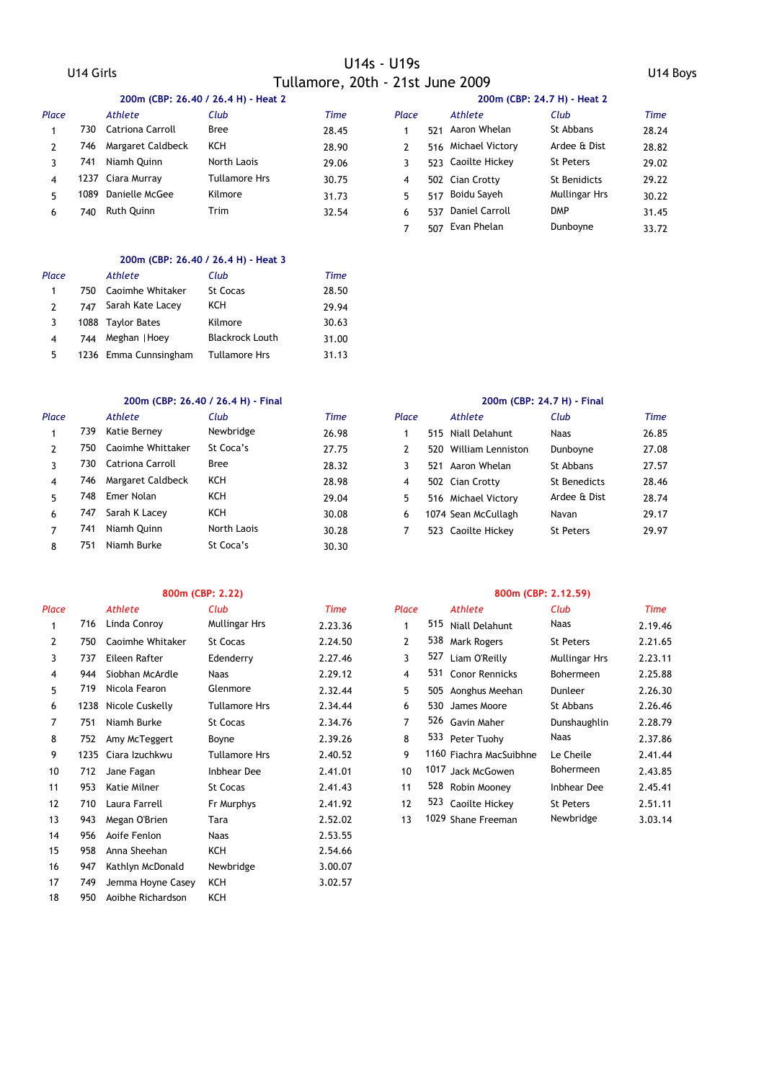|       | 200m (CBP: 26.40 / 26.4 H) - Heat 2 |                   |               |             |       | 200m (CBP: 24.7 H) - Heat 2 |                     |               |       |  |  |
|-------|-------------------------------------|-------------------|---------------|-------------|-------|-----------------------------|---------------------|---------------|-------|--|--|
| Place |                                     | Athlete           | Club          | <b>Time</b> | Place |                             | Athlete             | Club          | Time  |  |  |
|       | 730.                                | Catriona Carroll  | Bree          | 28.45       |       | 521                         | Aaron Whelan        | St Abbans     | 28.24 |  |  |
|       | 746.                                | Margaret Caldbeck | KCH           | 28.90       |       |                             | 516 Michael Victory | Ardee & Dist  | 28.82 |  |  |
|       | 741                                 | Niamh Ouinn       | North Laois   | 29.06       |       |                             | 523 Caoilte Hickey  | St Peters     | 29.02 |  |  |
| 4     |                                     | 1237 Ciara Murray | Tullamore Hrs | 30.75       | 4     |                             | 502 Cian Crotty     | St Benidicts  | 29.22 |  |  |
| 5.    | 1089                                | Danielle McGee    | Kilmore       | 31.73       | 5.    | 517                         | Boidu Sayeh         | Mullingar Hrs | 30.22 |  |  |
| 6     | 740                                 | Ruth Quinn        | Trim          | 32.54       | 6     | 537                         | Daniel Carroll      | <b>DMP</b>    | 31.45 |  |  |

### **200m (CBP: 26.40 / 26.4 H) - Heat 3**

| Place         |     | Athlete               | Club                   | Time  |
|---------------|-----|-----------------------|------------------------|-------|
| 1             | 750 | Caoimhe Whitaker      | St Cocas               | 28.50 |
| $\mathcal{P}$ |     | 747 Sarah Kate Lacey  | KCH                    | 29.94 |
| 3             |     | 1088 Taylor Bates     | Kilmore                | 30.63 |
| 4             | 744 | Meghan   Hoey         | <b>Blackrock Louth</b> | 31.00 |
| 5             |     | 1236 Emma Cunnsingham | <b>Tullamore Hrs</b>   | 31.13 |

### **200m (CBP: 26.40 / 26.4 H) - Final 200m (CBP: 24.7 H) - Final**

| Place |      | Athlete           | Club        | <b>Time</b> | Place |      | Athlete             | Club             | <b>Time</b> |
|-------|------|-------------------|-------------|-------------|-------|------|---------------------|------------------|-------------|
|       | 739  | Katie Berney      | Newbridge   | 26.98       |       |      | 515 Niall Delahunt  | <b>Naas</b>      | 26.85       |
| 2     | 750. | Caoimhe Whittaker | St Coca's   | 27.75       |       | 520. | William Lenniston   | Dunboyne         | 27.08       |
|       | 730. | Catriona Carroll  | Bree        | 28.32       |       | 521  | Aaron Whelan        | St Abbans        | 27.57       |
| 4     | 746  | Margaret Caldbeck | ксн         | 28.98       | 4     |      | 502 Cian Crotty     | St Benedicts     | 28.46       |
| 5     | 748  | Emer Nolan        | KCH         | 29.04       | 5.    |      | 516 Michael Victory | Ardee & Dist     | 28.74       |
| 6     | 747  | Sarah K Lacey     | KCH         | 30.08       | 6     |      | 1074 Sean McCullagh | Navan            | 29.17       |
| 7     | 741  | Niamh Ouinn       | North Laois | 30.28       |       |      | 523 Caoilte Hickey  | <b>St Peters</b> | 29.97       |
| 8     | 751  | Niamh Burke       | St Coca's   | 30.30       |       |      |                     |                  |             |

| Place |     | <b>Athlete</b>       | Club                 | <b>Time</b> | Place          |     | Athlete                 | Club                 | Time    |
|-------|-----|----------------------|----------------------|-------------|----------------|-----|-------------------------|----------------------|---------|
| 1     | 716 | Linda Conroy         | Mullingar Hrs        | 2.23.36     | 1              | 515 | Niall Delahunt          | Naas                 | 2.19.46 |
| 2     | 750 | Caoimhe Whitaker     | St Cocas             | 2.24.50     | $\overline{2}$ | 538 | Mark Rogers             | <b>St Peters</b>     | 2.21.65 |
| 3     | 737 | Eileen Rafter        | Edenderry            | 2.27.46     | 3              | 527 | Liam O'Reilly           | <b>Mullingar Hrs</b> | 2.23.11 |
| 4     | 944 | Siobhan McArdle      | <b>Naas</b>          | 2.29.12     | 4              | 531 | <b>Conor Rennicks</b>   | Bohermeen            | 2.25.88 |
| 5     | 719 | Nicola Fearon        | Glenmore             | 2.32.44     | 5              |     | 505 Aonghus Meehan      | <b>Dunleer</b>       | 2.26.30 |
| 6     |     | 1238 Nicole Cuskelly | <b>Tullamore Hrs</b> | 2.34.44     | 6              |     | 530 James Moore         | St Abbans            | 2.26.46 |
| 7     | 751 | Niamh Burke          | St Cocas             | 2.34.76     | 7              |     | 526 Gavin Maher         | Dunshaughlin         | 2.28.79 |
| 8     | 752 | Amy McTeggert        | Boyne                | 2.39.26     | 8              |     | 533 Peter Tuohy         | Naas                 | 2.37.86 |
| 9     |     | 1235 Ciara Izuchkwu  | <b>Tullamore Hrs</b> | 2.40.52     | 9              |     | 1160 Fiachra MacSuibhne | Le Cheile            | 2.41.44 |
| 10    | 712 | Jane Fagan           | <b>Inbhear Dee</b>   | 2.41.01     | 10             |     | 1017 Jack McGowen       | Bohermeen            | 2.43.85 |
| 11    | 953 | Katie Milner         | St Cocas             | 2.41.43     | 11             |     | 528 Robin Mooney        | <b>Inbhear Dee</b>   | 2.45.41 |
| 12    | 710 | Laura Farrell        | Fr Murphys           | 2.41.92     | 12             | 523 | Caoilte Hickey          | <b>St Peters</b>     | 2.51.11 |
| 13    | 943 | Megan O'Brien        | Tara                 | 2.52.02     | 13             |     | 1029 Shane Freeman      | Newbridge            | 3.03.14 |
| 14    | 956 | Aoife Fenlon         | Naas                 | 2.53.55     |                |     |                         |                      |         |
| 15    | 958 | Anna Sheehan         | KCH                  | 2.54.66     |                |     |                         |                      |         |
| 16    | 947 | Kathlyn McDonald     | Newbridge            | 3.00.07     |                |     |                         |                      |         |
| 17    | 749 | Jemma Hoyne Casey    | KCH                  | 3.02.57     |                |     |                         |                      |         |
| 18    | 950 | Aoibhe Richardson    | KCH                  |             |                |     |                         |                      |         |

7 507 33.72 Evan Phelan Dunboyne

| <b>lace</b> | <b>Athlete</b>        | Club                | Time  |
|-------------|-----------------------|---------------------|-------|
| 1           | 515 Niall Delahunt    | <b>Naas</b>         | 26.85 |
| 2           | 520 William Lenniston | Dunboyne            | 27.08 |
| 3           | 521 Aaron Whelan      | St Abbans           | 27.57 |
| 4           | 502 Cian Crotty       | <b>St Benedicts</b> | 28.46 |
| 5           | 516 Michael Victory   | Ardee & Dist        | 28.74 |
| 6           | 1074 Sean McCullagh   | Navan               | 29.17 |
| 7           | 523 Caoilte Hickey    | <b>St Peters</b>    | 29.97 |
|             |                       |                     |       |

### **800m (CBP: 2.22) 800m (CBP: 2.12.59)**

| Club            | Time    | Place |     | Athlete                 | Club                 | Time    |
|-----------------|---------|-------|-----|-------------------------|----------------------|---------|
| Mullingar Hrs   | 2.23.36 | 1     |     | 515 Niall Delahunt      | Naas                 | 2.19.46 |
| <b>St Cocas</b> | 2.24.50 | 2     | 538 | <b>Mark Rogers</b>      | <b>St Peters</b>     | 2.21.65 |
| Edenderry       | 2.27.46 | 3     | 527 | Liam O'Reilly           | <b>Mullingar Hrs</b> | 2.23.11 |
| <b>Naas</b>     | 2.29.12 | 4     |     | 531 Conor Rennicks      | <b>Bohermeen</b>     | 2.25.88 |
| Glenmore        | 2.32.44 | 5.    |     | 505 Aonghus Meehan      | Dunleer              | 2.26.30 |
| Tullamore Hrs   | 2.34.44 | 6     | 530 | James Moore             | St Abbans            | 2.26.46 |
| <b>St Cocas</b> | 2.34.76 | 7     |     | 526 Gavin Maher         | Dunshaughlin         | 2.28.79 |
| Boyne           | 2.39.26 | 8     |     | 533 Peter Tuohy         | Naas                 | 2.37.86 |
| Tullamore Hrs   | 2.40.52 | 9     |     | 1160 Fiachra MacSuibhne | Le Cheile            | 2.41.44 |
| Inbhear Dee     | 2.41.01 | 10    |     | 1017 Jack McGowen       | <b>Bohermeen</b>     | 2.43.85 |
| <b>St Cocas</b> | 2.41.43 | 11    |     | 528 Robin Mooney        | <b>Inbhear Dee</b>   | 2.45.41 |
| Fr Murphys      | 2.41.92 | 12    |     | 523 Caoilte Hickey      | <b>St Peters</b>     | 2.51.11 |
| Tara            | 2.52.02 | 13    |     | 1029 Shane Freeman      | Newbridge            | 3.03.14 |
|                 |         |       |     |                         |                      |         |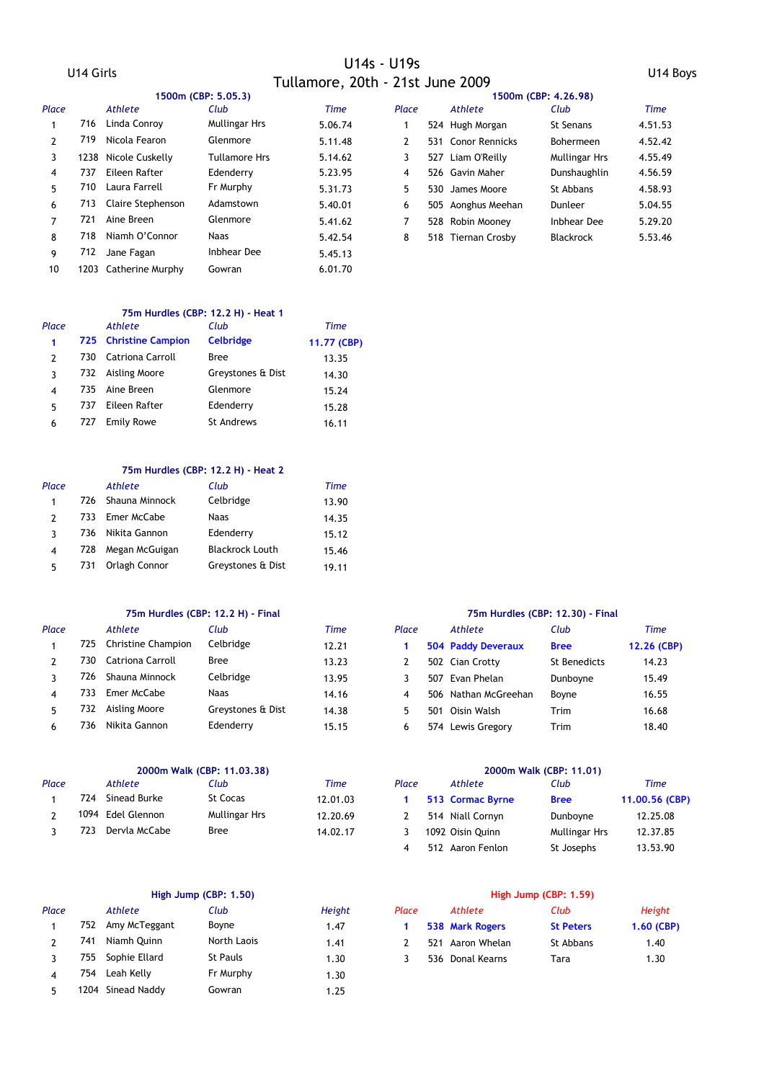|       |     |                       | 1500m (CBP: 5.05.3)  |             |       | 1500m (CBP: 4.26.98) |                      |         |  |
|-------|-----|-----------------------|----------------------|-------------|-------|----------------------|----------------------|---------|--|
| Place |     | Athlete               | Club                 | <b>Time</b> | Place | Athlete              | Club                 | Time    |  |
|       |     | 716 Linda Conroy      | <b>Mullingar Hrs</b> | 5.06.74     |       | 524 Hugh Morgan      | St Senans            | 4.51.53 |  |
| 2     | 719 | Nicola Fearon         | Glenmore             | 5.11.48     | 2     | 531 Conor Rennicks   | <b>Bohermeen</b>     | 4.52.42 |  |
| 3     |     | 1238 Nicole Cuskelly  | <b>Tullamore Hrs</b> | 5.14.62     | 3     | 527 Liam O'Reilly    | <b>Mullingar Hrs</b> | 4.55.49 |  |
| 4     | 737 | Eileen Rafter         | Edenderry            | 5.23.95     | 4     | 526 Gavin Maher      | Dunshaughlin         | 4.56.59 |  |
| 5.    | 710 | Laura Farrell         | Fr Murphy            | 5.31.73     | 5     | 530 James Moore      | St Abbans            | 4.58.93 |  |
| 6     |     | 713 Claire Stephenson | Adamstown            | 5.40.01     | 6     | 505 Aonghus Meehan   | Dunleer              | 5.04.55 |  |
| 7     | 721 | Aine Breen            | Glenmore             | 5.41.62     |       | 528 Robin Moonev     | Inbhear Dee          | 5.29.20 |  |
| 8     | 718 | Niamh O'Connor        | <b>Naas</b>          | 5.42.54     | 8     | 518 Tiernan Crosby   | <b>Blackrock</b>     | 5.53.46 |  |
| 9     | 712 | Jane Fagan            | <b>Inbhear Dee</b>   | 5.45.13     |       |                      |                      |         |  |
| 10    |     | 1203 Catherine Murphy | Gowran               | 6.01.70     |       |                      |                      |         |  |

### **75m Hurdles (CBP: 12.2 H) - Heat 1**

| Place |     | Athlete               | Club              | Time        |
|-------|-----|-----------------------|-------------------|-------------|
| 1     |     | 725 Christine Campion | <b>Celbridge</b>  | 11.77 (CBP) |
| 2     | 730 | Catriona Carroll      | <b>Bree</b>       | 13.35       |
| 3     |     | 732 Aisling Moore     | Greystones & Dist | 14.30       |
| 4     | 735 | Aine Breen            | Glenmore          | 15.24       |
| 5     | 737 | Eileen Rafter         | Edenderry         | 15.28       |
| 6     | 727 | <b>Emily Rowe</b>     | <b>St Andrews</b> | 16.11       |

### **75m Hurdles (CBP: 12.2 H) - Heat 2**

| Place |     | Athlete            | Club                   | Time  |
|-------|-----|--------------------|------------------------|-------|
| 1     |     | 726 Shauna Minnock | Celbridge              | 13.90 |
| 2     | 733 | Emer McCabe        | Naas                   | 14.35 |
| ٦     |     | 736 Nikita Gannon  | Edenderry              | 15.12 |
| 4     | 728 | Megan McGuigan     | <b>Blackrock Louth</b> | 15.46 |
| 5     | 731 | Orlagh Connor      | Greystones & Dist      | 19.11 |

### **75m Hurdles (CBP: 12.2 H) - Final 75m Hurdles (CBP: 12.30) - Final**

| Place |      | Athlete            | Club              | Time  | Place |      | Athlete              | Club         | Time        |
|-------|------|--------------------|-------------------|-------|-------|------|----------------------|--------------|-------------|
|       | 725. | Christine Champion | Celbridge         | 12.21 |       |      | 504 Paddy Deveraux   | <b>Bree</b>  | 12.26 (CBP) |
|       | 730  | Catriona Carroll   | Bree              | 13.23 |       |      | 502 Cian Crotty      | St Benedicts | 14.23       |
|       | 726. | Shauna Minnock     | Celbridge         | 13.95 |       | 507  | Evan Phelan          | Dunboyne     | 15.49       |
|       | 733  | Emer McCabe        | Naas              | 14.16 | 4     |      | 506 Nathan McGreehan | Bovne        | 16.55       |
|       | 732. | Aisling Moore      | Greystones & Dist | 14.38 |       | -50. | Oisin Walsh          | Trim         | 16.68       |
|       | 736  | Nikita Gannon      | Edenderry         | 15.15 |       |      | 574 Lewis Gregory    | Trim         | 18.40       |

| Place |     | Athlete           | :lub                 | Time     | Place | Athlete          | Club          | <b>Time</b>    |
|-------|-----|-------------------|----------------------|----------|-------|------------------|---------------|----------------|
|       | 724 | Sinead Burke      | St Cocas             | 12.01.03 |       | 513 Cormac Byrne | <b>Bree</b>   | 11.00.56 (CBP) |
|       |     | 1094 Edel Glennon | <b>Mullingar Hrs</b> | 12.20.69 |       | 514 Niall Cornyn | Dunboyne      | 12.25.08       |
|       | 723 | Dervla McCabe     | Bree                 | 14.02.17 |       | 1092 Oisin Ouinn | Mullingar Hrs | 12.37.85       |

| Place |      | Athlete           | Club            | Height | Place |     | Athlete         | Club             | <b>Height</b> |
|-------|------|-------------------|-----------------|--------|-------|-----|-----------------|------------------|---------------|
|       |      | 752 Amy McTeggant | Boyne           | 1.47   |       |     | 538 Mark Rogers | <b>St Peters</b> | $1,60$ (CBP)  |
|       | 741  | Niamh Ouinn       | North Laois     | 1.41   |       | 521 | Aaron Whelan    | St Abbans        | 1.40          |
|       | 755. | Sophie Ellard     | <b>St Pauls</b> | 1.30   |       | 536 | Donal Kearns    | Tara             | 1.30          |
|       | 754  | Leah Kelly        | Fr Murphy       | 1.30   |       |     |                 |                  |               |
|       |      | 1204 Sinead Naddy | Gowran          | 1.25   |       |     |                 |                  |               |

| : 12.2 H) - Final |       |       |                           | 75m Hurdles (CBP: 12.30) - Final |             |
|-------------------|-------|-------|---------------------------|----------------------------------|-------------|
| Club              | Time  | Place | Athlete                   | Club                             | Time        |
| Celbridge         | 12.21 |       | <b>504 Paddy Deveraux</b> | <b>Bree</b>                      | 12.26 (CBP) |
| Bree              | 13.23 |       | 502 Cian Crotty           | St Benedicts                     | 14.23       |
| Celbridge         | 13.95 | 3     | 507 Evan Phelan           | Dunboyne                         | 15.49       |
| <b>Naas</b>       | 14.16 | 4     | 506 Nathan McGreehan      | Boyne                            | 16.55       |
| Greystones & Dist | 14.38 | 5.    | 501 Oisin Walsh           | Trim                             | 16.68       |
| Edenderry         | 15.15 | 6     | 574 Lewis Gregory         | Trim                             | 18.40       |

# **2000m Walk (CBP: 11.03.38) 2000m Walk (CBP: 11.01)** 4 512 Aaron Fenlon St Josephs 13.53.90

### **High Jump (CBP: 1.50) High Jump (CBP: 1.59)**

| Place          | Athlete          | Club             | Height       |
|----------------|------------------|------------------|--------------|
| $\blacksquare$ | 538 Mark Rogers  | <b>St Peters</b> | $1,60$ (CBP) |
| $\mathcal{P}$  | 521 Aaron Whelan | St Abbans        | 1.40         |
| <sup>3</sup>   | 536 Donal Kearns | Tara             | 1.30         |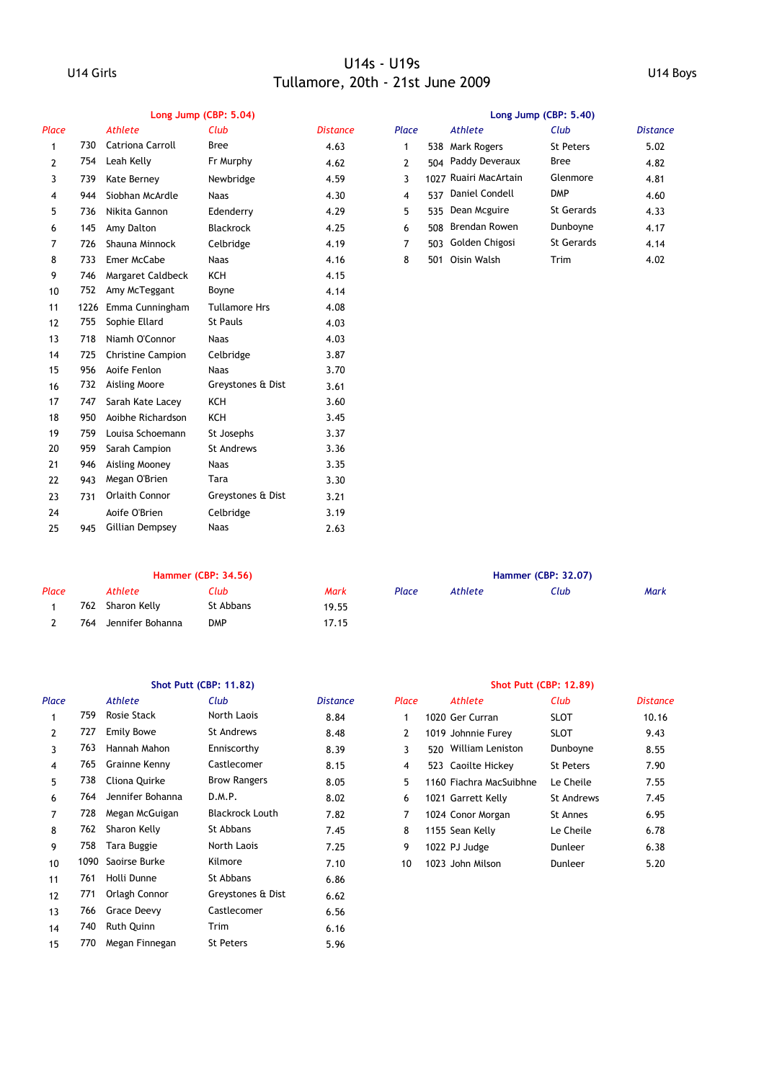|       | Long Jump (CBP: 5.04) |                          |                      |                 |       | Long Jump (CBP: 5.40) |                    |                   |                 |  |  |
|-------|-----------------------|--------------------------|----------------------|-----------------|-------|-----------------------|--------------------|-------------------|-----------------|--|--|
| Place |                       | <b>Athlete</b>           | Club                 | <b>Distance</b> | Place |                       | <b>Athlete</b>     | Club              | <b>Distance</b> |  |  |
| 1     | 730                   | <b>Catriona Carroll</b>  | <b>Bree</b>          | 4.63            | 1     | 538                   | <b>Mark Rogers</b> | <b>St Peters</b>  | 5.02            |  |  |
| 2     | 754                   | Leah Kelly               | Fr Murphy            | 4.62            | 2     | 504                   | Paddy Deveraux     | <b>Bree</b>       | 4.82            |  |  |
| 3     | 739                   | Kate Berney              | Newbridge            | 4.59            | 3     | 1027                  | Ruairi MacArtain   | Glenmore          | 4.81            |  |  |
| 4     | 944                   | Siobhan McArdle          | <b>Naas</b>          | 4.30            | 4     | 537                   | Daniel Condell     | <b>DMP</b>        | 4.60            |  |  |
| 5     | 736                   | Nikita Gannon            | Edenderry            | 4.29            | 5.    | 535                   | Dean Mcguire       | <b>St Gerards</b> | 4.33            |  |  |
| 6     | 145                   | Amy Dalton               | <b>Blackrock</b>     | 4.25            | 6     | 508                   | Brendan Rowen      | Dunboyne          | 4.17            |  |  |
| 7     | 726                   | Shauna Minnock           | Celbridge            | 4.19            | 7     | 503                   | Golden Chigosi     | <b>St Gerards</b> | 4.14            |  |  |
| 8     | 733                   | Emer McCabe              | <b>Naas</b>          | 4.16            | 8     | 501                   | Oisin Walsh        | Trim              | 4.02            |  |  |
| 9     | 746                   | Margaret Caldbeck        | <b>KCH</b>           | 4.15            |       |                       |                    |                   |                 |  |  |
| 10    | 752                   | Amy McTeggant            | Boyne                | 4.14            |       |                       |                    |                   |                 |  |  |
| 11    | 1226                  | Emma Cunningham          | <b>Tullamore Hrs</b> | 4.08            |       |                       |                    |                   |                 |  |  |
| 12    | 755                   | Sophie Ellard            | <b>St Pauls</b>      | 4.03            |       |                       |                    |                   |                 |  |  |
| 13    | 718                   | Niamh O'Connor           | <b>Naas</b>          | 4.03            |       |                       |                    |                   |                 |  |  |
| 14    | 725                   | <b>Christine Campion</b> | Celbridge            | 3.87            |       |                       |                    |                   |                 |  |  |
| 15    | 956                   | Aoife Fenlon             | <b>Naas</b>          | 3.70            |       |                       |                    |                   |                 |  |  |
| 16    | 732                   | Aisling Moore            | Greystones & Dist    | 3.61            |       |                       |                    |                   |                 |  |  |
| 17    | 747                   | Sarah Kate Lacey         | <b>KCH</b>           | 3.60            |       |                       |                    |                   |                 |  |  |
| 18    | 950                   | Aoibhe Richardson        | <b>KCH</b>           | 3.45            |       |                       |                    |                   |                 |  |  |
| 19    | 759                   | Louisa Schoemann         | St Josephs           | 3.37            |       |                       |                    |                   |                 |  |  |
| 20    | 959                   | Sarah Campion            | <b>St Andrews</b>    | 3.36            |       |                       |                    |                   |                 |  |  |
| 21    | 946                   | Aisling Mooney           | <b>Naas</b>          | 3.35            |       |                       |                    |                   |                 |  |  |
| 22    | 943                   | Megan O'Brien            | Tara                 | 3.30            |       |                       |                    |                   |                 |  |  |
| 23    | 731                   | <b>Orlaith Connor</b>    | Greystones & Dist    | 3.21            |       |                       |                    |                   |                 |  |  |
| 24    |                       | Aoife O'Brien            | Celbridge            | 3.19            |       |                       |                    |                   |                 |  |  |
| 25    | 945                   | <b>Gillian Dempsey</b>   | <b>Naas</b>          | 2.63            |       |                       |                    |                   |                 |  |  |

# 1 538 Mark Rogers St Peters 5.02

| <b>Naas</b>      | 4.30 |   |     | 537 Daniel Condell | <b>DMP</b>        | 4.60 |
|------------------|------|---|-----|--------------------|-------------------|------|
| Edenderry        | 4.29 |   |     | 535 Dean Mcguire   | <b>St Gerards</b> | 4.33 |
| <b>Blackrock</b> | 4.25 |   |     | 508 Brendan Rowen  | Dunboyne          | 4.17 |
| Celbridge        | 4.19 |   |     | 503 Golden Chigosi | <b>St Gerards</b> | 4.14 |
| <b>Naas</b>      | 4.16 | 8 | 501 | Oisin Walsh        | Trim              | 4.02 |
|                  |      |   |     |                    |                   |      |

### **Hammer (CBP: 34.56) Hammer (CBP: 32.07)**

| Place | Athlete              | Club       | <b>Mark</b> | Place | Athlete | Club | Mark |
|-------|----------------------|------------|-------------|-------|---------|------|------|
|       | 762 Sharon Kelly     | St Abbans  | 19.55       |       |         |      |      |
|       | 764 Jennifer Bohanna | <b>DMP</b> | 17.15       |       |         |      |      |

| Place |      | <b>Athlete</b>     | Club                   | <b>Distance</b> | Place |     | Athlete                 | Club              | <b>Distance</b> |
|-------|------|--------------------|------------------------|-----------------|-------|-----|-------------------------|-------------------|-----------------|
|       | 759  | <b>Rosie Stack</b> | North Laois            | 8.84            |       |     | 1020 Ger Curran         | <b>SLOT</b>       | 10.16           |
| 2     | 727  | <b>Emily Bowe</b>  | <b>St Andrews</b>      | 8.48            | 2     |     | 1019 Johnnie Furey      | SLOT              | 9.43            |
| 3     | 763  | Hannah Mahon       | Enniscorthy            | 8.39            | 3     | 520 | William Leniston        | Dunboyne          | 8.55            |
| 4     | 765  | Grainne Kenny      | Castlecomer            | 8.15            | 4     |     | 523 Caoilte Hickey      | <b>St Peters</b>  | 7.90            |
| 5     | 738  | Cliona Quirke      | <b>Brow Rangers</b>    | 8.05            | 5     |     | 1160 Fiachra MacSuibhne | Le Cheile         | 7.55            |
| 6     | 764  | Jennifer Bohanna   | D.M.P.                 | 8.02            | 6     |     | 1021 Garrett Kelly      | <b>St Andrews</b> | 7.45            |
| 7     | 728  | Megan McGuigan     | <b>Blackrock Louth</b> | 7.82            | 7     |     | 1024 Conor Morgan       | St Annes          | 6.95            |
| 8     | 762  | Sharon Kelly       | St Abbans              | 7.45            | 8     |     | 1155 Sean Kelly         | Le Cheile         | 6.78            |
| 9     | 758  | Tara Buggie        | North Laois            | 7.25            | 9     |     | 1022 PJ Judge           | Dunleer           | 6.38            |
| 10    | 1090 | Saoirse Burke      | Kilmore                | 7.10            | 10    |     | 1023 John Milson        | Dunleer           | 5.20            |
| 11    | 761  | Holli Dunne        | St Abbans              | 6.86            |       |     |                         |                   |                 |
| 12    | 771  | Orlagh Connor      | Greystones & Dist      | 6.62            |       |     |                         |                   |                 |
| 13    | 766  | Grace Deevy        | Castlecomer            | 6.56            |       |     |                         |                   |                 |
| 14    | 740  | <b>Ruth Quinn</b>  | Trim                   | 6.16            |       |     |                         |                   |                 |
| 15    | 770  | Megan Finnegan     | St Peters              | 5.96            |       |     |                         |                   |                 |
|       |      |                    |                        |                 |       |     |                         |                   |                 |

|       |         | <b>Hammer (CBP: 32.07)</b> |      |
|-------|---------|----------------------------|------|
| Place | Athlete | Club                       | Mark |

### **Shot Putt (CBP: 11.82) Shot Putt (CBP: 12.89)**

| Club                   | <b>Distance</b> | Place | <b>Athlete</b>          | Club              | <b>Distance</b> |
|------------------------|-----------------|-------|-------------------------|-------------------|-----------------|
| North Laois            | 8.84            | 1     | 1020 Ger Curran         | <b>SLOT</b>       | 10.16           |
| St Andrews             | 8.48            | 2     | 1019 Johnnie Furev      | <b>SLOT</b>       | 9.43            |
| Enniscorthy            | 8.39            | 3     | 520 William Leniston    | Dunboyne          | 8.55            |
| Castlecomer            | 8.15            | 4     | 523 Caoilte Hickey      | <b>St Peters</b>  | 7.90            |
| <b>Brow Rangers</b>    | 8.05            | 5.    | 1160 Fiachra MacSuibhne | Le Cheile         | 7.55            |
| D.M.P.                 | 8.02            | 6     | 1021 Garrett Kelly      | <b>St Andrews</b> | 7.45            |
| <b>Blackrock Louth</b> | 7.82            | 7     | 1024 Conor Morgan       | St Annes          | 6.95            |
| St Abbans              | 7.45            | 8     | 1155 Sean Kelly         | Le Cheile         | 6.78            |
| North Laois            | 7.25            | 9     | 1022 PJ Judge           | Dunleer           | 6.38            |
| Kilmore                | 7.10            | 10    | 1023 John Milson        | Dunleer           | 5.20            |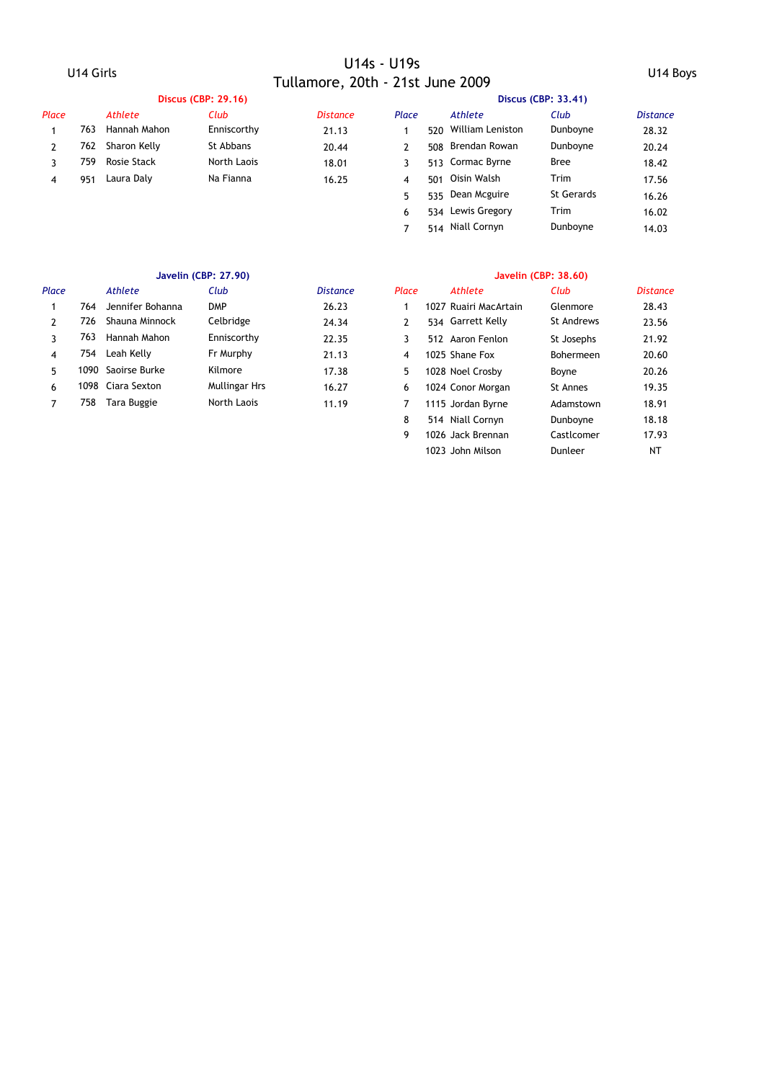|       |      |              | <b>Discus (CBP: 29.16)</b> |                 | Discus (CBP: 33.41) |     |                  |                   |          |  |  |
|-------|------|--------------|----------------------------|-----------------|---------------------|-----|------------------|-------------------|----------|--|--|
| Place |      | Athlete      | Club                       | <b>Distance</b> | Place               |     | Athlete          | Club              | Distance |  |  |
|       | 763  | Hannah Mahon | Enniscorthy                | 21.13           |                     | 520 | William Leniston | Dunboyne          | 28.32    |  |  |
|       | 762  | Sharon Kelly | St Abbans                  | 20.44           |                     | 508 | Brendan Rowan    | Dunboyne          | 20.24    |  |  |
|       | 759. | Rosie Stack  | North Laois                | 18.01           |                     |     | 513 Cormac Byrne | <b>Bree</b>       | 18.42    |  |  |
| 4     | 951  | Laura Dalv   | Na Fianna                  | 16.25           | 4                   | 501 | Oisin Walsh      | Trim              | 17.56    |  |  |
|       |      |              |                            |                 |                     | 535 | Dean Mcguire     | <b>St Gerards</b> | 16.26    |  |  |

### **Javelin (CBP: 27.90) Javelin (CBP: 38.60)**

| Place |     | Athlete           | Club          | <b>Distance</b> | Place | Athlete               | Club       | <b>Distand</b> |
|-------|-----|-------------------|---------------|-----------------|-------|-----------------------|------------|----------------|
|       | 764 | Jennifer Bohanna  | <b>DMP</b>    | 26.23           |       | 1027 Ruairi MacArtain | Glenmore   | 28.43          |
|       | 726 | Shauna Minnock    | Celbridge     | 24.34           |       | 534 Garrett Kelly     | St Andrews | 23.56          |
|       | 763 | Hannah Mahon      | Enniscorthy   | 22.35           |       | 512 Aaron Fenlon      | St Josephs | 21.92          |
| 4     | 754 | Leah Kelly        | Fr Murphy     | 21.13           | 4     | 1025 Shane Fox        | Bohermeen  | 20.60          |
| 5.    | 090 | Saoirse Burke     | Kilmore       | 17.38           | 5     | 1028 Noel Crosby      | Boyne      | 20.26          |
| 6     |     | 1098 Ciara Sexton | Mullingar Hrs | 16.27           | 6     | 1024 Conor Morgan     | St Annes   | 19.35          |
|       | 758 | Tara Buggie       | North Laois   | 11.19           |       | 1115 Jordan Byrne     | Adamstown  | 18.91          |
|       |     |                   |               |                 |       |                       |            | .              |

6 534 Lewis Gregory Trim 16.02 7 514 Niall Cornyn Dunboyne 14.03

| Club          | <b>Distance</b> | Place         | <b>Athlete</b>        | Club              | <b>Distance</b> |
|---------------|-----------------|---------------|-----------------------|-------------------|-----------------|
| <b>DMP</b>    | 26.23           | 1             | 1027 Ruairi MacArtain | Glenmore          | 28.43           |
| Celbridge     | 24.34           | $\mathcal{P}$ | 534 Garrett Kelly     | <b>St Andrews</b> | 23.56           |
| Enniscorthy   | 22.35           | 3             | 512 Aaron Fenlon      | St Josephs        | 21.92           |
| Fr Murphy     | 21.13           | 4             | 1025 Shane Fox        | Bohermeen         | 20.60           |
| Kilmore       | 17.38           | 5             | 1028 Noel Crosby      | Boyne             | 20.26           |
| Mullingar Hrs | 16.27           | 6             | 1024 Conor Morgan     | St Annes          | 19.35           |
| North Laois   | 11.19           | 7             | 1115 Jordan Byrne     | Adamstown         | 18.91           |
|               |                 | 8             | 514 Niall Cornyn      | Dunboyne          | 18.18           |
|               |                 | 9             | 1026 Jack Brennan     | Castlcomer        | 17.93           |
|               |                 |               | 1023 John Milson      | Dunleer           | NT              |
|               |                 |               |                       |                   |                 |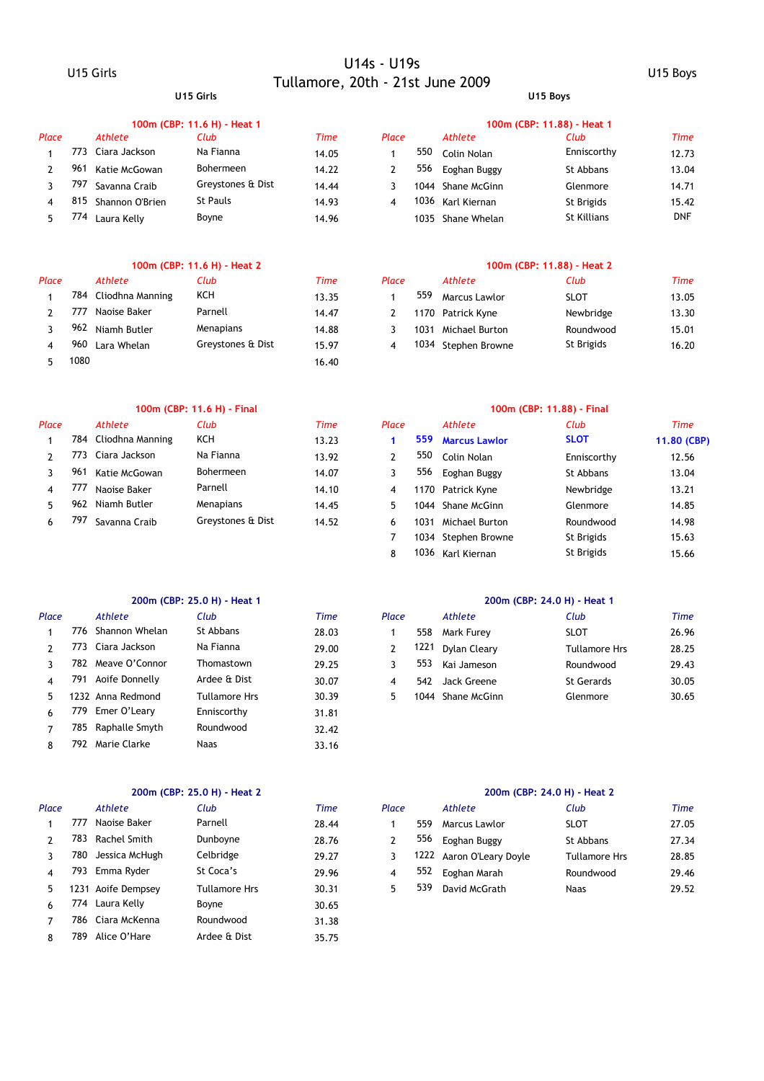### **U15 Girls U15 Boys**

|       |     |                 | 100m (CBP: 11.6 H) - Heat 1 |             | 100m (CBP: 11.88) - Heat 1 |      |                   |                    |             |  |  |
|-------|-----|-----------------|-----------------------------|-------------|----------------------------|------|-------------------|--------------------|-------------|--|--|
| Place |     | Athlete         | Club                        | <b>Time</b> | Place                      |      | Athlete           | Club               | <b>Time</b> |  |  |
|       |     | Ciara Jackson   | Na Fianna                   | 14.05       |                            | 550  | Colin Nolan       | Enniscorthy        | 12.73       |  |  |
|       | 961 | Katie McGowan   | Bohermeen                   | 14.22       |                            | 556  | Eoghan Buggy      | St Abbans          | 13.04       |  |  |
|       | 797 | Savanna Craib   | Greystones & Dist           | 14.44       |                            | 1044 | Shane McGinn      | Glenmore           | 14.71       |  |  |
| 4     | 815 | Shannon O'Brien | St Pauls                    | 14.93       | 4                          |      | 1036 Karl Kiernan | St Brigids         | 15.42       |  |  |
| 5.    | 74  | Laura Kelly     | Boyne                       | 14.96       |                            |      | 1035 Shane Whelan | <b>St Killians</b> | <b>DNF</b>  |  |  |

### **100m (CBP: 11.6 H) - Heat 2 100m (CBP: 11.88) - Heat 2**

| Place |      | Athlete              | Club              | Time  | Place |      | Athlete             | Club        | Time  |
|-------|------|----------------------|-------------------|-------|-------|------|---------------------|-------------|-------|
|       |      | 784 Cliodhna Manning | KCH               | 13.35 |       | 559  | Marcus Lawlor       | <b>SLOT</b> | 13.05 |
|       | 777  | Naoise Baker         | Parnell           | 14.47 |       |      | 1170 Patrick Kyne   | Newbridge   | 13.30 |
|       | 962  | Niamh Butler         | Menapians         | 14.88 |       | 1031 | Michael Burton      | Roundwood   | 15.01 |
|       | 960  | Lara Whelan          | Greystones & Dist | 15.97 |       |      | 1034 Stephen Browne | St Brigids  | 16.20 |
|       | 1080 |                      |                   | 16.40 |       |      |                     |             |       |

### **100m (CBP: 11.6 H) - Final 100m (CBP: 11.88) - Final**

| Place |     | Athlete          | Club              | Time  | Place |      | Athlete              | Club        | Time        |
|-------|-----|------------------|-------------------|-------|-------|------|----------------------|-------------|-------------|
|       | 784 | Cliodhna Manning | KCH               | 13.23 |       | 559  | <b>Marcus Lawlor</b> | <b>SLOT</b> | 11.80 (CBP) |
|       | 773 | Ciara Jackson    | Na Fianna         | 13.92 |       | 550  | Colin Nolan          | Enniscorthy | 12.56       |
|       | 961 | Katie McGowan    | Bohermeen         | 14.07 |       | 556  | Eoghan Buggy         | St Abbans   | 13.04       |
|       | 777 | Naoise Baker     | Parnell           | 14.10 |       |      | 1170 Patrick Kyne    | Newbridge   | 13.21       |
|       | 962 | Niamh Butler     | Menapians         | 14.45 |       | 1044 | Shane McGinn         | Glenmore    | 14.85       |
|       | 797 | Savanna Craib    | Greystones & Dist | 14.52 |       | 1031 | Michael Burton       | Roundwood   | 14.98       |

### **200m (CBP: 25.0 H) - Heat 1 200m (CBP: 24.0 H) - Heat 1**

| Place |     | Athlete            | Club          | Time  | Place |      | Athlete           | Club              |
|-------|-----|--------------------|---------------|-------|-------|------|-------------------|-------------------|
|       | 776 | Shannon Whelan     | St Abbans     | 28.03 |       | 558  | Mark Furey        | <b>SLOT</b>       |
|       |     | 773 Ciara Jackson  | Na Fianna     | 29.00 | 2     | 1221 | Dylan Cleary      | Tullamore         |
|       |     | 782 Meave O'Connor | Thomastown    | 29.25 | 3     | 553  | Kai Jameson       | Roundwoo          |
|       |     | 791 Aoife Donnelly | Ardee & Dist  | 30.07 | 4     |      | 542 Jack Greene   | <b>St Gerards</b> |
|       |     | 1232 Anna Redmond  | Tullamore Hrs | 30.39 | 5.    |      | 1044 Shane McGinn | Glenmore          |
| 6     |     | 779 Emer O'Leary   | Enniscorthy   | 31.81 |       |      |                   |                   |
|       |     | 785 Raphalle Smyth | Roundwood     | 32.42 |       |      |                   |                   |
|       | 792 | Marie Clarke       | <b>Naas</b>   | 33.16 |       |      |                   |                   |
|       |     |                    |               |       |       |      |                   |                   |

| Place |     | Athlete            | Club          | Time  | Place |     | Athlete                  | Club                 |
|-------|-----|--------------------|---------------|-------|-------|-----|--------------------------|----------------------|
|       | 777 | Naoise Baker       | Parnell       | 28.44 |       | 559 | Marcus Lawlor            | <b>SLOT</b>          |
|       | 783 | Rachel Smith       | Dunboyne      | 28.76 | 2     | 556 | Eoghan Buggy             | St Abbans            |
|       | 780 | Jessica McHugh     | Celbridge     | 29.27 | 3     |     | 1222 Aaron O'Leary Doyle | <b>Tullamore Hrs</b> |
| 4     |     | 793 Emma Ryder     | St Coca's     | 29.96 | 4     | 552 | Eoghan Marah             | Roundwood            |
| 5.    |     | 1231 Aoife Dempsey | Tullamore Hrs | 30.31 | 5.    | 539 | David McGrath            | Naas                 |
| 6     |     | 774 Laura Kelly    | Boyne         | 30.65 |       |     |                          |                      |
|       |     | 786 Ciara McKenna  | Roundwood     | 31.38 |       |     |                          |                      |
| 8     | 789 | Alice O'Hare       | Ardee & Dist  | 35.75 |       |     |                          |                      |

|     | 784 Cliodhna Manning | KCH               | 13.35 | 559. | Marcus Lawlor       | <b>SLOT</b> | 13.05 |
|-----|----------------------|-------------------|-------|------|---------------------|-------------|-------|
| 777 | Naoise Baker         | Parnell           | 14.47 |      | 1170 Patrick Kyne   | Newbridge   | 13.30 |
|     | 962 Niamh Butler     | Menapians         | 14.88 | 1031 | Michael Burton      | Roundwood   | 15.01 |
| 960 | Lara Whelan          | Greystones & Dist | 15.97 |      | 1034 Stephen Browne | St Brigids  | 16.20 |

# 8 1036 15.66 Karl Kiernan St Brigids

7 1034 Stephen Browne St Brigids 15.63

St Brigids

|       |      |                   | 200m (CBP: 25.0 H) - Heat 1 |       | 200m (CBP: 24.0 H) - Heat 1 |      |              |                      |       |  |  |
|-------|------|-------------------|-----------------------------|-------|-----------------------------|------|--------------|----------------------|-------|--|--|
| Place |      | Athlete           | Club                        | Time  | Place                       |      | Athlete      | Club                 | Time  |  |  |
|       | 776  | Shannon Whelan    | St Abbans                   | 28.03 |                             | 558  | Mark Furev   | <b>SLOT</b>          | 26.96 |  |  |
|       | 773  | Ciara Jackson     | Na Fianna                   | 29.00 |                             | 1221 | Dylan Cleary | <b>Tullamore Hrs</b> | 28.25 |  |  |
|       | 782. | Meave O'Connor    | Thomastown                  | 29.25 |                             | 553  | Kai Jameson  | Roundwood            | 29.43 |  |  |
|       | 791  | Aoife Donnelly    | Ardee & Dist                | 30.07 |                             | 542  | Jack Greene  | <b>St Gerards</b>    | 30.05 |  |  |
|       |      | 1232 Anna Redmond | Tullamore Hrs               | 30.39 |                             | 1044 | Shane McGinn | Glenmore             | 30.65 |  |  |
|       |      |                   |                             |       |                             |      |              |                      |       |  |  |

### **200m (CBP: 25.0 H) - Heat 2 200m (CBP: 24.0 H) - Heat 2**

| Place |     | <b>Athlete</b> | Club          | Time  | Place |     | Athlete                  | Club          | <b>Time</b> |
|-------|-----|----------------|---------------|-------|-------|-----|--------------------------|---------------|-------------|
|       | 777 | Naoise Baker   | Parnell       | 28.44 |       | 559 | Marcus Lawlor            | <b>SLOT</b>   | 27.05       |
|       | 783 | Rachel Smith   | Dunboyne      | 28.76 |       | 556 | Eoghan Buggy             | St Abbans     | 27.34       |
|       | 780 | Jessica McHugh | Celbridge     | 29.27 |       |     | 1222 Aaron O'Leary Doyle | Tullamore Hrs | 28.85       |
|       | 793 | Emma Ryder     | St Coca's     | 29.96 |       | 552 | Eoghan Marah             | Roundwood     | 29.46       |
|       | 231 | Aoife Dempsey  | Tullamore Hrs | 30.31 |       | 539 | David McGrath            | Naas          | 29.52       |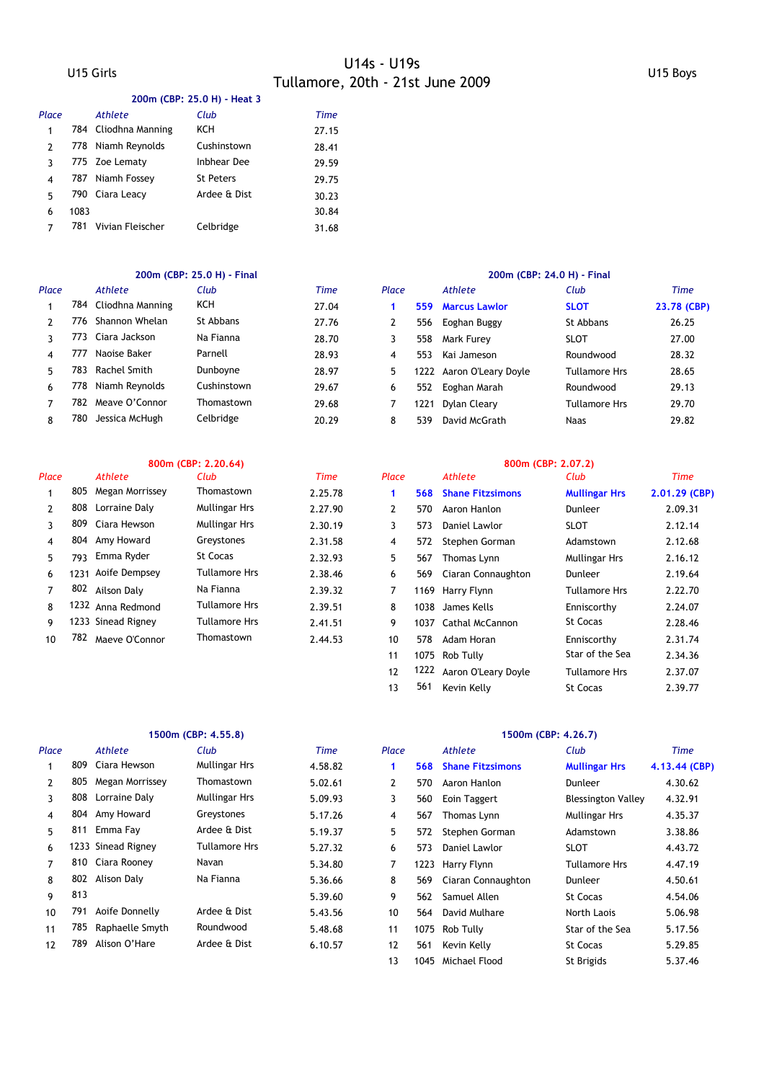|  |  |  | 200m (CBP: 25.0 H) - Heat 3 |
|--|--|--|-----------------------------|
|--|--|--|-----------------------------|

| Place |      | Athlete              | Club               | <b>Time</b> |
|-------|------|----------------------|--------------------|-------------|
| 1     |      | 784 Cliodhna Manning | KCH                | 27.15       |
| 2     |      | 778 Niamh Reynolds   | Cushinstown        | 28.41       |
| ٦     |      | 775 Zoe Lematy       | <b>Inbhear Dee</b> | 29.59       |
| 4     | 787  | Niamh Fossey         | <b>St Peters</b>   | 29.75       |
| 5     | 790  | Ciara Leacy          | Ardee & Dist       | 30.23       |
| 6     | 1083 |                      |                    | 30.84       |
|       | 781  | Vivian Fleischer     | Celbridge          | 31.68       |

### **200m (CBP: 25.0 H) - Final 200m (CBP: 24.0 H) - Final**

| Place |     | Athlete              | Club        | <b>Time</b> | Place |      | Athlete                  | Club                 | Time     |
|-------|-----|----------------------|-------------|-------------|-------|------|--------------------------|----------------------|----------|
|       |     | 784 Cliodhna Manning | KCH         | 27.04       |       | 559  | <b>Marcus Lawlor</b>     | <b>SLOT</b>          | 23.78 (C |
|       | 776 | Shannon Whelan       | St Abbans   | 27.76       |       | 556  | Eoghan Buggy             | St Abbans            | 26.25    |
|       | 773 | Ciara Jackson        | Na Fianna   | 28.70       |       | 558  | Mark Furev               | <b>SLOT</b>          | 27.00    |
| 4     | 777 | Naoise Baker         | Parnell     | 28.93       | 4     | 553  | Kai Jameson              | Roundwood            | 28.32    |
| 5.    | 783 | Rachel Smith         | Dunboyne    | 28.97       | 5.    |      | 1222 Aaron O'Leary Doyle | <b>Tullamore Hrs</b> | 28.65    |
| 6     | 778 | Niamh Revnolds       | Cushinstown | 29.67       | 6     | 552  | Eoghan Marah             | Roundwood            | 29.13    |
|       | 782 | Meave O'Connor       | Thomastown  | 29.68       |       | 1221 | Dylan Cleary             | <b>Tullamore Hrs</b> | 29.70    |
| 8     | 780 | Jessica McHugh       | Celbridge   | 20.29       | 8     | 539  | David McGrath            | Naas                 | 29.82    |

| Place |     | <b>Athlete</b>     | Club                 | Time    | Place |     | Athlete              | Club                 |
|-------|-----|--------------------|----------------------|---------|-------|-----|----------------------|----------------------|
|       | 805 | Megan Morrissey    | Thomastown           | 2.25.78 |       |     | 568 Shane Fitzsimons | <b>Mullingar Hrs</b> |
|       | 808 | Lorraine Daly      | Mullingar Hrs        | 2.27.90 | 2     | 570 | Aaron Hanlon         | Dunleer              |
|       | 809 | Ciara Hewson       | <b>Mullingar Hrs</b> | 2.30.19 | 3     | 573 | Daniel Lawlor        | <b>SLOT</b>          |
| 4     |     | 804 Amy Howard     | Greystones           | 2.31.58 | 4     | 572 | Stephen Gorman       | Adamstown            |
| 5.    | 793 | Emma Ryder         | St Cocas             | 2.32.93 | 5.    | 567 | Thomas Lynn          | <b>Mullingar Hrs</b> |
| 6     |     | 1231 Aoife Dempsey | Tullamore Hrs        | 2.38.46 | 6     | 569 | Ciaran Connaughton   | Dunleer              |
|       | 802 | Ailson Daly        | Na Fianna            | 2.39.32 |       |     | 1169 Harry Flynn     | <b>Tullamore Hrs</b> |
| 8     |     | 1232 Anna Redmond  | Tullamore Hrs        | 2.39.51 | 8     |     | 1038 James Kells     | Enniscorthy          |
| 9     |     | 1233 Sinead Rigney | Tullamore Hrs        | 2.41.51 | 9     |     | 1037 Cathal McCannon | St Cocas             |
| 10    | 782 | Maeve O'Connor     | Thomastown           | 2.44.53 | 10    | 578 | Adam Horan           | Enniscorthy          |

| Place |      | Athlete          | Club        | Time  | Place |      | Athlete              | Club                 | Time        |
|-------|------|------------------|-------------|-------|-------|------|----------------------|----------------------|-------------|
|       | 784  | Cliodhna Manning | KCH         | 27.04 |       | 559  | <b>Marcus Lawlor</b> | <b>SLOT</b>          | 23.78 (CBP) |
|       | 776. | Shannon Whelan   | St Abbans   | 27.76 |       | 556  | Eoghan Buggy         | St Abbans            | 26.25       |
|       | 773. | Ciara Jackson    | Na Fianna   | 28.70 |       | 558  | Mark Furey           | <b>SLOT</b>          | 27.00       |
|       | 777  | Naoise Baker     | Parnell     | 28.93 | 4     | 553  | Kai Jameson          | Roundwood            | 28.32       |
|       | 783. | Rachel Smith     | Dunboyne    | 28.97 | 5     | 1222 | Aaron O'Leary Doyle  | Tullamore Hrs        | 28.65       |
| 6     | 778. | Niamh Reynolds   | Cushinstown | 29.67 | 6     | 552  | Eoghan Marah         | Roundwood            | 29.13       |
|       | 782. | Meave O'Connor   | Thomastown  | 29.68 |       | 1221 | Dylan Cleary         | <b>Tullamore Hrs</b> | 29.70       |
| 8     | 780  | Jessica McHugh   | Celbridge   | 20.29 | 8     | 539  | David McGrath        | Naas                 | 29.82       |

|               |      |                    | 800m (CBP: 2.20.64)  |         | 800m (CBP: 2.07.2) |      |                         |                      |                 |  |  |
|---------------|------|--------------------|----------------------|---------|--------------------|------|-------------------------|----------------------|-----------------|--|--|
| Place         |      | Athlete            | Club                 | Time    | Place              |      | Athlete                 | Club                 | Time            |  |  |
|               | 805  | Megan Morrissey    | Thomastown           | 2.25.78 |                    | 568  | <b>Shane Fitzsimons</b> | <b>Mullingar Hrs</b> | $2.01.29$ (CBP) |  |  |
| $\mathcal{P}$ | 808  | Lorraine Daly      | <b>Mullingar Hrs</b> | 2.27.90 | 2                  | 570  | Aaron Hanlon            | Dunleer              | 2.09.31         |  |  |
| 3             | 809  | Ciara Hewson       | Mullingar Hrs        | 2.30.19 | 3                  | 573  | Daniel Lawlor           | <b>SLOT</b>          | 2.12.14         |  |  |
| 4             | 804  | Amy Howard         | Greystones           | 2.31.58 | 4                  | 572  | Stephen Gorman          | Adamstown            | 2.12.68         |  |  |
| 5.            | 793  | Emma Ryder         | St Cocas             | 2.32.93 | 5                  | 567  | Thomas Lynn             | <b>Mullingar Hrs</b> | 2.16.12         |  |  |
| 6             | 1231 | Aoife Dempsey      | <b>Tullamore Hrs</b> | 2.38.46 | 6                  | 569  | Ciaran Connaughton      | Dunleer              | 2.19.64         |  |  |
| 7             | 802  | Ailson Dalv        | Na Fianna            | 2.39.32 | 7                  | 1169 | Harry Flynn             | <b>Tullamore Hrs</b> | 2.22.70         |  |  |
| 8             |      | 1232 Anna Redmond  | <b>Tullamore Hrs</b> | 2.39.51 | 8                  | 1038 | James Kells             | Enniscorthy          | 2.24.07         |  |  |
| 9             |      | 1233 Sinead Rigney | <b>Tullamore Hrs</b> | 2.41.51 | 9                  | 1037 | Cathal McCannon         | <b>St Cocas</b>      | 2.28.46         |  |  |
| 10            | 782  | Maeve O'Connor     | Thomastown           | 2.44.53 | 10                 | 578  | Adam Horan              | Enniscorthy          | 2.31.74         |  |  |
|               |      |                    |                      |         | 11                 | 1075 | Rob Tully               | Star of the Sea      | 2.34.36         |  |  |
|               |      |                    |                      |         | 12                 | 1222 | Aaron O'Leary Doyle     | <b>Tullamore Hrs</b> | 2.37.07         |  |  |
|               |      |                    |                      |         | 13                 | 561  | Kevin Kelly             | <b>St Cocas</b>      | 2.39.77         |  |  |

13 1045 Michael Flood 5t Brigids 5.37.46

|                |     |                    | 1500m (CBP: 4.55.8)  |         | 1500m (CBP: 4.26.7) |      |                         |                           |               |  |  |
|----------------|-----|--------------------|----------------------|---------|---------------------|------|-------------------------|---------------------------|---------------|--|--|
| Place          |     | Athlete            | Club                 | Time    | Place               |      | Athlete                 | Club                      | Time          |  |  |
|                | 809 | Ciara Hewson       | <b>Mullingar Hrs</b> | 4.58.82 |                     | 568  | <b>Shane Fitzsimons</b> | <b>Mullingar Hrs</b>      | 4.13.44 (CBP) |  |  |
| $\mathcal{P}$  | 805 | Megan Morrissey    | Thomastown           | 5.02.61 | $\mathbf{2}$        | 570  | Aaron Hanlon            | Dunleer                   | 4.30.62       |  |  |
| 3              | 808 | Lorraine Daly      | <b>Mullingar Hrs</b> | 5.09.93 | 3                   | 560  | Eoin Taggert            | <b>Blessington Valley</b> | 4.32.91       |  |  |
| 4              | 804 | Amy Howard         | Greystones           | 5.17.26 | 4                   | 567  | Thomas Lynn             | <b>Mullingar Hrs</b>      | 4.35.37       |  |  |
| 5.             | 811 | Emma Fay           | Ardee & Dist         | 5.19.37 | 5                   | 572  | Stephen Gorman          | Adamstown                 | 3.38.86       |  |  |
| 6              |     | 1233 Sinead Rigney | <b>Tullamore Hrs</b> | 5.27.32 | 6                   | 573  | Daniel Lawlor           | <b>SLOT</b>               | 4.43.72       |  |  |
| $\overline{7}$ | 810 | Ciara Rooney       | Navan                | 5.34.80 | 7                   | 1223 | Harry Flynn             | Tullamore Hrs             | 4.47.19       |  |  |
| 8              | 802 | Alison Daly        | Na Fianna            | 5.36.66 | 8                   | 569  | Ciaran Connaughton      | Dunleer                   | 4.50.61       |  |  |
| 9              | 813 |                    |                      | 5.39.60 | 9                   | 562  | Samuel Allen            | <b>St Cocas</b>           | 4.54.06       |  |  |
| 10             | 791 | Aoife Donnelly     | Ardee & Dist         | 5.43.56 | 10                  | 564  | David Mulhare           | North Laois               | 5.06.98       |  |  |
| 11             | 785 | Raphaelle Smyth    | Roundwood            | 5.48.68 | 11                  | 1075 | Rob Tully               | Star of the Sea           | 5.17.56       |  |  |
| 12             | 789 | Alison O'Hare      | Ardee & Dist         | 6.10.57 | 12                  | 561  | Kevin Kelly             | <b>St Cocas</b>           | 5.29.85       |  |  |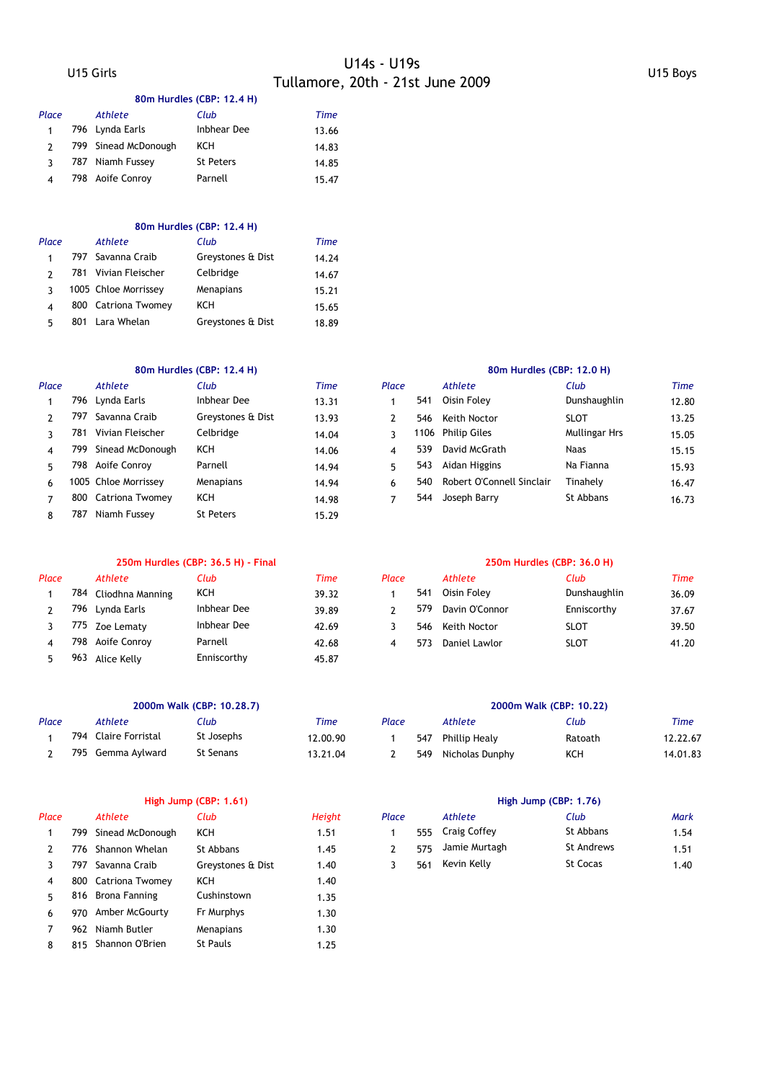### **80m Hurdles (CBP: 12.4 H)**

| Place | Athlete              | Club               | Time  |
|-------|----------------------|--------------------|-------|
| 1     | 796 Lynda Earls      | <b>Inbhear Dee</b> | 13.66 |
|       | 799 Sinead McDonough | ксн                | 14.83 |
|       | 787 Niamh Fussey     | <b>St Peters</b>   | 14.85 |
| 4     | 798 Aoife Conroy     | Parnell            | 15.47 |
|       |                      |                    |       |

### **80m Hurdles (CBP: 12.4 H)**

| Place | Athlete              | Club              | Time  |
|-------|----------------------|-------------------|-------|
|       | 797 Savanna Craib    | Greystones & Dist | 14.24 |
|       | 781 Vivian Fleischer | Celbridge         | 14.67 |
| ર     | 1005 Chloe Morrissey | Menapians         | 15.21 |
| 4     | 800 Catriona Twomey  | KCH               | 15.65 |
| 5     | 801 Lara Whelan      | Greystones & Dist | 18.89 |

### **80m Hurdles (CBP: 12.4 H) 80m Hurdles (CBP: 12.0 H)**

| Place |      | <b>Athlete</b>       | Club              | Time  | Place |     | Athlete                   | Club                 |
|-------|------|----------------------|-------------------|-------|-------|-----|---------------------------|----------------------|
|       |      | 796 Lynda Earls      | Inbhear Dee       | 13.31 |       | 541 | Oisin Folev               | Dunshaughlin         |
|       | 797  | Savanna Craib        | Greystones & Dist | 13.93 |       | 546 | Keith Noctor              | <b>SLOT</b>          |
|       | 781  | Vivian Fleischer     | Celbridge         | 14.04 |       |     | 1106 Philip Giles         | <b>Mullingar Hrs</b> |
| 4     |      | 799 Sinead McDonough | <b>KCH</b>        | 14.06 | 4     | 539 | David McGrath             | Naas                 |
| 5     | 798. | Aoife Conroy         | Parnell           | 14.94 | 5     | 543 | Aidan Higgins             | Na Fianna            |
| 6     |      | 1005 Chloe Morrissey | Menapians         | 14.94 | 6     | 540 | Robert O'Connell Sinclair | Tinahely             |
|       |      | 800 Catriona Twomey  | KCH               | 14.98 |       | 544 | Joseph Barry              | St Abbans            |
| 8     | 787  | Niamh Fussey         | <b>St Peters</b>  | 15.29 |       |     |                           |                      |

### **250m Hurdles (CBP: 36.5 H) - Final 250m Hurdles (CBP: 36.0 H)**

| Place |      | Athlete              | Club        | Time  | Place |     | Athlete        | Club         |
|-------|------|----------------------|-------------|-------|-------|-----|----------------|--------------|
|       |      | 784 Cliodhna Manning | KCH         | 39.32 |       | 541 | Oisin Foley    | Dunshaughlin |
|       |      | 796 Lynda Earls      | Inbhear Dee | 39.89 |       | 579 | Davin O'Connor | Enniscorthy  |
|       |      | 775 Zoe Lematy       | Inbhear Dee | 42.69 |       | 546 | Keith Noctor   | <b>SLOT</b>  |
|       |      | 798 Aoife Conroy     | Parnell     | 42.68 |       | 573 | Daniel Lawlor  | <b>SLOT</b>  |
|       | 963. | Alice Kelly          | Enniscorthy | 45.87 |       |     |                |              |
|       |      |                      |             |       |       |     |                |              |

| Place | Athlete              | Club       | Time     | Place |     | Athlete         | Club    | Time    |
|-------|----------------------|------------|----------|-------|-----|-----------------|---------|---------|
|       | 794 Claire Forristal | St Josephs | 12.00.90 |       | 547 | Phillip Healv   | Ratoath | 12.22.0 |
|       | 795 Gemma Avlward    | St Senans  | 13.21.04 |       | 549 | Nicholas Dunphy | KCH     | 14.01.8 |

| Place |     | Athlete              | Club              | Height | Place |     | Athlete       | Club             |
|-------|-----|----------------------|-------------------|--------|-------|-----|---------------|------------------|
|       |     | 799 Sinead McDonough | KCH               | 1.51   |       | 555 | Craig Coffey  | St Abbans        |
|       |     | 776 Shannon Whelan   | St Abbans         | 1.45   |       | 575 | Jamie Murtagh | <b>St Andrew</b> |
|       | 797 | Savanna Craib        | Greystones & Dist | 1.40   |       | 561 | Kevin Kelly   | St Cocas         |
| 4     |     | 800 Catriona Twomey  | KCH               | 1.40   |       |     |               |                  |
| 5.    |     | 816 Brona Fanning    | Cushinstown       | 1.35   |       |     |               |                  |
| 6     | 970 | Amber McGourty       | Fr Murphys        | 1.30   |       |     |               |                  |
|       | 962 | Niamh Butler         | Menapians         | 1.30   |       |     |               |                  |
| 8     | 815 | Shannon O'Brien      | <b>St Pauls</b>   | 1.25   |       |     |               |                  |

| Place |     | <b>Athlete</b>       | Club              | Time  | Place |     | Athlete                   | Club                 | Time  |
|-------|-----|----------------------|-------------------|-------|-------|-----|---------------------------|----------------------|-------|
|       | 796 | Lynda Earls          | Inbhear Dee       | 13.31 |       | 541 | Oisin Foley               | Dunshaughlin         | 12.80 |
|       | 797 | Savanna Craib        | Greystones & Dist | 13.93 |       | 546 | Keith Noctor              | <b>SLOT</b>          | 13.25 |
|       | 781 | Vivian Fleischer     | Celbridge         | 14.04 |       |     | 1106 Philip Giles         | <b>Mullingar Hrs</b> | 15.05 |
|       | 799 | Sinead McDonough     | KCH               | 14.06 | 4     | 539 | David McGrath             | Naas                 | 15.15 |
|       | 798 | Aoife Conroy         | Parnell           | 14.94 | 5     | 543 | Aidan Higgins             | Na Fianna            | 15.93 |
| 6     |     | 1005 Chloe Morrissey | Menapians         | 14.94 | 6     | 540 | Robert O'Connell Sinclair | Tinahely             | 16.47 |
|       | 800 | Catriona Twomev      | KCH               | 14.98 |       | 544 | Joseph Barry              | St Abbans            | 16.73 |
|       |     |                      |                   |       |       |     |                           |                      |       |

| Place |     | Athlete          | Club        | Time  | Place |     | <b>Athlete</b> | Club         | Time  |
|-------|-----|------------------|-------------|-------|-------|-----|----------------|--------------|-------|
|       | 784 | Cliodhna Manning | KCH         | 39.32 |       | 541 | Oisin Foley    | Dunshaughlin | 36.09 |
|       | 796 | Lynda Earls      | Inbhear Dee | 39.89 |       | 579 | Davin O'Connor | Enniscorthy  | 37.67 |
|       | 775 | Zoe Lematy       | Inbhear Dee | 42.69 |       | 546 | Keith Noctor   | <b>SLOT</b>  | 39.50 |
|       | 798 | Aoife Conroy     | Parnell     | 42.68 |       | 573 | Daniel Lawlor  | <b>SLOT</b>  | 41.20 |

### **2000m Walk (CBP: 10.28.7) 2000m Walk (CBP: 10.22)**

| асе | Athlete              | :lub       | Time     | Place |     | Athlete         | Club    | <b>Time</b> |
|-----|----------------------|------------|----------|-------|-----|-----------------|---------|-------------|
|     | 794 Claire Forristal | St Josephs | 12.00.90 |       | 547 | Phillip Healy   | Ratoath | 12.22.67    |
|     | 795 Gemma Avlward    | St Senans  | 13.21.04 |       | 549 | Nicholas Dunphy | KCH     | 14.01.83    |

### **High Jump (CBP: 1.61) High Jump (CBP: 1.76)**

| Place |      | Athlete          | Club              | Height | Place |     | Athlete       | Club       | Mark |
|-------|------|------------------|-------------------|--------|-------|-----|---------------|------------|------|
|       | 799. | Sinead McDonough | KCH               | 1.51   |       | 555 | Craig Coffey  | St Abbans  | 1.54 |
|       | 776  | Shannon Whelan   | St Abbans         | 1.45   |       | 575 | Jamie Murtagh | St Andrews | 1.51 |
|       | 797  | Savanna Craib    | Greystones & Dist | 40. ا  |       | 561 | Kevin Kelly   | St Cocas   | 1.40 |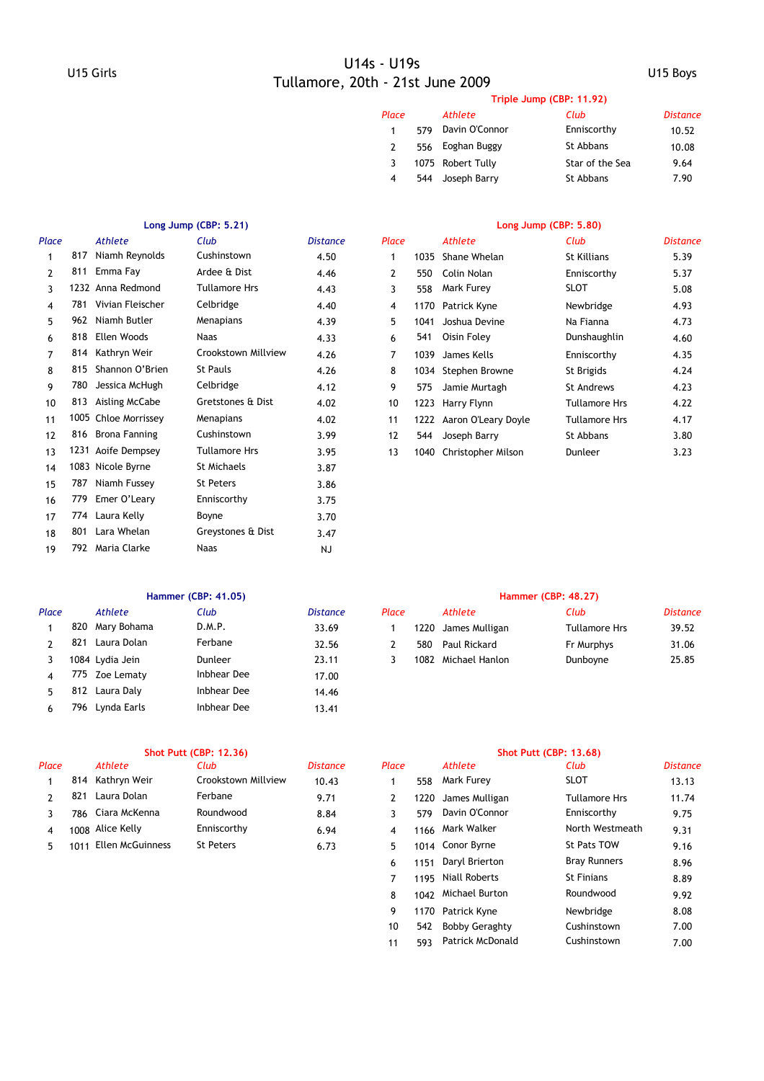|       | Triple Jump (CBP: 11.92) |                   |                 |                 |  |  |  |  |  |  |
|-------|--------------------------|-------------------|-----------------|-----------------|--|--|--|--|--|--|
| Place |                          | Athlete           | Club            | <b>Distance</b> |  |  |  |  |  |  |
| 1     | 579                      | Davin O'Connor    | Enniscorthy     | 10.52           |  |  |  |  |  |  |
| 2     | 556                      | Eoghan Buggy      | St Abbans       | 10.08           |  |  |  |  |  |  |
| 3     |                          | 1075 Robert Tully | Star of the Sea | 9.64            |  |  |  |  |  |  |
| 4     | 544                      | Joseph Barry      | St Abbans       | 7.90            |  |  |  |  |  |  |

### **Long Jump (CBP: 5.21) Long Jump (CBP: 5.80)**

| Place |      | <b>Athlete</b>       | Club                 | <b>Distance</b> | Place |      | <b>Athlete</b>      | Club                 |
|-------|------|----------------------|----------------------|-----------------|-------|------|---------------------|----------------------|
|       | 817  | Niamh Reynolds       | Cushinstown          | 4.50            | 1     | 1035 | Shane Whelan        | St Killians          |
| 2     | 811  | Emma Fay             | Ardee & Dist         | 4.46            | 2     | 550  | Colin Nolan         | Enniscorthy          |
| 3     |      | 1232 Anna Redmond    | <b>Tullamore Hrs</b> | 4.43            | 3     | 558  | Mark Furey          | SLOT                 |
| 4     | 781  | Vivian Fleischer     | Celbridge            | 4.40            | 4     | 1170 | Patrick Kyne        | Newbridge            |
| 5     | 962  | Niamh Butler         | Menapians            | 4.39            | 5     | 1041 | Joshua Devine       | Na Fianna            |
| 6     | 818  | Ellen Woods          | <b>Naas</b>          | 4.33            | 6     | 541  | Oisin Foley         | Dunshaughlin         |
| 7     | 814  | Kathryn Weir         | Crookstown Millview  | 4.26            | 7     | 1039 | James Kells         | Enniscorthy          |
| 8     | 815  | Shannon O'Brien      | <b>St Pauls</b>      | 4.26            | 8     |      | 1034 Stephen Browne | St Brigids           |
| 9     | 780  | Jessica McHugh       | Celbridge            | 4.12            | 9     | 575  | Jamie Murtagh       | St Andrews           |
| 10    | 813  | Aisling McCabe       | Gretstones & Dist    | 4.02            | 10    | 1223 | Harry Flynn         | <b>Tullamore Hrs</b> |
| 11    |      | 1005 Chloe Morrissey | Menapians            | 4.02            | 11    | 1222 | Aaron O'Leary Doyle | Tullamore Hrs        |
| 12    | 816  | Brona Fanning        | Cushinstown          | 3.99            | 12    | 544  | Joseph Barry        | St Abbans            |
| 13    |      | 1231 Aoife Dempsey   | <b>Tullamore Hrs</b> | 3.95            | 13    | 1040 | Christopher Milson  | Dunleer              |
| 14    |      | 1083 Nicole Byrne    | <b>St Michaels</b>   | 3.87            |       |      |                     |                      |
| 15    | 787  | Niamh Fussey         | <b>St Peters</b>     | 3.86            |       |      |                     |                      |
| 16    | 779  | Emer O'Leary         | Enniscorthy          | 3.75            |       |      |                     |                      |
| 17    | 774  | Laura Kelly          | Boyne                | 3.70            |       |      |                     |                      |
| 18    | 801  | Lara Whelan          | Greystones & Dist    | 3.47            |       |      |                     |                      |
| 19    | 792. | Maria Clarke         | Naas                 | <b>NJ</b>       |       |      |                     |                      |
|       |      |                      |                      |                 |       |      |                     |                      |

| Place |      | Athlete              | Club                 | <b>Distance</b> | Place |      | Athlete             | Club          | <b>Distance</b> |
|-------|------|----------------------|----------------------|-----------------|-------|------|---------------------|---------------|-----------------|
|       | 817  | Niamh Reynolds       | Cushinstown          | 4.50            | 1     | 1035 | Shane Whelan        | St Killians   | 5.39            |
|       | 811  | Emma Fay             | Ardee & Dist         | 4.46            | 2     | 550  | Colin Nolan         | Enniscorthy   | 5.37            |
|       |      | 1232 Anna Redmond    | <b>Tullamore Hrs</b> | 4.43            | 3     | 558  | Mark Furey          | SLOT          | 5.08            |
| 4     | 781  | Vivian Fleischer     | Celbridge            | 4.40            | 4     | 1170 | Patrick Kyne        | Newbridge     | 4.93            |
| 5.    | 962  | Niamh Butler         | Menapians            | 4.39            | 5     | 1041 | Joshua Devine       | Na Fianna     | 4.73            |
| 6     | 818  | Ellen Woods          | <b>Naas</b>          | 4.33            | 6     | 541  | Oisin Foley         | Dunshaughlin  | 4.60            |
|       | 814  | Kathryn Weir         | Crookstown Millview  | 4.26            | 7     | 1039 | James Kells         | Enniscorthy   | 4.35            |
| 8     | 815  | Shannon O'Brien      | St Pauls             | 4.26            | 8     |      | 1034 Stephen Browne | St Brigids    | 4.24            |
| 9     | 780  | Jessica McHugh       | Celbridge            | 4.12            | 9     | 575  | Jamie Murtagh       | St Andrews    | 4.23            |
| 10    | 813  | Aisling McCabe       | Gretstones & Dist    | 4.02            | 10    | 1223 | Harry Flynn         | Tullamore Hrs | 4.22            |
| 11    |      | 1005 Chloe Morrissey | Menapians            | 4.02            | 11    | 1222 | Aaron O'Leary Doyle | Tullamore Hrs | 4.17            |
| 12    | 816  | Brona Fanning        | Cushinstown          | 3.99            | 12    | 544  | Joseph Barry        | St Abbans     | 3.80            |
| 13    | 1231 | Aoife Dempsey        | <b>Tullamore Hrs</b> | 3.95            | 13    | 1040 | Christopher Milson  | Dunleer       | 3.23            |
|       |      |                      |                      |                 |       |      |                     |               |                 |

| Place |      | Athlete         | Club        | <b>Distance</b> | Place |      | Athlete             | Club                 |
|-------|------|-----------------|-------------|-----------------|-------|------|---------------------|----------------------|
|       | 820  | Mary Bohama     | D.M.P.      | 33.69           |       |      | 1220 James Mulligan | <b>Tullamore Hrs</b> |
|       | 821  | Laura Dolan     | Ferbane     | 32.56           |       | 580  | Paul Rickard        | Fr Murphys           |
|       |      | 1084 Lydia Jein | Dunleer     | 23.11           |       | 1082 | Michael Hanlon      | Dunboyne             |
|       | 775. | Zoe Lematy      | Inbhear Dee | 17.00           |       |      |                     |                      |
|       | 812  | Laura Dalv      | Inbhear Dee | 14.46           |       |      |                     |                      |
|       |      | 796 Lynda Earls | Inbhear Dee | 13.41           |       |      |                     |                      |

### **Hammer (CBP: 41.05) Hammer (CBP: 48.27)**

| Place |     | Athlete         | Club    | <i>Distance</i> | Place |      | Athlete        | Club          | Distance |
|-------|-----|-----------------|---------|-----------------|-------|------|----------------|---------------|----------|
|       | 820 | Mary Bohama     | D.M.P.  | 33.69           |       | 220  | James Mulligan | Tullamore Hrs | 39.52    |
|       | 821 | Laura Dolan     | Ferbane | 32.56           |       | 580  | Paul Rickard   | Fr Murphys    | 31.06    |
|       |     | 1084 Lydia Jein | Dunleer | 23.11           |       | 1082 | Michael Hanlon | Dunboyne      | 25.85    |

| Place |      | Athlete          | Club                | <b>Distance</b> | Place |     | Athlete             | Club                 |
|-------|------|------------------|---------------------|-----------------|-------|-----|---------------------|----------------------|
|       |      | 814 Kathryn Weir | Crookstown Millview | 10.43           |       | 558 | Mark Furey          | <b>SLOT</b>          |
|       |      | Laura Dolan      | Ferbane             | 9.71            |       |     | 1220 James Mulligan | <b>Tullamore Hrs</b> |
|       | 786  | Ciara McKenna    | Roundwood           | 8.84            |       | 579 | Davin O'Connor      | Enniscorthy          |
|       |      | 1008 Alice Kelly | Enniscorthy         | 6.94            |       |     | 1166 Mark Walker    | North Westme         |
|       | 1011 | Ellen McGuinness | <b>St Peters</b>    | 6.73            |       |     | 1014 Conor Byrne    | St Pats TOW          |

|       |      | <b>Shot Putt (CBP: 12.36)</b> |                     |                 | <b>Shot Putt (CBP: 13.68)</b> |      |                         |                      |                 |  |
|-------|------|-------------------------------|---------------------|-----------------|-------------------------------|------|-------------------------|----------------------|-----------------|--|
| Place |      | Athlete                       | Club                | <b>Distance</b> | Place                         |      | Athlete                 | Club                 | <b>Distance</b> |  |
|       | 814  | Kathryn Weir                  | Crookstown Millview | 10.43           |                               | 558  | Mark Furey              | <b>SLOT</b>          | 13.13           |  |
|       | 821  | Laura Dolan                   | Ferbane             | 9.71            | $\mathbf{2}$                  | 1220 | James Mulligan          | <b>Tullamore Hrs</b> | 11.74           |  |
| 3     | 786  | Ciara McKenna                 | Roundwood           | 8.84            | 3                             | 579  | Davin O'Connor          | Enniscorthy          | 9.75            |  |
| 4     |      | 1008 Alice Kelly              | Enniscorthy         | 6.94            | 4                             | 1166 | Mark Walker             | North Westmeath      | 9.31            |  |
| 5.    | 1011 | Ellen McGuinness              | <b>St Peters</b>    | 6.73            | 5.                            |      | 1014 Conor Byrne        | <b>St Pats TOW</b>   | 9.16            |  |
|       |      |                               |                     |                 | 6                             | 1151 | Daryl Brierton          | <b>Bray Runners</b>  | 8.96            |  |
|       |      |                               |                     |                 | 7                             | 1195 | <b>Niall Roberts</b>    | <b>St Finians</b>    | 8.89            |  |
|       |      |                               |                     |                 | 8                             | 1042 | Michael Burton          | Roundwood            | 9.92            |  |
|       |      |                               |                     |                 | 9                             |      | 1170 Patrick Kyne       | Newbridge            | 8.08            |  |
|       |      |                               |                     |                 | 10                            | 542  | <b>Bobby Geraghty</b>   | Cushinstown          | 7.00            |  |
|       |      |                               |                     |                 | 11                            | 593  | <b>Patrick McDonald</b> | Cushinstown          | 7.00            |  |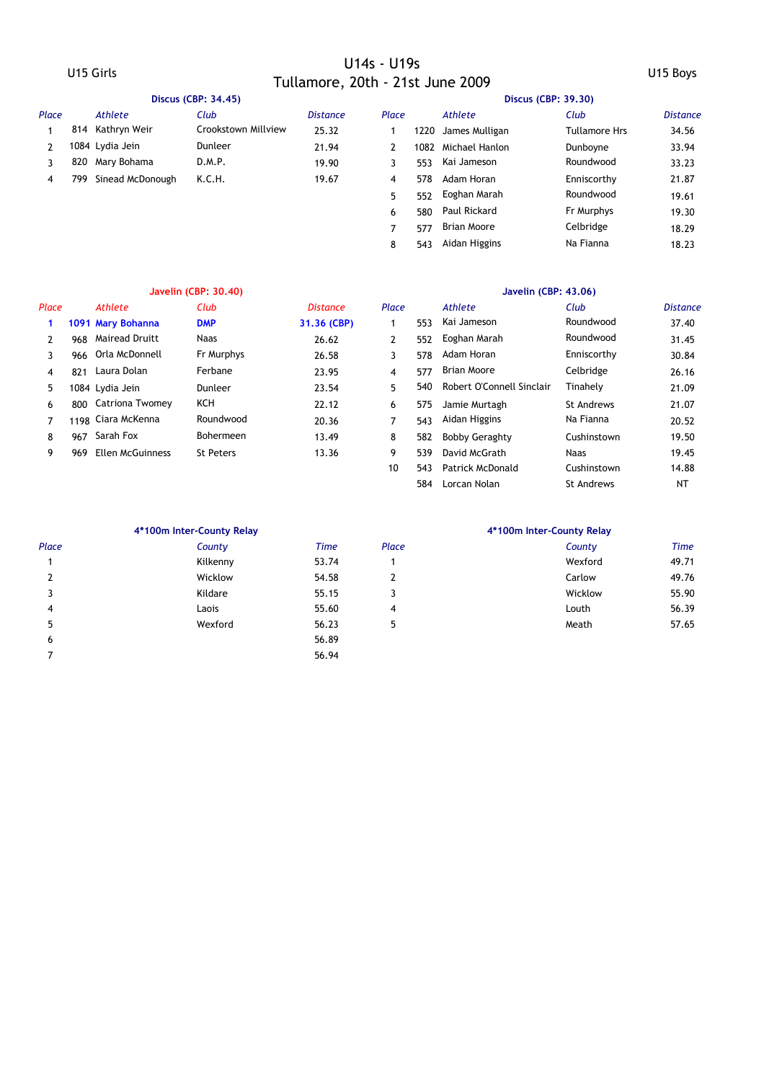|       | Discus (CBP: 34.45) |                  |                     |                 |       | Discus (CBP: 39.30) |                    |                      |                 |  |  |
|-------|---------------------|------------------|---------------------|-----------------|-------|---------------------|--------------------|----------------------|-----------------|--|--|
| Place |                     | Athlete          | Club                | <b>Distance</b> | Place |                     | Athlete            | Club                 | <b>Distance</b> |  |  |
|       | 814                 | Kathryn Weir     | Crookstown Millview | 25.32           |       | 1220                | James Mulligan     | <b>Tullamore Hrs</b> | 34.56           |  |  |
|       |                     | 1084 Lydia Jein  | Dunleer             | 21.94           |       | 1082                | Michael Hanlon     | Dunboyne             | 33.94           |  |  |
|       | 820                 | Mary Bohama      | D.M.P.              | 19.90           |       | 553                 | Kai Jameson        | Roundwood            | 33.23           |  |  |
| 4     | 799                 | Sinead McDonough | K.C.H.              | 19.67           | 4     | 578                 | Adam Horan         | Enniscorthy          | 21.87           |  |  |
|       |                     |                  |                     |                 | 5.    | 552                 | Eoghan Marah       | Roundwood            | 19.61           |  |  |
|       |                     |                  |                     |                 | 6     | 580                 | Paul Rickard       | Fr Murphys           | 19.30           |  |  |
|       |                     |                  |                     |                 |       | 577                 | <b>Brian Moore</b> | Celbridge            | 18.29           |  |  |

|       |     |                       | <b>Javelin (CBP: 30.40)</b> |                 | Javelin (CBP: 43.06) |     |                           |                   |                               |  |  |
|-------|-----|-----------------------|-----------------------------|-----------------|----------------------|-----|---------------------------|-------------------|-------------------------------|--|--|
| Place |     | Athlete               | Club                        | <b>Distance</b> | Place                |     | Athlete                   | Club              | <b>Distance</b>               |  |  |
|       |     | 1091 Mary Bohanna     | <b>DMP</b>                  | 31.36 (CBP)     |                      | 553 | Kai Jameson               | Roundwood         | 37.40                         |  |  |
| 2     | 968 | <b>Mairead Druitt</b> | Naas                        | 26.62           | $\mathbf{2}$         | 552 | Eoghan Marah              | Roundwood         | 31.45                         |  |  |
| 3     | 966 | Orla McDonnell        | Fr Murphys                  | 26.58           | 3                    | 578 | Adam Horan                | Enniscorthy       | 30.84                         |  |  |
| 4     | 821 | Laura Dolan           | Ferbane                     | 23.95           | 4                    | 577 | Brian Moore               | Celbridge         | 26.16                         |  |  |
| 5     |     | 1084 Lydia Jein       | Dunleer                     | 23.54           | 5.                   | 540 | Robert O'Connell Sinclair | Tinahely          | 21.09                         |  |  |
| 6     |     | 800 Catriona Twomey   | KCH                         | 22.12           | 6                    | 575 | Jamie Murtagh             | <b>St Andrews</b> | 21.07                         |  |  |
|       |     | 1198 Ciara McKenna    | Roundwood                   | 20.36           | 7                    | 543 | Aidan Higgins             | Na Fianna         | 20.52                         |  |  |
| 8     | 967 | Sarah Fox             | <b>Bohermeen</b>            | 13.49           | 8                    | 582 | <b>Bobby Geraghty</b>     | Cushinstown       | 19.50                         |  |  |
| 9     | 969 | Ellen McGuinness      | <b>St Peters</b>            | 13.36           | 9                    | 539 | David McGrath             | Naas              | 19.45                         |  |  |
|       |     |                       |                             |                 |                      |     | _ _ _ _ _ _ _ _ _         | _ _ _             | $\cdot$ $\cdot$ $\sim$ $\sim$ |  |  |

| асе |      | <b>Athlete</b>        | Club             | <b>Distance</b> | Place |     | Athlete                   | Club              | <b>Distance</b> |
|-----|------|-----------------------|------------------|-----------------|-------|-----|---------------------------|-------------------|-----------------|
| 1   |      | 1091 Mary Bohanna     | <b>DMP</b>       | 31.36 (CBP)     |       | 553 | Kai Jameson               | Roundwood         | 37.40           |
| 2   | 968  | <b>Mairead Druitt</b> | Naas             | 26.62           | 2     | 552 | Eoghan Marah              | Roundwood         | 31.45           |
| 3   | 966  | Orla McDonnell        | Fr Murphys       | 26.58           | 3     | 578 | Adam Horan                | Enniscorthy       | 30.84           |
| 4   | 821  | Laura Dolan           | Ferbane          | 23.95           | 4     | 577 | <b>Brian Moore</b>        | Celbridge         | 26.16           |
| 5   |      | 1084 Lydia Jein       | Dunleer          | 23.54           | 5     | 540 | Robert O'Connell Sinclair | Tinahely          | 21.09           |
| 6   | 800  | Catriona Twomey       | ксн              | 22.12           | 6     | 575 | Jamie Murtagh             | <b>St Andrews</b> | 21.07           |
| 7   |      | 1198 Ciara McKenna    | Roundwood        | 20.36           | 7     | 543 | Aidan Higgins             | Na Fianna         | 20.52           |
| 8   | 967  | Sarah Fox             | <b>Bohermeen</b> | 13.49           | 8     | 582 | <b>Bobby Geraghty</b>     | Cushinstown       | 19.50           |
| 9   | 969. | Ellen McGuinness      | <b>St Peters</b> | 13.36           | 9     | 539 | David McGrath             | Naas              | 19.45           |
|     |      |                       |                  |                 | 10    | 543 | <b>Patrick McDonald</b>   | Cushinstown       | 14.88           |
|     |      |                       |                  |                 |       | 584 | Lorcan Nolan              | <b>St Andrews</b> | NT              |
|     |      |                       |                  |                 |       |     |                           |                   |                 |

8 543 Aidan Higgins Na Fianna 18.23

Na Fianna

|       | 4*100m Inter-County Relay |             | 4*100m Inter-County Relay |         |             |  |  |
|-------|---------------------------|-------------|---------------------------|---------|-------------|--|--|
| Place | County                    | <b>Time</b> | Place                     | County  | <b>Time</b> |  |  |
|       | Kilkenny                  | 53.74       |                           | Wexford | 49.71       |  |  |
|       | Wicklow                   | 54.58       | 2                         | Carlow  | 49.76       |  |  |
|       | Kildare                   | 55.15       | 3                         | Wicklow | 55.90       |  |  |
| 4     | Laois                     | 55.60       | 4                         | Louth   | 56.39       |  |  |
| 5     | Wexford                   | 56.23       | 5                         | Meath   | 57.65       |  |  |
| 6     |                           | 56.89       |                           |         |             |  |  |
|       |                           | 56.94       |                           |         |             |  |  |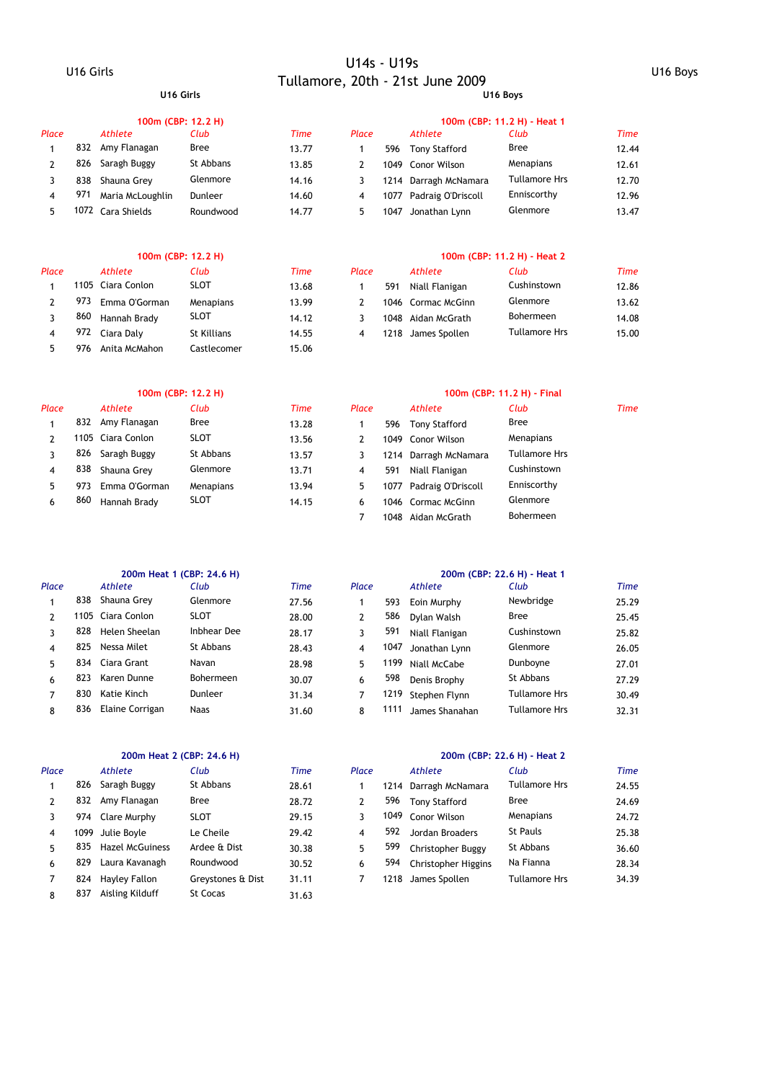## U16 Girls U14s - U19s Tullamore, 20th - 21st June 2009 U16 Boys **U16 Girls U16 Boys**

|       |     | 100m (CBP: 12.2 H) |           |       | 100m (CBP: 11.2 H) - Heat 1 |      |                         |                      |             |  |
|-------|-----|--------------------|-----------|-------|-----------------------------|------|-------------------------|----------------------|-------------|--|
| Place |     | Athlete            | Club      | Time  | Place                       |      | Athlete                 | Club                 | <b>Time</b> |  |
|       | 832 | Amy Flanagan       | Bree      | 13.77 |                             | 596  | <b>Tony Stafford</b>    | <b>Bree</b>          | 12.44       |  |
|       | 826 | Saragh Buggy       | St Abbans | 13.85 |                             | 1049 | Conor Wilson            | Menapians            | 12.61       |  |
|       | 838 | Shauna Grev        | Glenmore  | 14.16 |                             |      | 1214 Darragh McNamara   | <b>Tullamore Hrs</b> | 12.70       |  |
|       | 971 | Maria McLoughlin   | Dunleer   | 14.60 | 4                           |      | 1077 Padraig O'Driscoll | Enniscorthy          | 12.96       |  |
|       |     | 1072 Cara Shields  | Roundwood | 14.77 |                             | 1047 | Jonathan Lynn           | Glenmore             | 13.47       |  |

|       |      |                   | 100m (CBP: 12.2 H) |       | 100m (CBP: 11.2 H) - Heat 2 |      |                    |                      |       |  |  |
|-------|------|-------------------|--------------------|-------|-----------------------------|------|--------------------|----------------------|-------|--|--|
| Place |      | Athlete           | Club               | Time  | Place                       |      | Athlete            | Club                 | Time  |  |  |
|       |      | 1105 Ciara Conlon | <b>SLOT</b>        | 13.68 |                             | 591  | Niall Flanigan     | Cushinstown          | 12.86 |  |  |
|       | 973. | Emma O'Gorman     | Menapians          | 13.99 |                             |      | 1046 Cormac McGinn | Glenmore             | 13.62 |  |  |
|       | 860  | Hannah Brady      | <b>SLOT</b>        | 14.12 |                             | 1048 | Aidan McGrath      | <b>Bohermeen</b>     | 14.08 |  |  |
|       |      | 972 Ciara Daly    | St Killians        | 14.55 | 4                           |      | 1218 James Spollen | <b>Tullamore Hrs</b> | 15.00 |  |  |
|       | 976  | Anita McMahon     | Castlecomer        | 15.06 |                             |      |                    |                      |       |  |  |

|       |     | 100m (CBP: 12.2 H) |             |       | 100m (CBP: 11.2 H) - Final |     |                         |                      |      |  |  |
|-------|-----|--------------------|-------------|-------|----------------------------|-----|-------------------------|----------------------|------|--|--|
| Place |     | Athlete            | Club        | Time  | Place                      |     | Athlete                 | Club                 | Time |  |  |
|       | 832 | Amy Flanagan       | Bree        | 13.28 |                            | 596 | Tony Stafford           | <b>Bree</b>          |      |  |  |
|       |     | 1105 Ciara Conlon  | <b>SLOT</b> | 13.56 |                            |     | 1049 Conor Wilson       | Menapians            |      |  |  |
|       | 826 | Saragh Buggy       | St Abbans   | 13.57 |                            |     | 1214 Darragh McNamara   | <b>Tullamore Hrs</b> |      |  |  |
| 4     | 838 | Shauna Grev        | Glenmore    | 13.71 | 4                          | 591 | Niall Flanigan          | Cushinstown          |      |  |  |
| 5     | 973 | Emma O'Gorman      | Menapians   | 13.94 | 5.                         |     | 1077 Padraig O'Driscoll | Enniscorthy          |      |  |  |
| 6     | 860 | Hannah Brady       | <b>SLOT</b> | 14.15 | 6                          |     | 1046 Cormac McGinn      | Glenmore             |      |  |  |
|       |     |                    |             |       |                            |     | 1048 Aidan McGrath      | <b>Bohermeen</b>     |      |  |  |

|              |     | 200m Heat 1 (CBP: 24.6 H) |                  |       | 200m (CBP: 22.6 H) - Heat 1 |      |                |               |       |  |  |
|--------------|-----|---------------------------|------------------|-------|-----------------------------|------|----------------|---------------|-------|--|--|
| Place        |     | <b>Athlete</b>            | Club             | Time  | Place                       |      | Athlete        | Club          | Time  |  |  |
|              | 838 | Shauna Grey               | Glenmore         | 27.56 |                             | 593  | Eoin Murphy    | Newbridge     | 25.29 |  |  |
| $\mathbf{2}$ |     | 1105 Ciara Conlon         | <b>SLOT</b>      | 28.00 | 2                           | 586  | Dylan Walsh    | <b>Bree</b>   | 25.45 |  |  |
| 3            | 828 | Helen Sheelan             | Inbhear Dee      | 28.17 | 3                           | 591  | Niall Flanigan | Cushinstown   | 25.82 |  |  |
| 4            | 825 | Nessa Milet               | St Abbans        | 28.43 | 4                           | 1047 | Jonathan Lynn  | Glenmore      | 26.05 |  |  |
| 5.           |     | 834 Ciara Grant           | Navan            | 28.98 | 5                           | 1199 | Niall McCabe   | Dunboyne      | 27.01 |  |  |
| 6            | 823 | Karen Dunne               | <b>Bohermeen</b> | 30.07 | 6                           | 598  | Denis Brophy   | St Abbans     | 27.29 |  |  |
| 7            | 830 | Katie Kinch               | Dunleer          | 31.34 | 7                           | 1219 | Stephen Flynn  | Tullamore Hrs | 30.49 |  |  |
| 8            | 836 | Elaine Corrigan           | <b>Naas</b>      | 31.60 | 8                           | 1111 | James Shanahan | Tullamore Hrs | 32.31 |  |  |
|              |     |                           |                  |       |                             |      |                |               |       |  |  |

|       |      | 200m Heat 2 (CBP: 24.6 H) |                   |       | 200m (CBP: 22.6 H) - Heat 2 |      |                       |                      |       |  |  |
|-------|------|---------------------------|-------------------|-------|-----------------------------|------|-----------------------|----------------------|-------|--|--|
| Place |      | Athlete                   | Club              | Time  | Place                       |      | Athlete               | Club                 | Time  |  |  |
|       | 826  | Saragh Buggy              | St Abbans         | 28.61 |                             |      | 1214 Darragh McNamara | <b>Tullamore Hrs</b> | 24.55 |  |  |
|       | 832  | Amy Flanagan              | Bree              | 28.72 |                             | 596  | <b>Tony Stafford</b>  | Bree                 | 24.69 |  |  |
| 3     | 974  | Clare Murphy              | <b>SLOT</b>       | 29.15 |                             | 1049 | Conor Wilson          | Menapians            | 24.72 |  |  |
| 4     | 1099 | Julie Bovle               | Le Cheile         | 29.42 | 4                           | 592  | Jordan Broaders       | <b>St Pauls</b>      | 25.38 |  |  |
| 5.    | 835  | <b>Hazel McGuiness</b>    | Ardee & Dist      | 30.38 | 5                           | 599  | Christopher Buggy     | St Abbans            | 36.60 |  |  |
| 6     | 829  | Laura Kavanagh            | Roundwood         | 30.52 | 6                           | 594  | Christopher Higgins   | Na Fianna            | 28.34 |  |  |
|       | 824  | Hayley Fallon             | Greystones & Dist | 31.11 |                             | 1218 | James Spollen         | Tullamore Hrs        | 34.39 |  |  |
| 8     | 837  | Aisling Kilduff           | St Cocas          | 31.63 |                             |      |                       |                      |       |  |  |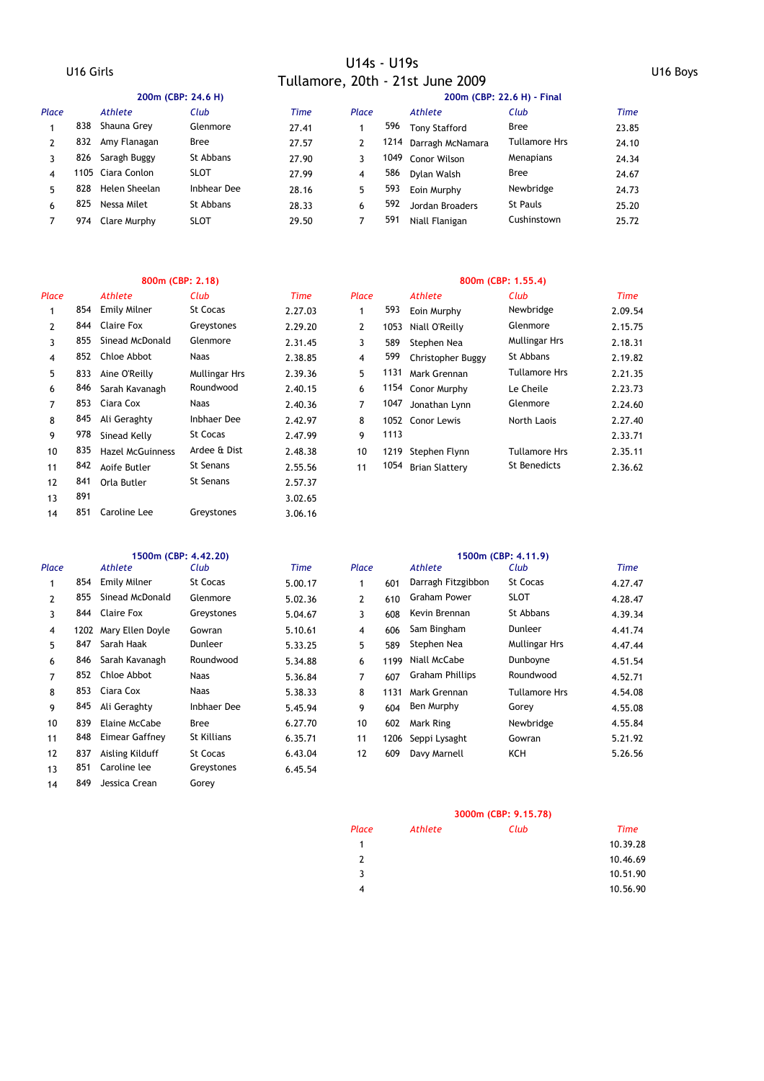### U16 Girls U14s - U19s Tullamore, 20th - 21st June 2009 U16 Boys

|       |     | 200m (CBP: 24.6 H) |             |       | 200m (CBP: 22.6 H) - Final |     |                       |                      |             |  |
|-------|-----|--------------------|-------------|-------|----------------------------|-----|-----------------------|----------------------|-------------|--|
| Place |     | Athlete            | Club        | Time  | Place                      |     | Athlete               | Club                 | <b>Time</b> |  |
|       | 838 | Shauna Grey        | Glenmore    | 27.41 |                            | 596 | <b>Tony Stafford</b>  | <b>Bree</b>          | 23.85       |  |
|       | 832 | Amy Flanagan       | Bree        | 27.57 | 2                          |     | 1214 Darragh McNamara | <b>Tullamore Hrs</b> | 24.10       |  |
|       | 826 | Saragh Buggy       | St Abbans   | 27.90 | 3                          |     | 1049 Conor Wilson     | Menapians            | 24.34       |  |
| 4     |     | 1105 Ciara Conlon  | <b>SLOT</b> | 27.99 | 4                          | 586 | Dvlan Walsh           | <b>Bree</b>          | 24.67       |  |
| 5     | 828 | Helen Sheelan      | Inbhear Dee | 28.16 | 5.                         | 593 | Eoin Murphy           | Newbridge            | 24.73       |  |
| 6     | 825 | Nessa Milet        | St Abbans   | 28.33 | 6                          | 592 | Jordan Broaders       | <b>St Pauls</b>      | 25.20       |  |
|       | 974 | Clare Murphy       | <b>SLOT</b> | 29.50 |                            | 591 | Niall Flanigan        | Cushinstown          | 25.72       |  |
|       |     |                    |             |       |                            |     |                       |                      |             |  |

# 3 855 Sinead McDonald Glenmore 2.31.45 3 4 852 Chloe Abbot Naas 2.38.85 4

14 849 Jessica Crean Gorey

| 5  | 833 | Aine O'Reilly           | Mullingar Hrs | 2.39.36 | 5  | 1131 | Mark Grennan        | <b>Tullamore Hrs</b> | 2.21.35 |
|----|-----|-------------------------|---------------|---------|----|------|---------------------|----------------------|---------|
| 6  | 846 | Sarah Kavanagh          | Roundwood     | 2.40.15 | 6  |      | 1154 Conor Murphy   | Le Cheile            | 2.23.73 |
| 7  | 853 | Ciara Cox               | Naas          | 2.40.36 |    | 1047 | Jonathan Lynn       | Glenmore             | 2.24.60 |
| 8  | 845 | Ali Geraghty            | Inbhaer Dee   | 2.42.97 | 8  |      | 1052 Conor Lewis    | North Laois          | 2.27.40 |
| 9  | 978 | Sinead Kelly            | St Cocas      | 2.47.99 | 9  | 1113 |                     |                      | 2.33.71 |
| 10 | 835 | <b>Hazel McGuinness</b> | Ardee & Dist  | 2.48.38 | 10 |      | 1219 Stephen Flynn  | <b>Tullamore Hrs</b> | 2.35.11 |
| 11 | 842 | Aoife Butler            | St Senans     | 2.55.56 | 11 |      | 1054 Brian Slattery | St Benedicts         | 2.36.62 |
| 12 | 841 | Orla Butler             | St Senans     | 2.57.37 |    |      |                     |                      |         |
| 13 | 891 |                         |               | 3.02.65 |    |      |                     |                      |         |
| 14 | 851 | Caroline Lee            | Greystones    | 3.06.16 |    |      |                     |                      |         |

### **800m (CBP: 2.18) 800m (CBP: 1.55.4)**

| Place         |     | <b>Athlete</b>          | Club                 | <b>Time</b> | Place        |      | <b>Athlete</b>        | Club                 | Time    |
|---------------|-----|-------------------------|----------------------|-------------|--------------|------|-----------------------|----------------------|---------|
|               | 854 | Emily Milner            | St Cocas             | 2.27.03     |              | 593  | Eoin Murphy           | Newbridge            | 2.09.54 |
| $\mathcal{P}$ | 844 | <b>Claire Fox</b>       | Greystones           | 2.29.20     | $\mathbf{2}$ | 1053 | Niall O'Reilly        | Glenmore             | 2.15.75 |
| 3             | 855 | Sinead McDonald         | Glenmore             | 2.31.45     | 3            | 589  | Stephen Nea           | Mullingar Hrs        | 2.18.31 |
| 4             | 852 | Chloe Abbot             | Naas                 | 2.38.85     | 4            | 599  | Christopher Buggy     | St Abbans            | 2.19.82 |
| 5.            | 833 | Aine O'Reilly           | <b>Mullingar Hrs</b> | 2.39.36     | 5            | 1131 | Mark Grennan          | <b>Tullamore Hrs</b> | 2.21.35 |
| 6             | 846 | Sarah Kavanagh          | Roundwood            | 2.40.15     | 6            |      | 1154 Conor Murphy     | Le Cheile            | 2.23.73 |
| 7             | 853 | Ciara Cox               | Naas                 | 2.40.36     | 7            | 1047 | Jonathan Lynn         | Glenmore             | 2.24.60 |
| 8             | 845 | Ali Geraghty            | Inbhaer Dee          | 2.42.97     | 8            |      | 1052 Conor Lewis      | North Laois          | 2.27.40 |
| 9             | 978 | Sinead Kelly            | St Cocas             | 2.47.99     | 9            | 1113 |                       |                      | 2.33.71 |
| 10            | 835 | <b>Hazel McGuinness</b> | Ardee & Dist         | 2.48.38     | 10           |      | 1219 Stephen Flynn    | <b>Tullamore Hrs</b> | 2.35.11 |
| 11            | 842 | Aoife Butler            | St Senans            | 2.55.56     | 11           | 1054 | <b>Brian Slattery</b> | <b>St Benedicts</b>  | 2.36.62 |

### **1500m (CBP: 4.42.20) 1500m (CBP: 4.11.9)** *Place Athlete Club Time Place Athlete Club Time* 1 854 Emily Milner St Cocas 5.00.17 1 601 Darragh Fitzgibbon St Cocas 4.27.47 2 855 Sinead McDonald Glenmore 5.02.36 2 610 Graham Power SLOT 4.28.47 3 844 Claire Fox Greystones 5.04.67 3 608 Kevin Brennan St Abbans 4.39.34 4 1202 Mary Ellen Doyle Gowran 5.10.61 4 606 Sam Bingham Dunleer 4.41.74 5 847 5.33.25 5 589 4.47.44 6 846 Sarah Kavanagh Roundwood 5.34.88 6 1199 Niall McCabe Dunboyne 4.51.54 7 852 Chloe Abbot Naas 5.36.84 7 607 Graham Phillips Roundwood 4.52.71 8 853 Ciara Cox 5.38.33 8 1131 4.54.08 Naas Mark Grennan Tullamore Hrs 9 845 5.45.94 9 604 Ben Murphy 4.55.08 10 839 Elaine McCabe Bree 6.27.70 10 602 Mark Ring Newbridge 4.55.84 11 848 6.35.71 11 1206 5.21.92 Eimear Gaffney St Killians Seppi Lysaght Gowran 12 837 Aisling Kilduff St Cocas 6.43.04 12 609 Davy Marnell KCH 5.26.56 13 851 Caroline lee Greystones 6.45.54 Glenmore St Abbans Sam Bingham Sarah Haak Dunleer 5.33.25 589 Stephen Nea Mullingar Hrs Dunboyne Naas Ali Geraghty Inbhaer Dee 5.45.94 9 604 Ben Murphy Gorey

|       | 3000m (CBP: 9.15.78) |      |             |  |  |  |  |  |  |
|-------|----------------------|------|-------------|--|--|--|--|--|--|
| Place | Athlete              | Club | <b>Time</b> |  |  |  |  |  |  |
| 1     |                      |      | 10.39.28    |  |  |  |  |  |  |
| 2     |                      |      | 10.46.69    |  |  |  |  |  |  |
| 3     |                      |      | 10.51.90    |  |  |  |  |  |  |
|       |                      |      | 10.56.90    |  |  |  |  |  |  |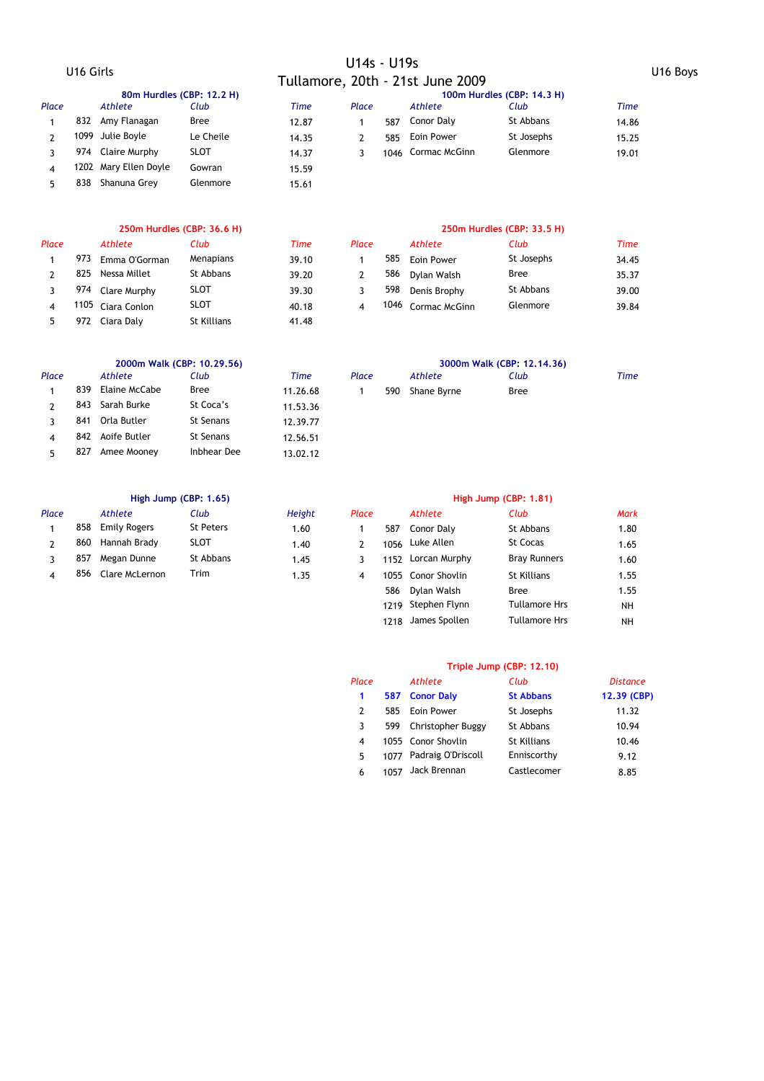# U16 Girls U14s - U19s Tullamore, 20th - 21st June 2009 U16 Boys

|       | 80m Hurdles (CBP: 12.2 H) |                       |             |       |       |     |                    | 100m Hurdles (CBP: 14.3 H)<br><b>Time</b><br>Club<br>St Abbans<br>14.86 |       |  |  |  |  |
|-------|---------------------------|-----------------------|-------------|-------|-------|-----|--------------------|-------------------------------------------------------------------------|-------|--|--|--|--|
| Place |                           | Athlete               | Club        | Time  | Place |     | Athlete            |                                                                         |       |  |  |  |  |
|       | 832                       | Amy Flanagan          | <b>Bree</b> | 12.87 |       | 587 | Conor Daly         |                                                                         |       |  |  |  |  |
|       |                           | 1099 Julie Boyle      | Le Cheile   | 14.35 |       | 585 | Eoin Power         | St Josephs                                                              | 15.25 |  |  |  |  |
|       |                           | 974 Claire Murphy     | <b>SLOT</b> | 14.37 |       |     | 1046 Cormac McGinn | Glenmore                                                                | 19.01 |  |  |  |  |
| 4     |                           | 1202 Mary Ellen Doyle | Gowran      | 15.59 |       |     |                    |                                                                         |       |  |  |  |  |
|       | 838                       | Shanuna Grey          | Glenmore    | 15.61 |       |     |                    |                                                                         |       |  |  |  |  |

# *Place Athlete Club Time Place Athlete Club Time*

| 973 | Emma O'Gorman     | Menapians   | 39.10 |  | 585 Eoin Power     | St Joseph: |
|-----|-------------------|-------------|-------|--|--------------------|------------|
|     | 825 Nessa Millet  | St Abbans   | 39.20 |  | 586 Dylan Walsh    | Bree       |
|     | 974 Clare Murphy  | <b>SLOT</b> | 39.30 |  | 598 Denis Brophy   | St Abbans  |
|     | 1105 Ciara Conlon | <b>SLOT</b> | 40.18 |  | 1046 Cormac McGinn | Glenmore   |
| 972 | Ciara Dalv        | St Killians | 41.48 |  |                    |            |
|     |                   |             |       |  |                    |            |

### **250m Hurdles (CBP: 36.6 H) 250m Hurdles (CBP: 33.5 H)**

| асе |     | Athlete           | Club        | Time  | Place |      | Athlete       | Club        | <b>Time</b> |
|-----|-----|-------------------|-------------|-------|-------|------|---------------|-------------|-------------|
|     | 973 | Emma O'Gorman     | Menapians   | 39.10 |       | 585  | Eoin Power    | St Josephs  | 34.45       |
|     | 825 | Nessa Millet      | St Abbans   | 39.20 |       | 586  | Dylan Walsh   | <b>Bree</b> | 35.37       |
|     | 974 | Clare Murphy      | <b>SLOT</b> | 39.30 |       | 598  | Denis Brophy  | St Abbans   | 39.00       |
|     |     | 1105 Ciara Conlon | <b>SLOT</b> | 40.18 |       | 1046 | Cormac McGinn | Glenmore    | 39.84       |

|       | 2000m Walk (CBP: 10.29.56) |               |             |          |       |     |             | 3000m Walk (CBP: 12, 14, 36) |      |
|-------|----------------------------|---------------|-------------|----------|-------|-----|-------------|------------------------------|------|
| Place |                            | Athlete       | Club        | Time     | Place |     | Athlete     | Club                         | Time |
|       | 839                        | Elaine McCabe | Bree        | 11.26.68 |       | 590 | Shane Byrne | <b>Bree</b>                  |      |
|       | 843                        | Sarah Burke   | St Coca's   | 11.53.36 |       |     |             |                              |      |
|       | 841                        | Orla Butler   | St Senans   | 12.39.77 |       |     |             |                              |      |
|       | 842                        | Aoife Butler  | St Senans   | 12.56.51 |       |     |             |                              |      |
|       | 827                        | Amee Mooney   | Inbhear Dee | 13.02.12 |       |     |             |                              |      |

|       | High Jump (CBP: 1.65) |                     |                  |               |       | High Jump (CBP: 1.81) |                    |                     |      |  |
|-------|-----------------------|---------------------|------------------|---------------|-------|-----------------------|--------------------|---------------------|------|--|
| Place |                       | Athlete             | Club             | <b>Height</b> | Place |                       | Athlete            | Club                | Mark |  |
|       | 858                   | <b>Emily Rogers</b> | <b>St Peters</b> | 1.60          |       | 587                   | Conor Daly         | St Abbans           | 1.80 |  |
|       | 860                   | Hannah Brady        | <b>SLOT</b>      | 1.40          |       |                       | 1056 Luke Allen    | <b>St Cocas</b>     | 1.65 |  |
|       | 857                   | Megan Dunne         | St Abbans        | 1.45          |       | 1152                  | Lorcan Murphy      | <b>Bray Runners</b> | 1.60 |  |
| 4     | 856                   | Clare McLernon      | Trim             | 1.35          | 4     |                       | 1055 Conor Shovlin | St Killians         | 1.55 |  |
|       |                       |                     |                  |               |       | 586                   | Dylan Walsh        | Bree                | 1.55 |  |

### **Triple Jump (CBP: 12.10)**

1219 Stephen Flynn Tullamore Hrs NH 1218 James Spollen Tullamore Hrs NH

Bree Tullamore Hrs Tullamore Hrs

| Place |      | Athlete                 | Club               | <b>Distance</b> |
|-------|------|-------------------------|--------------------|-----------------|
| 1     |      | 587 Conor Daly          | <b>St Abbans</b>   | 12.39 (CBP)     |
| 2     | 585  | Eoin Power              | St Josephs         | 11.32           |
| 3     | 599  | Christopher Buggy       | St Abbans          | 10.94           |
| 4     |      | 1055 Conor Shovlin      | <b>St Killians</b> | 10.46           |
| 5     |      | 1077 Padraig O'Driscoll | Enniscorthy        | 9.12            |
| 6     | 1057 | Jack Brennan            | Castlecomer        | 8.85            |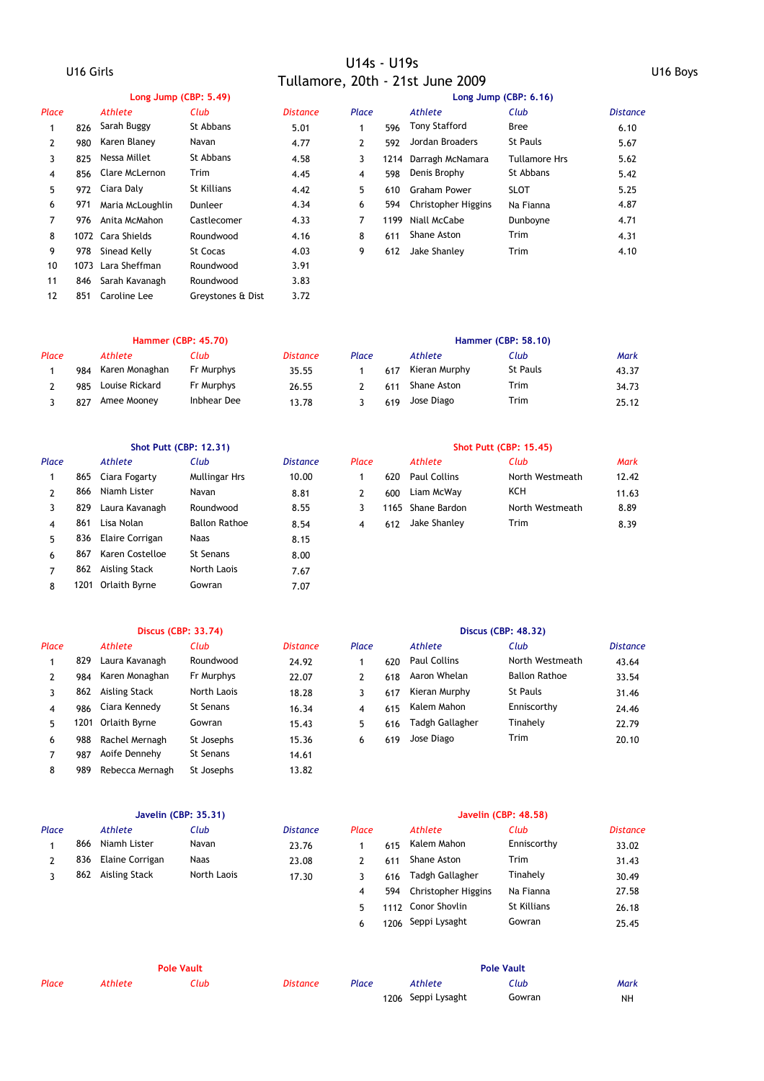### U16 Girls U14s - U19s Tullamore, 20th - 21st June 2009 U16 Boys

|              |     | Long Jump (CBP: 5.49) |                   |                 | Long Jump (CBP: 6.16) |      |                         |                      |                 |  |  |
|--------------|-----|-----------------------|-------------------|-----------------|-----------------------|------|-------------------------|----------------------|-----------------|--|--|
| Place        |     | Athlete               | Club              | <b>Distance</b> | Place                 |      | Athlete                 | Club                 | <b>Distance</b> |  |  |
|              | 826 | Sarah Buggy           | St Abbans         | 5.01            |                       | 596  | <b>Tony Stafford</b>    | <b>Bree</b>          | 6.10            |  |  |
| $\mathbf{2}$ | 980 | Karen Blaney          | Navan             | 4.77            | $\mathbf{2}$          | 592  | Jordan Broaders         | <b>St Pauls</b>      | 5.67            |  |  |
| 3            | 825 | Nessa Millet          | St Abbans         | 4.58            | 3                     |      | 1214 Darragh McNamara   | <b>Tullamore Hrs</b> | 5.62            |  |  |
| 4            | 856 | Clare McLernon        | Trim              | 4.45            | 4                     | 598  | Denis Brophy            | St Abbans            | 5.42            |  |  |
| 5            | 972 | Ciara Daly            | St Killians       | 4.42            | 5                     | 610  | Graham Power            | <b>SLOT</b>          | 5.25            |  |  |
| 6            | 971 | Maria McLoughlin      | Dunleer           | 4.34            | 6                     |      | 594 Christopher Higgins | Na Fianna            | 4.87            |  |  |
|              | 976 | Anita McMahon         | Castlecomer       | 4.33            | 7                     | 1199 | Niall McCabe            | Dunboyne             | 4.71            |  |  |
| 8            |     | 1072 Cara Shields     | Roundwood         | 4.16            | 8                     | 611  | Shane Aston             | <b>Trim</b>          | 4.31            |  |  |
| 9            | 978 | Sinead Kelly          | <b>St Cocas</b>   | 4.03            | 9                     | 612  | Jake Shanley            | <b>Trim</b>          | 4.10            |  |  |
| 10           |     | 1073 Lara Sheffman    | Roundwood         | 3.91            |                       |      |                         |                      |                 |  |  |
| 11           | 846 | Sarah Kavanagh        | Roundwood         | 3.83            |                       |      |                         |                      |                 |  |  |
| 12           | 851 | Caroline Lee          | Grevstones & Dist | 3.72            |                       |      |                         |                      |                 |  |  |

### **Hammer (CBP: 45.70) Hammer (CBP: 58.10)**

| Place |     | Athlete        | Club        | <b>Distance</b> | Place |     | Athlete       | Club            | Mark  |  |
|-------|-----|----------------|-------------|-----------------|-------|-----|---------------|-----------------|-------|--|
|       | 984 | Karen Monaghan | Fr Murphys  | 35.55           |       | 617 | Kieran Murphy | <b>St Pauls</b> | 43.37 |  |
|       | 985 | Louise Rickard | Fr Murphys  | 26.55           |       | 611 | Shane Aston   | Trim            | 34.73 |  |
|       | 827 | Amee Mooney    | Inbhear Dee | 13.78           |       | 619 | Jose Diago    | Trim            | 25.12 |  |

| Place |     | <b>Athlete</b>     | Club                 | <b>Distance</b> | Place |     | Athlete           | Club            | <b>Mark</b> |
|-------|-----|--------------------|----------------------|-----------------|-------|-----|-------------------|-----------------|-------------|
|       | 865 | Ciara Fogarty      | <b>Mullingar Hrs</b> | 10.00           |       | 620 | Paul Collins      | North Westmeath | 12.42       |
|       | 866 | Niamh Lister       | Navan                | 8.81            | 2     | 600 | Liam McWay        | KCH             | 11.63       |
|       | 829 | Laura Kavanagh     | Roundwood            | 8.55            |       |     | 1165 Shane Bardon | North Westmeath | 8.89        |
| 4     | 861 | Lisa Nolan         | <b>Ballon Rathoe</b> | 8.54            | 4     | 612 | Jake Shanley      | <b>Trim</b>     | 8.39        |
| 5     | 836 | Elaire Corrigan    | Naas                 | 8.15            |       |     |                   |                 |             |
| 6     | 867 | Karen Costelloe    | St Senans            | 8.00            |       |     |                   |                 |             |
|       | 862 | Aisling Stack      | North Laois          | 7.67            |       |     |                   |                 |             |
| 8     |     | 1201 Orlaith Byrne | Gowran               | 7.07            |       |     |                   |                 |             |

### **Shot Putt (CBP: 12.31) Shot Putt (CBP: 15.45)**

| сe |     | Athlete             | Club            | Mark  |
|----|-----|---------------------|-----------------|-------|
|    | 620 | <b>Paul Collins</b> | North Westmeath | 12.42 |
|    | 600 | Liam McWay          | KCH             | 11.63 |
|    |     | 1165 Shane Bardon   | North Westmeath | 8.89  |
|    | 612 | Jake Shanley        | Trim            | 8.39  |

### **Discus (CBP: 33.74) Discus (CBP: 48.32)** *Place Athlete Club Distance Place Athlete Club Distance* 1 829 Laura Kavanagh Roundwood 24.92 1 620 Paul Collins North Westmeath 43.64 2 984 Karen Monaghan 22.07 2 618 Aaron Whelan 33.54 3 862 Aisling Stack North Laois 18.28 3 617 Kieran Murphy St Pauls 31.46 4 986 Ciara Kennedy 16.34 4 615 24.46 St Senans Kalem Mahon Enniscorthy 5 1201 15.43 5 616 Tinahely 22.79 Orlaith Byrne Gowran Tadgh Gallagher 6 988 Rachel Mernagh 5t Josephs 6 15.36 6 619 Jose Diago Trim 20.10 7 987 14.61 Aoife Dennehy St Senans 8 989 Rebecca Mernagh St Josephs 13.82 618 Aaron Whelan 6 619 Jose Diago

|       | Javelin (CBP: 35.31) |                 |             |                 |       | Javelin (CBP: 48.58) |                         |             |                 |  |
|-------|----------------------|-----------------|-------------|-----------------|-------|----------------------|-------------------------|-------------|-----------------|--|
| Place |                      | Athlete         | Club        | <b>Distance</b> | Place |                      | Athlete                 | Club        | <b>Distance</b> |  |
|       | 866                  | Niamh Lister    | Navan       | 23.76           |       | 615                  | Kalem Mahon             | Enniscorthy | 33.02           |  |
|       | 836                  | Elaine Corrigan | <b>Naas</b> | 23.08           |       | 611                  | Shane Aston             | Trim        | 31.43           |  |
|       | 862                  | Aisling Stack   | North Laois | 17.30           |       | 616                  | Tadgh Gallagher         | Tinahely    | 30.49           |  |
|       |                      |                 |             |                 | 4     |                      | 594 Christopher Higgins | Na Fianna   | 27.58           |  |
|       |                      |                 |             |                 | 5.    |                      | 1112 Conor Shovlin      | St Killians | 26.18           |  |
|       |                      |                 |             |                 | 6     |                      | 1206 Seppi Lysaght      | Gowran      | 25.45           |  |

| <b>Pole Vault</b> |         |      |                 |       |                    | <b>Pole Vault</b> |      |
|-------------------|---------|------|-----------------|-------|--------------------|-------------------|------|
| Place             | Athlete | Club | <b>Distance</b> | Place | Athlete            | Club              | Mark |
|                   |         |      |                 |       | 1206 Seppi Lysaght | Gowran            | NΗ   |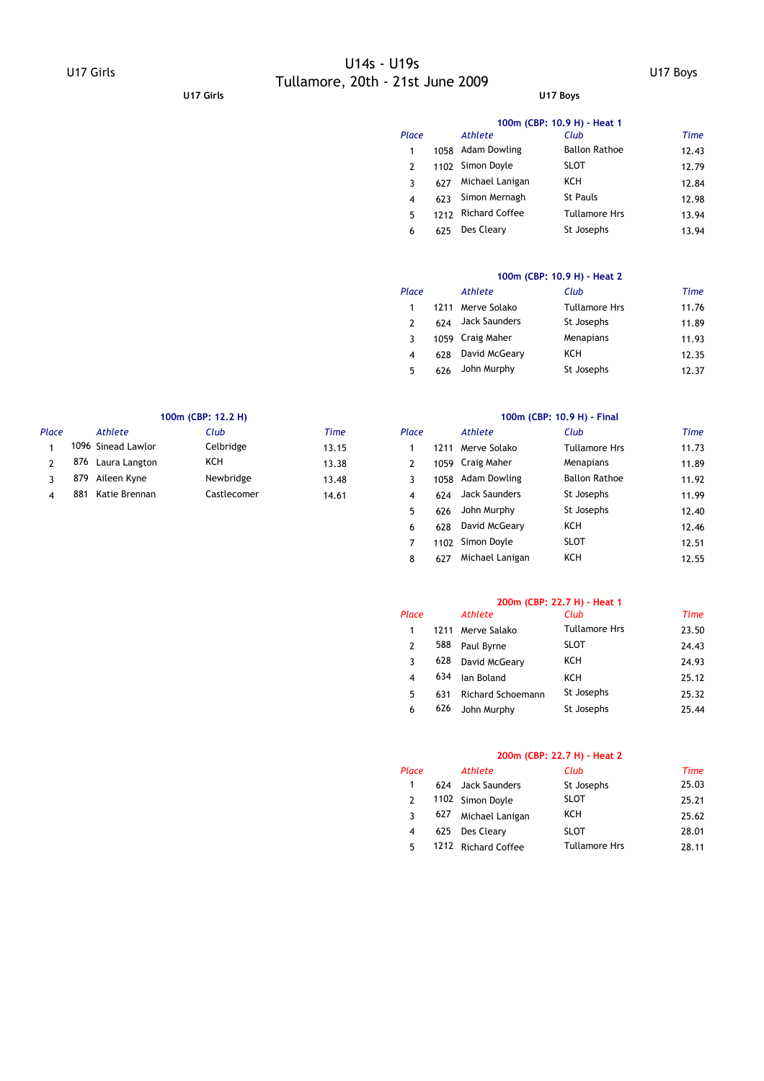# U17 Girls U14s - U19s Tullamore, 20th - 21st June 2009 U17 Boys **U17 Girls U17 Boys**

|         | 100m (CBP: 10.9 H) - Heat 1 |  |
|---------|-----------------------------|--|
| $5+1-1$ | $\mathcal{L}$               |  |

| Place |      | Athlete               | Club                 | <b>Time</b> |
|-------|------|-----------------------|----------------------|-------------|
| 1     | 1058 | Adam Dowling          | <b>Ballon Rathoe</b> | 12.43       |
| 2     | 1102 | Simon Doyle           | <b>SLOT</b>          | 12.79       |
| 3     | 627  | Michael Lanigan       | <b>KCH</b>           | 12.84       |
| 4     | 623  | Simon Mernagh         | <b>St Pauls</b>      | 12.98       |
| 5     | 1212 | <b>Richard Coffee</b> | <b>Tullamore Hrs</b> | 13.94       |
| 6     | 625  | Des Cleary            | St Josephs           | 13.94       |

### **100m (CBP: 10.9 H) - Heat 2**

| Place |      | Athlete       | Club                 | Time  |
|-------|------|---------------|----------------------|-------|
|       | 1211 | Merve Solako  | <b>Tullamore Hrs</b> | 11.76 |
| 2     | 624  | Jack Saunders | St Josephs           | 11.89 |
| 3     | 1059 | Craig Maher   | Menapians            | 11.93 |
| 4     | 628  | David McGeary | KCH                  | 12.35 |
| 5     | 626  | John Murphy   | St Josephs           | 12.37 |

|       | 100m (CBP: 12.2 H) |                    |             |             | 100m (CBP: 10.9 H) - Final |      |               |                      |       |
|-------|--------------------|--------------------|-------------|-------------|----------------------------|------|---------------|----------------------|-------|
| Place |                    | Athlete            | Club        | <b>Time</b> | Place                      |      | Athlete       | Club                 | Time  |
|       |                    | 1096 Sinead Lawlor | Celbridge   | 13.15       |                            |      | Merve Solako  | <b>Tullamore Hrs</b> | 11.73 |
|       | 876                | Laura Langton      | KCH         | 13.38       |                            | 1059 | Craig Maher   | Menapians            | 11.89 |
|       | 879                | Aileen Kyne        | Newbridge   | 13.48       |                            | 1058 | Adam Dowling  | <b>Ballon Rathoe</b> | 11.92 |
|       | 881                | Katie Brennan      | Castlecomer | 14.61       |                            | 624  | Jack Saunders | St Josephs           | 11.99 |

| Club        | <b>Time</b> | Place |      | Athlete           | Club                 | <b>Time</b> |
|-------------|-------------|-------|------|-------------------|----------------------|-------------|
| Celbridge   | 13.15       |       | 1211 | Merve Solako      | <b>Tullamore Hrs</b> | 11.73       |
| KCH         | 13.38       | 2     |      | 1059 Craig Maher  | Menapians            | 11.89       |
| Newbridge   | 13.48       | 3     |      | 1058 Adam Dowling | <b>Ballon Rathoe</b> | 11.92       |
| Castlecomer | 14.61       | 4     | 624  | Jack Saunders     | St Josephs           | 11.99       |
|             |             | 5     | 626  | John Murphy       | St Josephs           | 12.40       |
|             |             | 6     | 628  | David McGeary     | <b>KCH</b>           | 12.46       |
|             |             |       | 1102 | Simon Doyle       | <b>SLOT</b>          | 12.51       |
|             |             | 8     | 627  | Michael Lanigan   | KCH                  | 12.55       |

### **200m (CBP: 22.7 H) - Heat 1**

| Place         |      | Athlete                  | Club                 | Time  |
|---------------|------|--------------------------|----------------------|-------|
| 1             | 1211 | Merve Salako             | <b>Tullamore Hrs</b> | 23.50 |
| $\mathcal{P}$ | 588  | Paul Byrne               | <b>SLOT</b>          | 24.43 |
| 3             | 628  | David McGeary            | KCH                  | 24.93 |
| 4             | 634  | lan Boland               | KCH                  | 25.12 |
| 5             | 631  | <b>Richard Schoemann</b> | St Josephs           | 25.32 |
| 6             | 626  | John Murphy              | St Josephs           | 25.44 |

### **200m (CBP: 22.7 H) - Heat 2**

| Place         |     | <b>Athlete</b>      | Club                 | Time  |
|---------------|-----|---------------------|----------------------|-------|
| 1             | 624 | Jack Saunders       | St Josephs           | 25.03 |
| $\mathcal{P}$ |     | 1102 Simon Doyle    | <b>SLOT</b>          | 25.21 |
| ર             | 627 | Michael Lanigan     | <b>KCH</b>           | 25.62 |
| 4             |     | 625 Des Cleary      | <b>SLOT</b>          | 28.01 |
| 5             |     | 1212 Richard Coffee | <b>Tullamore Hrs</b> | 28.11 |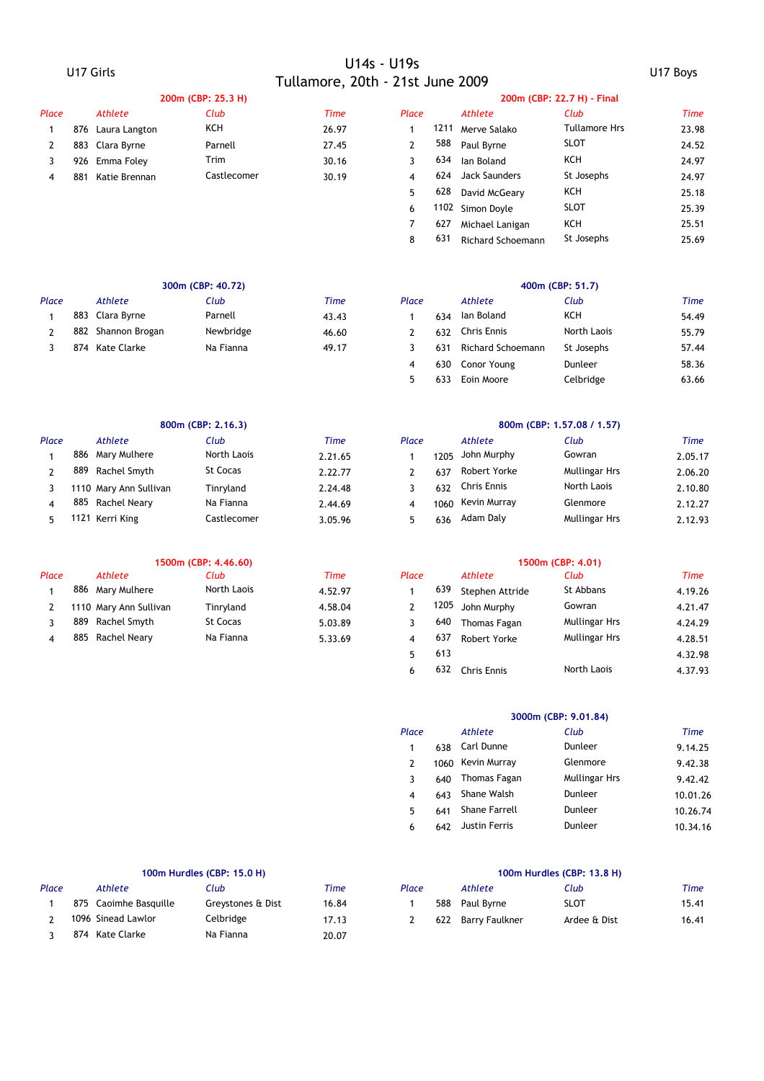# U17 Girls U14s - U19s Tullamore, 20th - 21st June 2009 U17 Boys

|       |     |                   | 200m (CBP: 25.3 H) |       |       |      |               | 200m (CBP: 22.7 H) - Final |
|-------|-----|-------------------|--------------------|-------|-------|------|---------------|----------------------------|
| Place |     | Athlete           | Club               | Time  | Place |      | Athlete       | Club                       |
|       |     | 876 Laura Langton | KCH                | 26.97 |       | 1211 | Merve Salako  | <b>Tullamore Hrs</b>       |
|       |     | 883 Clara Byrne   | Parnell            | 27.45 |       | 588  | Paul Byrne    | <b>SLOT</b>                |
|       |     | 926 Emma Folev    | Trim               | 30.16 |       | 634  | lan Boland    | <b>KCH</b>                 |
| 4     | 881 | Katie Brennan     | Castlecomer        | 30.19 | 4     | 624  | Jack Saunders | St Josephs                 |
|       |     |                   |                    |       | 5.    | 628  | David McGeary | KCH                        |

| Place |     | <b>Athlete</b>  | Club        | <b>Time</b> | Place        |      | Athlete                  | Club                 | Time  |
|-------|-----|-----------------|-------------|-------------|--------------|------|--------------------------|----------------------|-------|
|       | 876 | Laura Langton   | KCH         | 26.97       |              | 1211 | Merve Salako             | <b>Tullamore Hrs</b> | 23.98 |
|       |     | 883 Clara Byrne | Parnell     | 27.45       | $\mathbf{2}$ | 588  | Paul Byrne               | <b>SLOT</b>          | 24.52 |
|       | 926 | Emma Foley      | Trim        | 30.16       |              | 634  | lan Boland               | KCH                  | 24.97 |
| 4     | 881 | Katie Brennan   | Castlecomer | 30.19       | 4            | 624  | Jack Saunders            | St Josephs           | 24.97 |
|       |     |                 |             |             | 5.           | 628  | David McGeary            | KCH                  | 25.18 |
|       |     |                 |             |             | 6            |      | 1102 Simon Doyle         | <b>SLOT</b>          | 25.39 |
|       |     |                 |             |             |              | 627  | Michael Lanigan          | <b>KCH</b>           | 25.51 |
|       |     |                 |             |             | 8            | 631  | <b>Richard Schoemann</b> | St Josephs           | 25.69 |
|       |     |                 |             |             |              |      |                          |                      |       |

|       |     |                 | 300m (CBP: 40.72) |       | 400m (CBP: 51.7) |     |                   |                |       |
|-------|-----|-----------------|-------------------|-------|------------------|-----|-------------------|----------------|-------|
| Place |     | Athlete         | Club              | Time  | Place            |     | Athlete           | Club           | Time  |
|       |     | 883 Clara Byrne | Parnell           | 43.43 |                  | 634 | Ian Boland        | <b>KCH</b>     | 54.49 |
|       | 882 | Shannon Brogan  | Newbridge         | 46.60 |                  | 632 | Chris Ennis       | North Laois    | 55.79 |
|       | 874 | Kate Clarke     | Na Fianna         | 49.17 |                  | 631 | Richard Schoemann | St Josephs     | 57.44 |
|       |     |                 |                   |       |                  |     | $620$ Conor Vound | <b>Duploor</b> | 59.34 |

|       |     |                        | 800m (CBP: 2.16.3) |         | 800m (CBP: 1.57.08 / 1.57) |      |                    |                      |         |  |
|-------|-----|------------------------|--------------------|---------|----------------------------|------|--------------------|----------------------|---------|--|
| Place |     | Athlete                | Club               | Time    | Place                      |      | Athlete            | Club                 | Time    |  |
|       |     | 886 Mary Mulhere       | North Laois        | 2.21.65 |                            | 1205 | John Murphy        | Gowran               | 2.05.17 |  |
|       | 889 | Rachel Smyth           | <b>St Cocas</b>    | 2.22.77 |                            | 637  | Robert Yorke       | <b>Mullingar Hrs</b> | 2.06.20 |  |
|       |     | 1110 Mary Ann Sullivan | Tinrvland          | 2.24.48 |                            | 632  | <b>Chris Ennis</b> | North Laois          | 2.10.80 |  |
|       | 885 | Rachel Nearv           | Na Fianna          | 2.44.69 | 4                          | 1060 | Kevin Murray       | Glenmore             | 2.12.27 |  |
|       |     | 1121 Kerri King        | Castlecomer        | 3.05.96 |                            | 636  | Adam Daly          | <b>Mullingar Hrs</b> | 2.12.93 |  |

|       |     |                        | 1500m (CBP: 4.46.60) |             | 1500m (CBP: 4.01) |      |                 |                      |        |  |
|-------|-----|------------------------|----------------------|-------------|-------------------|------|-----------------|----------------------|--------|--|
| Place |     | Athlete                | Club                 | <b>Time</b> | Place             |      | Athlete         | Club                 | Time   |  |
|       |     | 886 Mary Mulhere       | North Laois          | 4.52.97     |                   | 639  | Stephen Attride | St Abbans            | 4.19.2 |  |
|       |     | 1110 Mary Ann Sullivan | Tinrvland            | 4.58.04     |                   | 205، | John Murphy     | Gowran               | 4.21.4 |  |
|       | 889 | Rachel Smyth           | St Cocas             | 5.03.89     |                   | 640  | Thomas Fagan    | <b>Mullingar Hrs</b> | 4.24.2 |  |
|       | 885 | Rachel Neary           | Na Fianna            | 5.33.69     |                   | 637  | Robert Yorke    | <b>Mullingar Hrs</b> | 4.28.5 |  |
|       |     |                        |                      |             |                   |      |                 |                      |        |  |

|  | 400m (CBP: 51.7 |  |  |
|--|-----------------|--|--|
|  |                 |  |  |

| Club      | Time  | Place |     | Athlete           | Club        | Time  |
|-----------|-------|-------|-----|-------------------|-------------|-------|
| Parnell   | 43.43 |       | 634 | lan Boland        | <b>KCH</b>  | 54.49 |
| Newbridge | 46.60 |       | 632 | Chris Ennis       | North Laois | 55.79 |
| Na Fianna | 49.17 |       | 631 | Richard Schoemann | St Josephs  | 57.44 |
|           |       | 4     | 630 | Conor Young       | Dunleer     | 58.36 |
|           |       | 5     | 633 | Eoin Moore        | Celbridge   | 63.66 |

|     |     | 800m (CBP: 2.16.3)     |             |         |       | 800m (CBP: 1.57.08 / 1.57) |              |                      |         |  |  |  |
|-----|-----|------------------------|-------------|---------|-------|----------------------------|--------------|----------------------|---------|--|--|--|
| асе |     | Athlete                | Club        | Time    | Place |                            | Athlete      | Club                 | Time    |  |  |  |
|     |     | 886 Mary Mulhere       | North Laois | 2.21.65 |       | 1205                       | John Murphy  | Gowran               | 2.05.17 |  |  |  |
|     | 889 | Rachel Smyth           | St Cocas    | 2.22.77 |       | 637                        | Robert Yorke | <b>Mullingar Hrs</b> | 2.06.20 |  |  |  |
|     |     | 1110 Mary Ann Sullivan | Tinrvland   | 2.24.48 |       | 632                        | Chris Ennis  | North Laois          | 2.10.80 |  |  |  |
|     |     | 885 Rachel Neary       | Na Fianna   | 2.44.69 |       | 1060                       | Kevin Murray | Glenmore             | 2.12.27 |  |  |  |
|     |     | 1121 Kerri King        | Castlecomer | 3 05 96 |       | 636                        | Adam Dalv    | <b>Mullingar Hrs</b> | 2 12 93 |  |  |  |

|     |     |                        | 1500M (CBP: 4.46.60) |             | 1500M (CBP: 4.01) |      |                    |                      |             |  |
|-----|-----|------------------------|----------------------|-------------|-------------------|------|--------------------|----------------------|-------------|--|
| асе |     | <b>Athlete</b>         | Club                 | <b>Time</b> | Place             |      | Athlete            | Club                 | <b>Time</b> |  |
|     |     | 886 Mary Mulhere       | North Laois          | 4.52.97     |                   | 639  | Stephen Attride    | St Abbans            | 4.19.26     |  |
|     |     | 1110 Mary Ann Sullivan | Tinryland            | 4.58.04     |                   | 1205 | John Murphy        | Gowran               | 4.21.47     |  |
|     | 889 | Rachel Smyth           | St Cocas             | 5.03.89     |                   | 640  | Thomas Fagan       | <b>Mullingar Hrs</b> | 4.24.29     |  |
| ⊿   |     | 885 Rachel Neary       | Na Fianna            | 5.33.69     | $\overline{4}$    | 637  | Robert Yorke       | Mullingar Hrs        | 4.28.51     |  |
|     |     |                        |                      |             |                   | 613  |                    |                      | 4.32.98     |  |
|     |     |                        |                      |             |                   | 632  | <b>Chris Ennis</b> | North Laois          | 4.37.93     |  |
|     |     |                        |                      |             |                   |      |                    |                      |             |  |

|                |      |                      | 3000m (CBP: 9.01.84) |          |
|----------------|------|----------------------|----------------------|----------|
| Place          |      | Athlete              | Club                 | Time     |
| 1              | 638  | Carl Dunne           | Dunleer              | 9.14.25  |
| $\overline{2}$ | 1060 | Kevin Murray         | Glenmore             | 9.42.38  |
| 3              | 640  | Thomas Fagan         | <b>Mullingar Hrs</b> | 9.42.42  |
| 4              | 643  | Shane Walsh          | Dunleer              | 10.01.26 |
| 5              | 641  | <b>Shane Farrell</b> | Dunleer              | 10.26.74 |
| 6              | 642  | <b>Justin Ferris</b> | Dunleer              | 10.34.16 |

|       |                       | 100m Hurdles (CBP: 15.0 H) |       | 100m Hurdles (CBP: 13.8 H) |     |                |              |       |  |
|-------|-----------------------|----------------------------|-------|----------------------------|-----|----------------|--------------|-------|--|
| Place | Athlete               | Club                       | Time  | Place                      |     | Athlete        | Club         | Time  |  |
|       | 875 Caoimhe Basquille | Greystones & Dist          | 16.84 |                            | 588 | Paul Byrne     | <b>SLOT</b>  | 15.41 |  |
|       | 1096 Sinead Lawlor    | Celbridge                  | 17.13 |                            | 622 | Barry Faulkner | Ardee & Dist | 16.41 |  |
|       | 874 Kate Clarke       | Na Fianna                  | 20.07 |                            |     |                |              |       |  |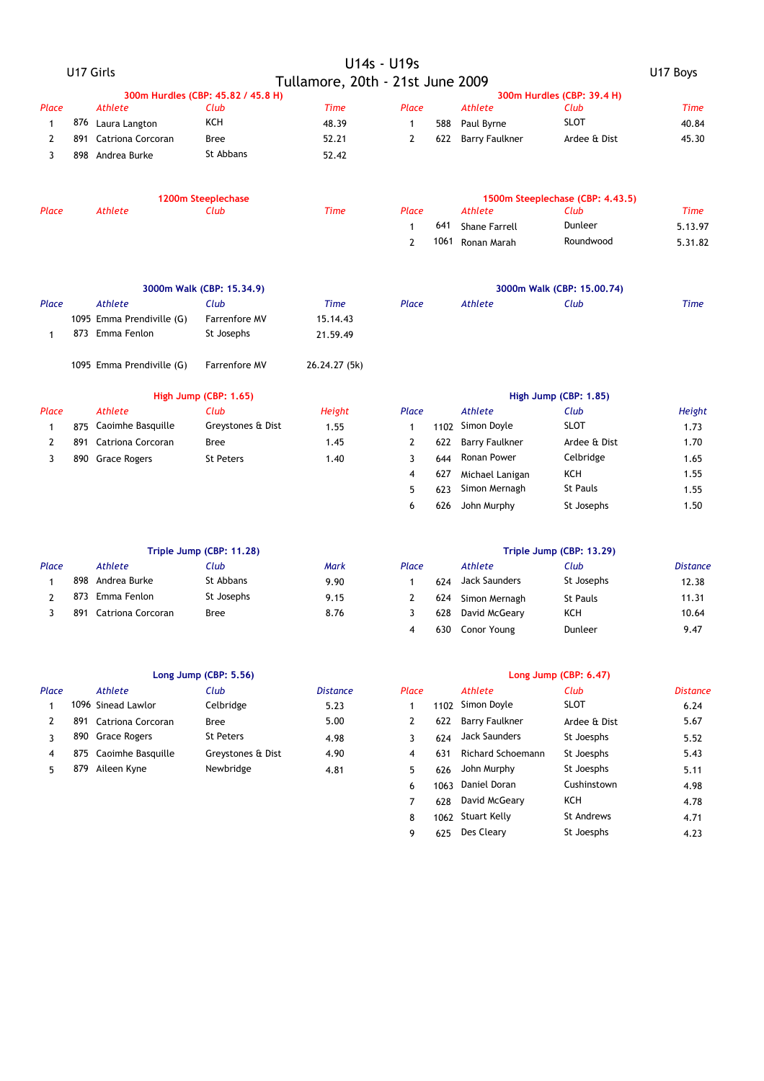|                |     |                           |                                    |                                  | U14s - U19s    |      |                       |                                  |             |
|----------------|-----|---------------------------|------------------------------------|----------------------------------|----------------|------|-----------------------|----------------------------------|-------------|
|                |     | U17 Girls                 |                                    | Tullamore, 20th - 21st June 2009 |                |      |                       |                                  | U17 Boys    |
|                |     |                           | 300m Hurdles (CBP: 45.82 / 45.8 H) |                                  |                |      |                       | 300m Hurdles (CBP: 39.4 H)       |             |
| Place          |     | <b>Athlete</b>            | Club                               | <b>Time</b>                      | Place          |      | <b>Athlete</b>        | Club                             | <b>Time</b> |
| $\mathbf{1}$   |     | 876 Laura Langton         | <b>KCH</b>                         | 48.39                            | $\mathbf{1}$   | 588  | Paul Byrne            | <b>SLOT</b>                      | 40.84       |
| $\mathbf{2}$   |     | 891 Catriona Corcoran     | Bree                               | 52.21                            | $\overline{2}$ | 622  | <b>Barry Faulkner</b> | Ardee & Dist                     | 45.30       |
| 3              |     | 898 Andrea Burke          | St Abbans                          | 52.42                            |                |      |                       |                                  |             |
|                |     |                           | 1200m Steeplechase                 |                                  |                |      |                       | 1500m Steeplechase (CBP: 4.43.5) |             |
| Place          |     | <b>Athlete</b>            | Club                               | <b>Time</b>                      | Place          |      | <b>Athlete</b>        | Club                             | <b>Time</b> |
|                |     |                           |                                    |                                  | $\mathbf{1}$   | 641  | <b>Shane Farrell</b>  | Dunleer                          | 5.13.97     |
|                |     |                           |                                    |                                  | $\overline{2}$ | 1061 | Ronan Marah           | Roundwood                        | 5.31.82     |
|                |     |                           | 3000m Walk (CBP: 15.34.9)          |                                  |                |      |                       | 3000m Walk (CBP: 15.00.74)       |             |
| Place          |     | <b>Athlete</b>            | Club                               | <b>Time</b>                      | Place          |      | Athlete               | Club                             | <b>Time</b> |
|                |     | 1095 Emma Prendiville (G) | <b>Farrenfore MV</b>               | 15.14.43                         |                |      |                       |                                  |             |
| $\mathbf{1}$   |     | 873 Emma Fenlon           | St Josephs                         | 21.59.49                         |                |      |                       |                                  |             |
|                |     | 1095 Emma Prendiville (G) | Farrenfore MV                      | 26.24.27 (5k)                    |                |      |                       |                                  |             |
|                |     |                           | High Jump (CBP: 1.65)              |                                  |                |      |                       | High Jump (CBP: 1.85)            |             |
| Place          |     | <b>Athlete</b>            | Club                               | Height                           | Place          |      | <b>Athlete</b>        | Club                             | Height      |
| $\mathbf{1}$   |     | 875 Caoimhe Basquille     | Greystones & Dist                  | 1.55                             | $\mathbf{1}$   | 1102 | Simon Doyle           | <b>SLOT</b>                      | 1.73        |
| $\overline{2}$ | 891 | <b>Catriona Corcoran</b>  | Bree                               | 1.45                             | 2              | 622  | <b>Barry Faulkner</b> | Ardee & Dist                     | 1.70        |
| 3              |     | 890 Grace Rogers          | <b>St Peters</b>                   | 1.40                             | 3              | 644  | Ronan Power           | Celbridge                        | 1.65        |
|                |     |                           |                                    |                                  | 4              | 627  | Michael Lanigan       | <b>KCH</b>                       | 1.55        |
|                |     |                           |                                    |                                  | 5              | 623  | Simon Mernagh         | <b>St Pauls</b>                  | 1.55        |
|                |     |                           |                                    |                                  | 6              | 626  | John Murphy           | St Josephs                       | 1.50        |
|                |     |                           | Triple Jump (CBP: 11.28)           |                                  |                |      |                       | Triple Jump (CBP: 13.29)         |             |

|       | Triple Jump (CBP: 11.28) |                   |            |             |       | Triple Jump (CBP: 13.29) |               |                 |                 |  |  |
|-------|--------------------------|-------------------|------------|-------------|-------|--------------------------|---------------|-----------------|-----------------|--|--|
| Place |                          | Athlete           | Club       | <b>Mark</b> | Place |                          | Athlete       | Club            | <b>Distance</b> |  |  |
|       |                          | 898 Andrea Burke  | St Abbans  | 9.90        |       | 624                      | Jack Saunders | St Josephs      | 12.38           |  |  |
|       | 873                      | Emma Fenlon       | St Josephs | 9.15        |       | 624                      | Simon Mernagh | <b>St Pauls</b> | 11.31           |  |  |
|       | 891                      | Catriona Corcoran | Bree       | 8.76        |       | 628                      | David McGeary | KCH             | 10.64           |  |  |

|       |     | Long Jump (CBP: 5.56) |                   | Long Jump (CBP: 6.47) |       |                 |                       |              |                 |
|-------|-----|-----------------------|-------------------|-----------------------|-------|-----------------|-----------------------|--------------|-----------------|
| Place |     | Athlete               | Club              | <b>Distance</b>       | Place |                 | Athlete               | Club         | <b>Distance</b> |
|       |     | 1096 Sinead Lawlor    | Celbridge         | 5.23                  |       | 1102            | Simon Doyle           | <b>SLOT</b>  | 6.24            |
|       | 891 | Catriona Corcoran     | Bree              | 5.00                  |       | 622             | <b>Barry Faulkner</b> | Ardee & Dist | 5.67            |
|       |     | 890 Grace Rogers      | <b>St Peters</b>  | 4.98                  |       | 624             | Jack Saunders         | St Joesphs   | 5.52            |
|       | 875 | Caoimhe Basquille     | Greystones & Dist | 4.90                  |       | 63 <sup>4</sup> | Richard Schoemann     | St Joesphs   | 5.43            |
|       | 879 | Aileen Kvne           | Newbridge         | 4.81                  |       | 626             | John Murphy           | St Joesphs   | 5.11            |

| Club       | Mark | Place |     | Athlete           | Club            | <b>Distance</b> |
|------------|------|-------|-----|-------------------|-----------------|-----------------|
| St Abbans  | 9.90 |       | 624 | Jack Saunders     | St Josephs      | 12.38           |
| St Josephs | 9.15 |       |     | 624 Simon Mernagh | <b>St Pauls</b> | 11.31           |
| Bree       | 8.76 |       |     | 628 David McGeary | ксн             | 10.64           |
|            |      | 4     | 630 | Conor Young       | Dunleer         | 9.47            |

|        | Long Jump (CBP: 5.56) |                 |       |      |                   | Long Jump (CBP: 6.47) |                 |
|--------|-----------------------|-----------------|-------|------|-------------------|-----------------------|-----------------|
|        | Club                  | <b>Distance</b> | Place |      | Athlete           | Club                  | <b>Distance</b> |
|        | Celbridge             | 5.23            | 1     | 1102 | Simon Doyle       | <b>SLOT</b>           | 6.24            |
| oran:  | <b>Bree</b>           | 5.00            | 2     | 622  | Barry Faulkner    | Ardee & Dist          | 5.67            |
|        | <b>St Peters</b>      | 4.98            | 3     | 624  | Jack Saunders     | St Joesphs            | 5.52            |
| ıuille | Greystones & Dist     | 4.90            | 4     | 631  | Richard Schoemann | St Joesphs            | 5.43            |
|        | Newbridge             | 4.81            | 5     | 626  | John Murphy       | St Joesphs            | 5.11            |
|        |                       |                 | 6     | 1063 | Daniel Doran      | Cushinstown           | 4.98            |
|        |                       |                 | 7     | 628  | David McGeary     | <b>KCH</b>            | 4.78            |
|        |                       |                 | 8     |      | 1062 Stuart Kelly | <b>St Andrews</b>     | 4.71            |
|        |                       |                 | 9     | 625  | Des Cleary        | St Joesphs            | 4.23            |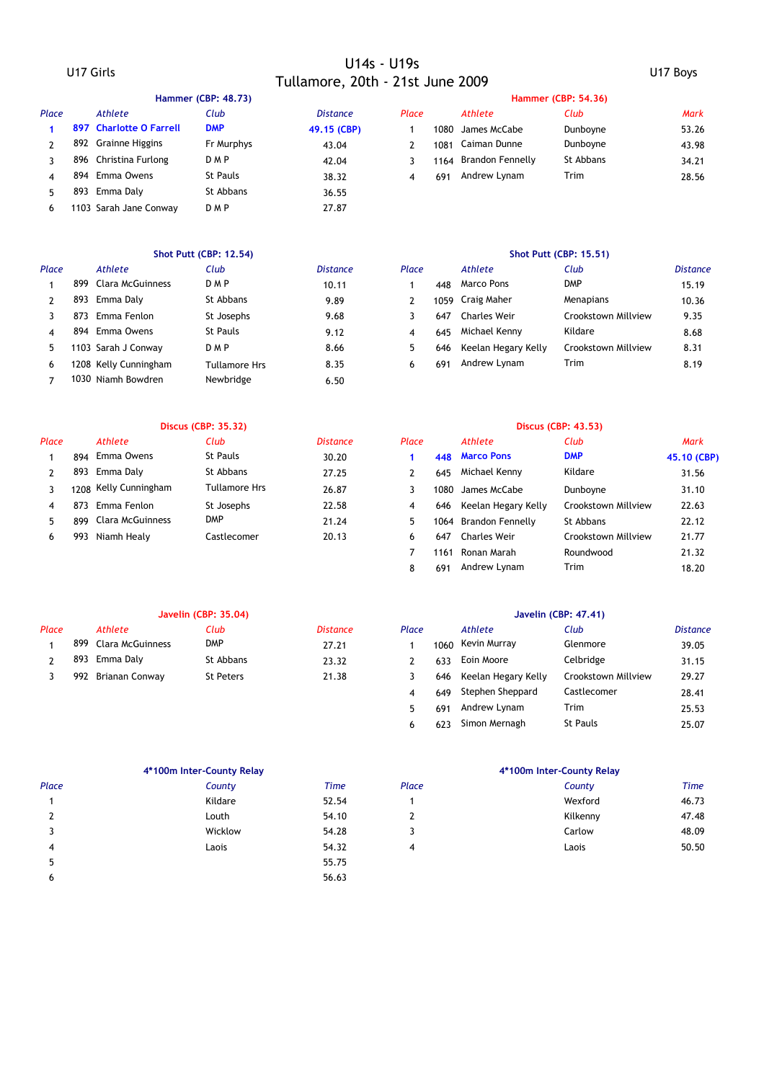# U17 Girls U14s - U19s Tullamore, 20th - 21st June 2009 U17 Boys

|       |                         | Hammer (CBP: 48.73) |                 |       |      |                   | <b>Hammer (CBP: 54.36)</b> |
|-------|-------------------------|---------------------|-----------------|-------|------|-------------------|----------------------------|
| Place | Athlete                 | Club                | <b>Distance</b> | Place |      | <b>Athlete</b>    | Club                       |
|       | 897 Charlotte O Farrell | <b>DMP</b>          | 49.15 (CBP)     |       | 1080 | James McCabe      | Dunboyne                   |
|       | 892 Grainne Higgins     | Fr Murphys          | 43.04           |       |      | 1081 Caiman Dunne | Dunboyne                   |
|       | 896 Christina Furlong   | <b>DMP</b>          | 42.04           |       | 1164 | Brandon Fennelly  | St Abbans                  |
|       | 894 Emma Owens          | St Pauls            | 38.32           | 4     | 691  | Andrew Lynam      | Trim                       |
|       | 893 Emma Daly           | St Abbans           | 36.55           |       |      |                   |                            |
| 6     | 1103 Sarah Jane Conway  | <b>DMP</b>          | 27.87           |       |      |                   |                            |

| Place |     | Athlete               | Club            | <i>Distance</i> | Place |     | Athlete             | Club                |
|-------|-----|-----------------------|-----------------|-----------------|-------|-----|---------------------|---------------------|
|       |     | 899 Clara McGuinness  | <b>DMP</b>      | 10.11           |       | 448 | Marco Pons          | <b>DMP</b>          |
|       | 893 | Emma Daly             | St Abbans       | 9.89            |       |     | 1059 Craig Maher    | Menapians           |
|       | 873 | Emma Fenlon           | St Josephs      | 9.68            |       | 647 | <b>Charles Weir</b> | Crookstown Millview |
| 4     |     | 894 Emma Owens        | <b>St Pauls</b> | 9.12            | 4     | 645 | Michael Kenny       | Kildare             |
|       |     | 1103 Sarah J Conway   | D M P           | 8.66            | 5     | 646 | Keelan Hegary Kelly | Crookstown Millview |
| 6     |     | 1208 Kelly Cunningham | Tullamore Hrs   | 8.35            | 6     | 691 | Andrew Lynam        | Trim                |
|       |     | 1030 Niamh Bowdren    | Newbridge       | 6.50            |       |     |                     |                     |

| Place | Athlete               | Club                 | <b>Distance</b> | Place |     | Athlete                 | Club                |
|-------|-----------------------|----------------------|-----------------|-------|-----|-------------------------|---------------------|
|       | 894 Emma Owens        | St Pauls             | 30.20           |       |     | 448 Marco Pons          | <b>DMP</b>          |
|       | 893 Emma Daly         | St Abbans            | 27.25           |       | 645 | Michael Kenny           | Kildare             |
|       | 1208 Kelly Cunningham | <b>Tullamore Hrs</b> | 26.87           |       |     | 1080 James McCabe       | Dunboyne            |
|       | 873 Emma Fenlon       | St Josephs           | 22.58           | 4     |     | 646 Keelan Hegary Kelly | Crookstown Millview |
|       | 899 Clara McGuinness  | <b>DMP</b>           | 21.24           |       |     | 1064 Brandon Fennelly   | St Abbans           |
| 6     | 993 Niamh Healy       | Castlecomer          | 20.13           |       | 647 | <b>Charles Weir</b>     | Crookstown Millview |
|       |                       |                      |                 |       |     |                         |                     |

### **Javelin (CBP: 35.04) Javelin (CBP: 47.41)**

| Place |     | Athlete          | Club      | Distance | Place |      | Athlete             | Club                | Distance |
|-------|-----|------------------|-----------|----------|-------|------|---------------------|---------------------|----------|
|       | 899 | Clara McGuinness | DMP       | 27.21    |       | 1060 | Kevin Murray        | Glenmore            | 39.05    |
|       | 893 | Emma Daly        | St Abbans | 23.32    |       | 633  | Eoin Moore          | Celbridge           | 31.15    |
|       | 992 | Brianan Conway   | St Peters | 21.38    |       | 646  | Keelan Hegary Kelly | Crookstown Millview | 29.27    |

|                | 4*100m Inter-County Relay |             |
|----------------|---------------------------|-------------|
| Place          | County                    | <b>Time</b> |
| 1              | Kildare                   | 52.54       |
| $\overline{2}$ | Louth                     | 54.10       |
| 3              | Wicklow                   | 54.28       |
| 4              | Laois                     | 54.32       |
| 5              |                           | 55.75       |
| 6              |                           | 56.63       |

|       | <b>Hammer (CDP; 48.73)</b> |                         |            |                 |       | Hammer (CDP; 54.30) |                  |           |             |  |  |  |
|-------|----------------------------|-------------------------|------------|-----------------|-------|---------------------|------------------|-----------|-------------|--|--|--|
| Place |                            | Athlete                 | Club       | <b>Distance</b> | Place |                     | Athlete          | Club      | <b>Mark</b> |  |  |  |
|       |                            | 897 Charlotte O Farrell | DMP        | 49.15 (CBP)     |       | 1080                | James McCabe     | Dunboyne  | 53.26       |  |  |  |
|       |                            | 892 Grainne Higgins     | Fr Murphys | 43.04           |       | 1081                | Caiman Dunne     | Dunboyne  | 43.98       |  |  |  |
|       | 896                        | Christina Furlong       | D M P      | 42.04           |       | 1164                | Brandon Fennelly | St Abbans | 34.21       |  |  |  |
|       | 894                        | Emma Owens              | St Pauls   | 38.32           | 4     | 691                 | Andrew Lynam     | Trim      | 28.56       |  |  |  |
|       |                            |                         |            |                 |       |                     |                  |           |             |  |  |  |

### **Shot Putt (CBP: 12.54) Shot Putt (CBP: 15.51)**

| Place |     | Athlete                 | Club          | <i>Distance</i> | Place |      | Athlete             | Club                | <b>Distance</b> |
|-------|-----|-------------------------|---------------|-----------------|-------|------|---------------------|---------------------|-----------------|
|       | 899 | <b>Clara McGuinness</b> | D M P         | 10.11           |       | 448  | <b>Marco Pons</b>   | <b>DMP</b>          | 15.19           |
|       |     | 893 Emma Daly           | St Abbans     | 9.89            |       | 1059 | Craig Maher         | <b>Menapians</b>    | 10.36           |
|       | 873 | Emma Fenlon             | St Josephs    | 9.68            |       | 647  | <b>Charles Weir</b> | Crookstown Millview | 9.35            |
|       | 894 | Emma Owens              | St Pauls      | 9.12            |       | 645  | Michael Kenny       | Kildare             | 8.68            |
|       |     | 1103 Sarah J Conway     | D M P         | 8.66            |       | 646  | Keelan Hegary Kelly | Crookstown Millview | 8.31            |
| 6     |     | 1208 Kelly Cunningham   | Tullamore Hrs | 8.35            |       | 691  | Andrew Lynam        | Trim                | 8.19            |

|               | <b>Discus (CBP: 35.32)</b> |                       |                      |                 |       | Discus (CBP: 43.53) |                     |                     |             |  |
|---------------|----------------------------|-----------------------|----------------------|-----------------|-------|---------------------|---------------------|---------------------|-------------|--|
| Place         |                            | Athlete               | Club                 | <b>Distance</b> | Place |                     | Athlete             | Club                | Mark        |  |
|               | 894                        | Emma Owens            | St Pauls             | 30.20           |       | 448                 | <b>Marco Pons</b>   | <b>DMP</b>          | 45.10 (CBP) |  |
| $\mathcal{P}$ |                            | 893 Emma Daly         | St Abbans            | 27.25           |       | 645                 | Michael Kenny       | Kildare             | 31.56       |  |
|               |                            | 1208 Kelly Cunningham | <b>Tullamore Hrs</b> | 26.87           | 3     | 1080                | James McCabe        | Dunboyne            | 31.10       |  |
| 4             | 873                        | Emma Fenlon           | St Josephs           | 22.58           | 4     | 646                 | Keelan Hegary Kelly | Crookstown Millview | 22.63       |  |
|               | 899                        | Clara McGuinness      | <b>DMP</b>           | 21.24           | 5     | 1064                | Brandon Fennelly    | St Abbans           | 22.12       |  |
| 6             | 993                        | Niamh Healy           | Castlecomer          | 20.13           | 6     | 647                 | <b>Charles Weir</b> | Crookstown Millview | 21.77       |  |
|               |                            |                       |                      |                 |       | 1161                | Ronan Marah         | Roundwood           | 21.32       |  |
|               |                            |                       |                      |                 | 8     | 691                 | Andrew Lynam        | Trim                | 18.20       |  |

| Club             | <b>Distance</b> | Place |      | Athlete                 | Club                | <b>Distance</b> |
|------------------|-----------------|-------|------|-------------------------|---------------------|-----------------|
| <b>DMP</b>       | 27.21           |       | 1060 | Kevin Murray            | Glenmore            | 39.05           |
| St Abbans        | 23.32           |       | 633  | Eoin Moore              | Celbridge           | 31.15           |
| <b>St Peters</b> | 21.38           | 3     |      | 646 Keelan Hegary Kelly | Crookstown Millview | 29.27           |
|                  |                 | 4     | 649  | Stephen Sheppard        | Castlecomer         | 28.41           |
|                  |                 | 5     | 691  | Andrew Lynam            | Trim                | 25.53           |
|                  |                 | 6     | 623  | Simon Mernagh           | <b>St Pauls</b>     | 25.07           |

### **4\*100m Inter-County Relay 4\*100m Inter-County Relay**

| Place | County  | <b>Time</b> | Place | County   | <b>Time</b> |
|-------|---------|-------------|-------|----------|-------------|
|       | Kildare | 52.54       |       | Wexford  | 46.73       |
|       | Louth   | 54.10       | -     | Kilkenny | 47.48       |
|       | Wicklow | 54.28       |       | Carlow   | 48.09       |
|       | Laois   | 54.32       |       | Laois    | 50.50       |
|       |         |             |       |          |             |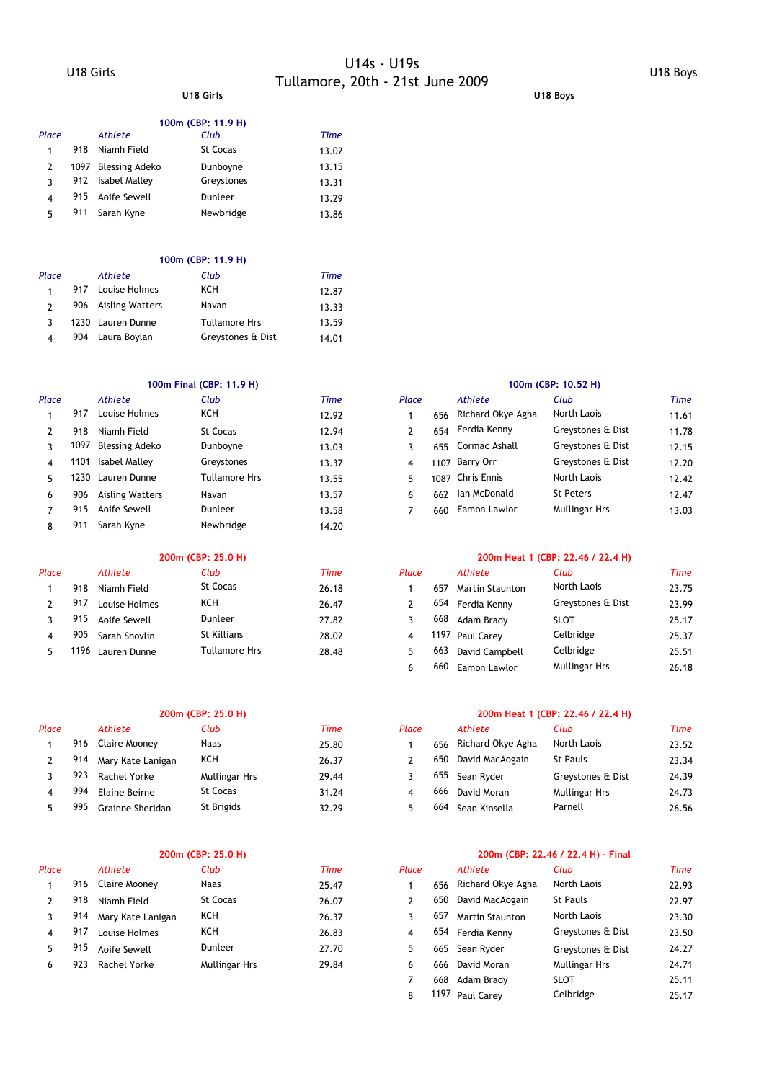# U18 Girls U14s - U19s Tullamore, 20th - 21st June 2009 U18 Boys **U18 Girls U18 Boys**

### **100m (CBP: 11.9 H)**

| Place |     | Athlete             | Club            | Time  |
|-------|-----|---------------------|-----------------|-------|
| 1     | 918 | Niamh Field         | <b>St Cocas</b> | 13.02 |
| 2     |     | 1097 Blessing Adeko | Dunboyne        | 13.15 |
| ર     |     | 912 Isabel Malley   | Greystones      | 13.31 |
| 4     | 915 | Aoife Sewell        | Dunleer         | 13.29 |
| 5     | 911 | Sarah Kyne          | Newbridge       | 13.86 |

### **100m (CBP: 11.9 H)**

| Place                  | Athlete             | Club                 | Time  |
|------------------------|---------------------|----------------------|-------|
|                        | 917 Louise Holmes   | KCH                  | 12.87 |
|                        | 906 Aisling Watters | Navan                | 13.33 |
|                        | 1230 Lauren Dunne   | <b>Tullamore Hrs</b> | 13.59 |
| $\boldsymbol{\Lambda}$ | 904 Laura Boylan    | Greystones & Dist    | 14.01 |

### **100m Final (CBP: 11.9 H) 100m (CBP: 10.52 H)**

| Place |      | <b>Athlete</b>         | Club           | Time  | Place |     | Athlete           | Club              | <b>Time</b> |
|-------|------|------------------------|----------------|-------|-------|-----|-------------------|-------------------|-------------|
|       | 917  | Louise Holmes          | KCH            | 12.92 |       | 656 | Richard Okye Agha | North Laois       | 11.61       |
|       | 918  | Niamh Field            | St Cocas       | 12.94 |       | 654 | Ferdia Kennv      | Greystones & Dist | 11.78       |
|       | 1097 | Blessing Adeko         | Dunboyne       | 13.03 |       | 655 | Cormac Ashall     | Greystones & Dist | 12.15       |
| 4     | 1101 | Isabel Malley          | Greystones     | 13.37 | 4     |     | 1107 Barry Orr    | Greystones & Dist | 12.20       |
| 5.    | 1230 | Lauren Dunne           | Tullamore Hrs  | 13.55 | 5     |     | 1087 Chris Ennis  | North Laois       | 12.42       |
| 6     | 906  | <b>Aisling Watters</b> | Navan          | 13.57 | 6     | 662 | Ian McDonald      | St Peters         | 12.47       |
|       | 915  | Aoife Sewell           | <b>Dunleer</b> | 13.58 |       | 660 | Eamon Lawlor      | Mullingar Hrs     | 13.03       |
| 8     | 911  | Sarah Kyne             | Newbridge      | 14.20 |       |     |                   |                   |             |

|       | 200m (CBP: 25.0 H) |               |                 |       |       | 200m Heat 1 (CBP: 22.46 / 22.4 H) |                        |                   |       |  |  |
|-------|--------------------|---------------|-----------------|-------|-------|-----------------------------------|------------------------|-------------------|-------|--|--|
| Place |                    | Athlete       | Club            | Time  | Place |                                   | Athlete                | Club              | Time  |  |  |
|       | 918                | Niamh Field   | <b>St Cocas</b> | 26.18 |       | 657                               | <b>Martin Staunton</b> | North Laois       | 23.75 |  |  |
|       | 917                | Louise Holmes | <b>KCH</b>      | 26.47 |       |                                   | 654 Ferdia Kenny       | Greystones & Dist | 23.99 |  |  |
|       | 915                | Aoife Sewell  | Dunleer         | 27.82 |       | 668                               | Adam Brady             | <b>SLOT</b>       | 25.17 |  |  |
|       | 905                | Sarah Shovlin | St Killians     | 28.02 |       |                                   | 1197 Paul Carey        | Celbridge         | 25.37 |  |  |
|       | 1196               | Lauren Dunne  | Tullamore Hrs   | 28.48 |       | 663                               | David Campbell         | Celbridge         | 25.51 |  |  |

| Place |     | <b>Athlete</b>    | Club            | Time  | Place |     | <b>Athlete</b>    | Club              | Time  |
|-------|-----|-------------------|-----------------|-------|-------|-----|-------------------|-------------------|-------|
|       | 916 | Claire Mooney     | Naas            | 25.80 |       | 656 | Richard Okye Agha | North Laois       | 23.52 |
|       | 914 | Mary Kate Lanigan | <b>KCH</b>      | 26.37 |       | 650 | David MacAogain   | <b>St Pauls</b>   | 23.34 |
|       | 923 | Rachel Yorke      | Mullingar Hrs   | 29.44 |       | 655 | Sean Ryder        | Greystones & Dist | 24.39 |
|       | 994 | Elaine Beirne     | <b>St Cocas</b> | 31.24 |       | 666 | David Moran       | Mullingar Hrs     | 24.73 |
|       | 995 | Grainne Sheridan  | St Brigids      | 32.29 |       | 664 | Sean Kinsella     | Parnell           | 26.56 |

| Place |     | Athlete              | Club          | Time  | Place |     | Athlete                | Club              | Time  |
|-------|-----|----------------------|---------------|-------|-------|-----|------------------------|-------------------|-------|
|       | 916 | <b>Claire Mooney</b> | <b>Naas</b>   | 25.47 |       | 656 | Richard Okye Agha      | North Laois       | 22.93 |
|       | 918 | Niamh Field          | St Cocas      | 26.07 |       | 650 | David MacAogain        | <b>St Pauls</b>   | 22.97 |
|       | 914 | Mary Kate Lanigan    | <b>KCH</b>    | 26.37 |       | 657 | <b>Martin Staunton</b> | North Laois       | 23.30 |
|       | 917 | Louise Holmes        | <b>KCH</b>    | 26.83 | 4     | 654 | Ferdia Kenny           | Greystones & Dist | 23.50 |
|       | 915 | Aoife Sewell         | Dunleer       | 27.70 |       | 665 | Sean Ryder             | Greystones & Dist | 24.27 |
|       | 923 | Rachel Yorke         | Mullingar Hrs | 29.84 |       | 666 | David Moran            | Mullingar Hrs     | 24.71 |

| Place |     | Athlete           | Club                 | <b>Time</b> |
|-------|-----|-------------------|----------------------|-------------|
| 1     | 656 | Richard Okye Agha | North Laois          | 11.61       |
| 2     |     | 654 Ferdia Kenny  | Greystones & Dist    | 11.78       |
| 3     |     | 655 Cormac Ashall | Greystones & Dist    | 12.15       |
| 4     |     | 1107 Barry Orr    | Greystones & Dist    | 12.20       |
| 5     |     | 1087 Chris Ennis  | North Laois          | 12.42       |
| 6     | 662 | Ian McDonald      | <b>St Peters</b>     | 12.47       |
| 7     | 660 | Eamon Lawlor      | <b>Mullingar Hrs</b> | 13.03       |

### **200m (CBP: 25.0 H) 200m Heat 1 (CBP: 22.46 / 22.4 H)**

| асе |      | <b>Athlete</b> | Club                 | Time  | Place |     | Athlete                | Club                 | Time  |
|-----|------|----------------|----------------------|-------|-------|-----|------------------------|----------------------|-------|
|     | 918  | Niamh Field    | St Cocas             | 26.18 |       | 657 | <b>Martin Staunton</b> | North Laois          | 23.75 |
|     | 917  | Louise Holmes  | KCH                  | 26.47 |       | 654 | Ferdia Kenny           | Greystones & Dist    | 23.99 |
|     | 915  | Aoife Sewell   | Dunleer              | 27.82 |       | 668 | Adam Brady             | <b>SLOT</b>          | 25.17 |
|     | 905  | Sarah Shovlin  | <b>St Killians</b>   | 28.02 | 4     |     | 1197 Paul Carey        | Celbridge            | 25.37 |
|     | 1196 | Lauren Dunne   | <b>Tullamore Hrs</b> | 28.48 | 5.    | 663 | David Campbell         | Celbridge            | 25.51 |
|     |      |                |                      |       | 6     | 660 | Eamon Lawlor           | <b>Mullingar Hrs</b> | 26.18 |

### **200m (CBP: 25.0 H) 200m Heat 1 (CBP: 22.46 / 22.4 H)**

| lace          |     | Athlete           | Club              | Time  |
|---------------|-----|-------------------|-------------------|-------|
| $\mathbf{1}$  | 656 | Richard Okye Agha | North Laois       | 23.52 |
| $\mathcal{P}$ | 650 | David MacAogain   | <b>St Pauls</b>   | 23.34 |
| 3             |     | 655 Sean Ryder    | Greystones & Dist | 24.39 |
| 4             | 666 | David Moran       | Mullingar Hrs     | 24.73 |
| 5             | 664 | Sean Kinsella     | Parnell           | 26.56 |

### **200m (CBP: 25.0 H) 200m (CBP: 22.46 / 22.4 H) - Final**

| <b>ace</b>     |      | <b>Athlete</b>         | Club                 | <b>Time</b> |
|----------------|------|------------------------|----------------------|-------------|
| 1              | 656  | Richard Okye Agha      | North Laois          | 22.93       |
| $\overline{2}$ | 650  | David MacAogain        | <b>St Pauls</b>      | 22.97       |
| 3              | 657  | <b>Martin Staunton</b> | North Laois          | 23.30       |
| $\overline{4}$ | 654  | Ferdia Kenny           | Greystones & Dist    | 23.50       |
| 5              |      | 665 Sean Ryder         | Greystones & Dist    | 24.27       |
| 6              | 666  | David Moran            | <b>Mullingar Hrs</b> | 24.71       |
| 7              | 668  | Adam Brady             | <b>SLOT</b>          | 25.11       |
| 8              | 1197 | Paul Carev             | Celbridge            | 25.17       |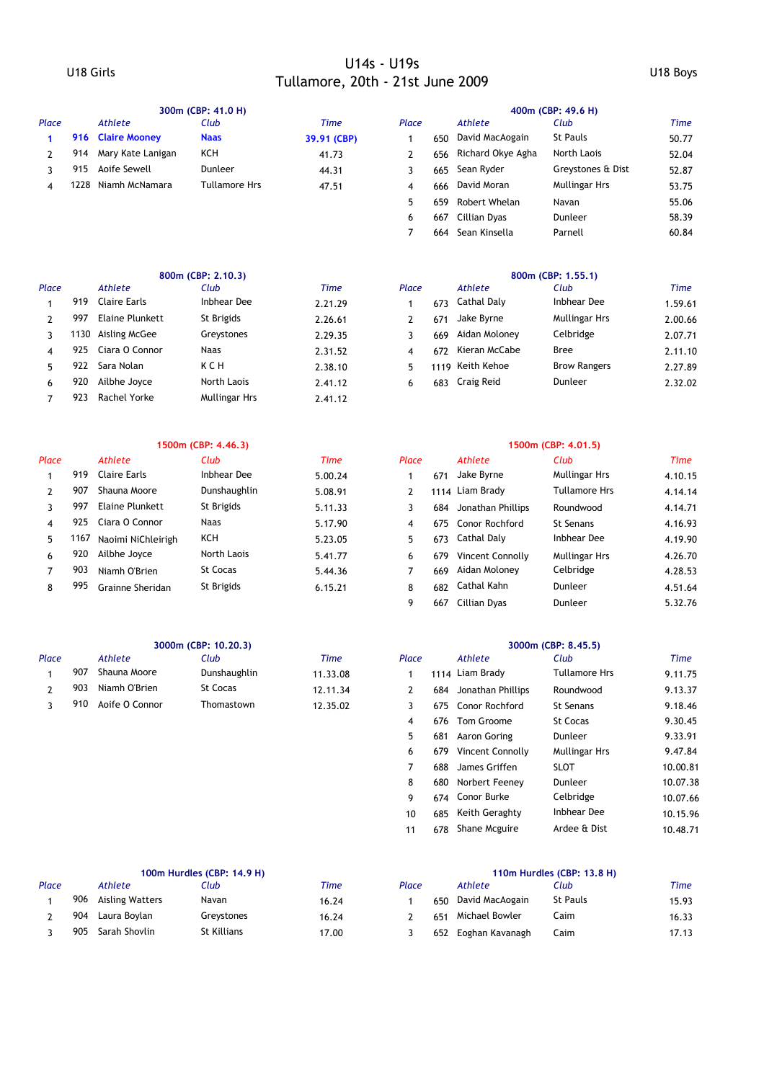# U18 Girls U14s - U19s Tullamore, 20th - 21st June 2009 U18 Boys

|                |      |                        | 300m (CBP: 41.0 H)   |             |                |      |                   | 400m (CBP: 49.6 H)   |             |
|----------------|------|------------------------|----------------------|-------------|----------------|------|-------------------|----------------------|-------------|
| Place          |      | <b>Athlete</b>         | Club                 | <b>Time</b> | Place          |      | <b>Athlete</b>    | Club                 | <b>Time</b> |
| 1              | 916  | <b>Claire Mooney</b>   | <b>Naas</b>          | 39.91 (CBP) | 1              | 650  | David MacAogain   | <b>St Pauls</b>      | 50.77       |
| $\overline{2}$ | 914  | Mary Kate Lanigan      | KCH                  | 41.73       | $\overline{2}$ | 656  | Richard Okye Agha | North Laois          | 52.04       |
| 3              | 915  | Aoife Sewell           | Dunleer              | 44.31       | 3              | 665  | Sean Ryder        | Greystones & Dist    | 52.87       |
| 4              | 1228 | Niamh McNamara         | <b>Tullamore Hrs</b> | 47.51       | 4              | 666  | David Moran       | <b>Mullingar Hrs</b> | 53.75       |
|                |      |                        |                      |             | 5              | 659  | Robert Whelan     | Navan                | 55.06       |
|                |      |                        |                      |             | 6              | 667  | Cillian Dyas      | Dunleer              | 58.39       |
|                |      |                        |                      |             | $\overline{7}$ | 664  | Sean Kinsella     | Parnell              | 60.84       |
|                |      |                        | 800m (CBP: 2.10.3)   |             |                |      |                   | 800m (CBP: 1.55.1)   |             |
| Place          |      | Athlete                | Club                 | <b>Time</b> | Place          |      | Athlete           | Club                 | <b>Time</b> |
| $\mathbf{1}$   | 919  | <b>Claire Earls</b>    | Inbhear Dee          | 2.21.29     | $\mathbf{1}$   | 673  | Cathal Daly       | Inbhear Dee          | 1.59.61     |
| $\overline{2}$ | 997  | <b>Elaine Plunkett</b> | St Brigids           | 2.26.61     | $\overline{2}$ | 671  | Jake Byrne        | <b>Mullingar Hrs</b> | 2.00.66     |
| 3              | 1130 | Aisling McGee          | Greystones           | 2.29.35     | 3              | 669  | Aidan Moloney     | Celbridge            | 2.07.71     |
| 4              | 925  | Ciara O Connor         | Naas                 | 2.31.52     | 4              | 672  | Kieran McCabe     | Bree                 | 2.11.10     |
| 5              | 922  | Sara Nolan             | KCH                  | 2.38.10     | 5              | 1119 | Keith Kehoe       | <b>Brow Rangers</b>  | 2.27.89     |
| 6              | 920  | Ailbhe Joyce           | North Laois          | 2.41.12     | 6              | 683  | Craig Reid        | Dunleer              | 2.32.02     |
| $\overline{7}$ | 923  | Rachel Yorke           | Mullingar Hrs        | 2.41.12     |                |      |                   |                      |             |
|                |      |                        | 1500m (CBP: 4.46.3)  |             |                |      |                   | 1500m (CBP: 4.01.5)  |             |
| Place          |      | <b>Athlete</b>         | Club                 | <b>Time</b> | Place          |      | <b>Athlete</b>    | Club                 | <b>Time</b> |
| 1              | 919  | <b>Claire Earls</b>    | <b>Inbhear Dee</b>   | 5.00.24     | $\mathbf{1}$   | 671  | Jake Byrne        | <b>Mullingar Hrs</b> | 4.10.15     |
| $\overline{2}$ | 907  | Shauna Moore           | Dunshaughlin         | 5.08.91     | $\mathbf{2}$   |      | 1114 Liam Brady   | <b>Tullamore Hrs</b> | 4.14.14     |
| 3              | 997  | <b>Elaine Plunkett</b> | St Brigids           | 5.11.33     | 3              | 684  | Jonathan Phillips | Roundwood            | 4.14.71     |
| 4              | 925  | Ciara O Connor         | <b>Naas</b>          | 5.17.90     | 4              | 675  | Conor Rochford    | St Senans            | 4.16.93     |
| 5              | 1167 | Naoimi NiChleirigh     | <b>KCH</b>           | 5.23.05     | 5              | 673  | Cathal Daly       | <b>Inbhear Dee</b>   | 4.19.90     |
| 6              | 920  | Ailbhe Joyce           | North Laois          | 5.41.77     | 6              | 679  | Vincent Connolly  | <b>Mullingar Hrs</b> | 4.26.70     |
| 7              | 903  | Niamh O'Brien          | <b>St Cocas</b>      | 5.44.36     | $\overline{7}$ | 669  | Aidan Moloney     | Celbridge            | 4.28.53     |
| 8              | 995  | Grainne Sheridan       | St Brigids           | 6.15.21     | 8              | 682  | Cathal Kahn       | Dunleer              | 4.51.64     |
|                |      |                        |                      |             | 9              |      | 667 Cillian Dyas  | Dunleer              | 5.32.76     |
|                |      |                        | 3000m (CBP: 10.20.3) |             |                |      |                   | 3000m (CBP: 8.45.5)  |             |
| Place          |      | <b>Athlete</b>         | Club                 | <b>Time</b> | Place          |      | <b>Athlete</b>    | Club                 | <b>Time</b> |
| 1              | 907  | Shauna Moore           | Dunshaughlin         | 11.33.08    | $\mathbf{1}$   |      | 1114 Liam Brady   | <b>Tullamore Hrs</b> | 9.11.75     |
| 2              |      | Niamh O'Brien          | <b>St Cocas</b>      | 12.11.34    | 2              | 684  | Jonathan Phillips | Roundwood            | 9.13.37     |
|                | 903  |                        |                      |             |                |      |                   |                      |             |
| 3              | 910  | Aoife O Connor         | Thomastown           | 12.35.02    | 3              | 675  | Conor Rochford    | <b>St Senans</b>     | 9.18.46     |
|                |      |                        |                      |             | 4              | 676  | Tom Groome        | <b>St Cocas</b>      | 9.30.45     |
|                |      |                        |                      |             | 5              | 681  | Aaron Goring      | Dunleer              | 9.33.91     |

|       | 100m Hurdles (CBP: 14.9 H) |                 |             |       | 110m Hurdles (CBP: 13.8 H) |     |                 |                 |       |  |
|-------|----------------------------|-----------------|-------------|-------|----------------------------|-----|-----------------|-----------------|-------|--|
| Place |                            | Athlete         | Club        | Time  | Place                      |     | Athlete         | Club            | Time  |  |
|       | 906                        | Aisling Watters | Navan       | 16.24 |                            | 650 | David MacAogain | <b>St Pauls</b> | 15.93 |  |
|       | 904                        | Laura Boylan    | Grevstones  | 16.24 |                            | 651 | Michael Bowler  | Caim            | 16.33 |  |
|       | 905                        | Sarah Shovlin   | St Killians | 17.00 |                            | 652 | Eoghan Kavanagh | Caim            | 17.13 |  |

|       | 100m Hurdles (CBP: 14.9 H) |                        |                |       |       | 110m Hurdles (CBP: 13.8 H) |                                  |                 |       |  |  |
|-------|----------------------------|------------------------|----------------|-------|-------|----------------------------|----------------------------------|-----------------|-------|--|--|
| Place |                            | Athlete                | Club           | Time  | Place |                            | Athlete                          | Club            | Time  |  |  |
|       | 906                        | <b>Aisling Watters</b> | Navan          | 16.24 |       | 650                        | David MacAogain                  | <b>St Pauls</b> | 15.93 |  |  |
|       | 904                        | Laura Bovlan           | Grevstones     | 16.24 |       | 651                        | Michael Bowler                   | Caim            | 16.33 |  |  |
|       |                            | ONE Carab Chaulin      | $C +$ Killianc | 17.00 |       |                            | <b>AFO</b> Fredrick Mossociation | $\sim$          | 17.12 |  |  |

7 688 James Griffen SLOT 10.00.81 8 680 10.07.38 Norbert Feeney Dunleer 9 674 10.07.66 Conor Burke Celbridge 10 685 Keith Geraghty Inbhear Dee 10.15.96 11 678 Shane Mcguire Ardee & Dist 10.48.71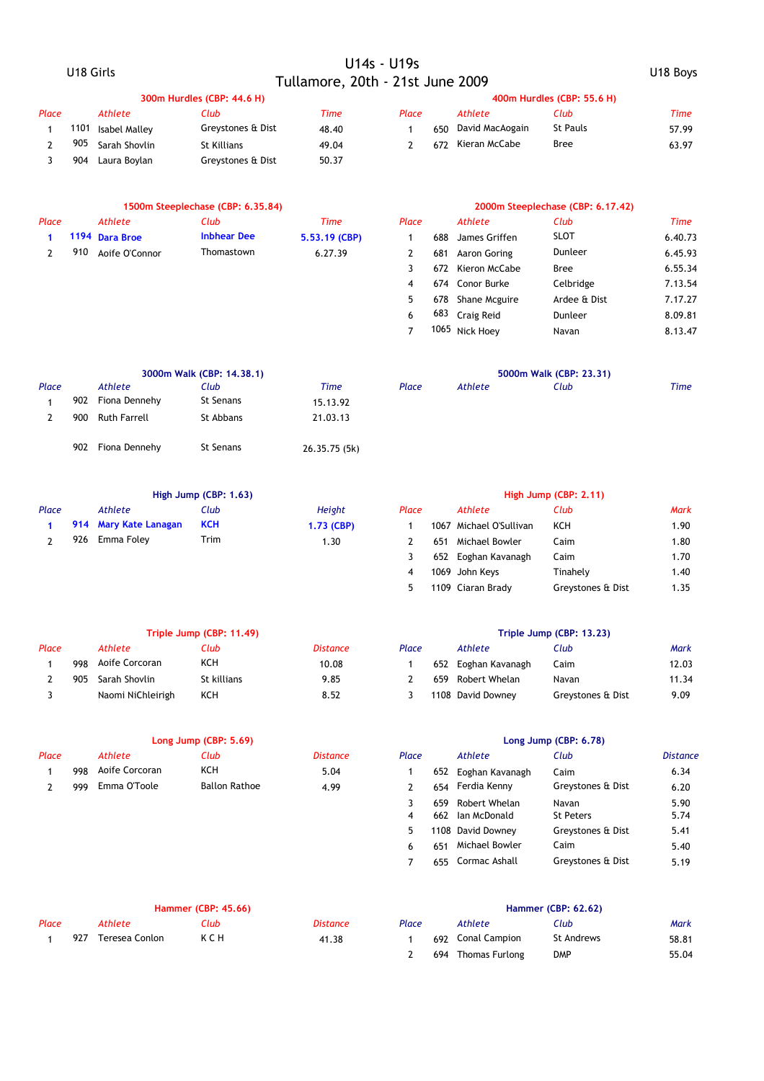|                |           |                       | U14s - U19s                       |                                  |                         |     |                         |                                   |                 |
|----------------|-----------|-----------------------|-----------------------------------|----------------------------------|-------------------------|-----|-------------------------|-----------------------------------|-----------------|
|                | U18 Girls |                       |                                   | Tullamore, 20th - 21st June 2009 |                         |     | U18 Boys                |                                   |                 |
|                |           |                       | 300m Hurdles (CBP: 44.6 H)        |                                  |                         |     |                         | 400m Hurdles (CBP: 55.6 H)        |                 |
| Place          |           | <b>Athlete</b>        | Club                              | <b>Time</b>                      | Place                   |     | <b>Athlete</b>          | Club                              | <b>Time</b>     |
| $\mathbf{1}$   | 1101      | <b>Isabel Malley</b>  | Greystones & Dist                 | 48.40                            | $\mathbf{1}$            | 650 | David MacAogain         | <b>St Pauls</b>                   | 57.99           |
| $\overline{2}$ | 905       | Sarah Shovlin         | St Killians                       | 49.04                            | $\overline{2}$          | 672 | Kieran McCabe           | <b>Bree</b>                       | 63.97           |
| 3              | 904       | Laura Boylan          | Greystones & Dist                 | 50.37                            |                         |     |                         |                                   |                 |
|                |           |                       | 1500m Steeplechase (CBP: 6.35.84) |                                  |                         |     |                         | 2000m Steeplechase (CBP: 6.17.42) |                 |
| Place          |           | <b>Athlete</b>        | Club                              | <b>Time</b>                      | Place                   |     | Athlete                 | Club                              | <b>Time</b>     |
| $\mathbf{1}$   |           | 1194 Dara Broe        | <b>Inbhear Dee</b>                | 5.53.19 (CBP)                    | $\mathbf{1}$            | 688 | James Griffen           | <b>SLOT</b>                       | 6.40.73         |
| $\overline{2}$ | 910       | Aoife O'Connor        | Thomastown                        | 6.27.39                          | $\overline{2}$          | 681 | Aaron Goring            | Dunleer                           | 6.45.93         |
|                |           |                       |                                   |                                  | 3                       | 672 | Kieron McCabe           | <b>Bree</b>                       | 6.55.34         |
|                |           |                       |                                   |                                  | 4                       |     | 674 Conor Burke         | Celbridge                         | 7.13.54         |
|                |           |                       |                                   |                                  | 5                       |     | 678 Shane Mcguire       | Ardee & Dist                      | 7.17.27         |
|                |           |                       |                                   |                                  | 6                       | 683 | Craig Reid              | Dunleer                           | 8.09.81         |
|                |           |                       |                                   |                                  | $\overline{7}$          |     | 1065 Nick Hoey          | Navan                             | 8.13.47         |
|                |           |                       |                                   |                                  |                         |     |                         |                                   |                 |
| Place          |           | <b>Athlete</b>        | 3000m Walk (CBP: 14.38.1)<br>Club | <b>Time</b>                      | Place                   |     | <b>Athlete</b>          | 5000m Walk (CBP: 23.31)<br>Club   | <b>Time</b>     |
| $\mathbf{1}$   |           | 902 Fiona Dennehy     | <b>St Senans</b>                  | 15.13.92                         |                         |     |                         |                                   |                 |
| $\overline{2}$ | 900       | <b>Ruth Farrell</b>   | St Abbans                         | 21.03.13                         |                         |     |                         |                                   |                 |
|                |           |                       |                                   |                                  |                         |     |                         |                                   |                 |
|                | 902       | Fiona Dennehy         | <b>St Senans</b>                  | 26.35.75 (5k)                    |                         |     |                         |                                   |                 |
|                |           |                       | High Jump (CBP: 1.63)             |                                  |                         |     |                         | High Jump (CBP: 2.11)             |                 |
| Place          |           | <b>Athlete</b>        | Club                              | Height                           | Place                   |     | <b>Athlete</b>          | Club                              | Mark            |
| 1              |           | 914 Mary Kate Lanagan | <b>KCH</b>                        | 1.73 (CBP)                       | $\mathbf{1}$            |     | 1067 Michael O'Sullivan | KCH                               | 1.90            |
| $\overline{2}$ | 926       | Emma Foley            | Trim                              | 1.30                             | 2                       | 651 | Michael Bowler          | Caim                              | 1.80            |
|                |           |                       |                                   |                                  | 3                       |     | 652 Eoghan Kavanagh     | Caim                              | 1.70            |
|                |           |                       |                                   |                                  | $\overline{4}$          |     | 1069 John Keys          | Tinahely                          | 1.40            |
|                |           |                       |                                   |                                  | 5                       |     | 1109 Ciaran Brady       | Greystones & Dist                 | 1.35            |
|                |           |                       | Triple Jump (CBP: 11.49)          |                                  |                         |     |                         | Triple Jump (CBP: 13.23)          |                 |
| Place          |           | Athlete               | Club                              | <b>Distance</b>                  | Place                   |     | Athlete                 | Club                              | Mark            |
| $\mathbf{1}$   | 998       | Aoife Corcoran        | KCH                               | 10.08                            | $\mathbf{1}$            |     | 652 Eoghan Kavanagh     | Caim                              | 12.03           |
| 2              | 905       | Sarah Shovlin         | St killians                       | 9.85                             | $\overline{2}$          | 659 | Robert Whelan           | Navan                             | 11.34           |
| 3              |           | Naomi NiChleirigh     | KCH                               | 8.52                             | 3                       |     | 1108 David Downey       | Greystones & Dist                 | 9.09            |
|                |           |                       | Long Jump (CBP: 5.69)             |                                  |                         |     |                         | Long Jump (CBP: 6.78)             |                 |
| Place          |           | <b>Athlete</b>        | Club                              | <b>Distance</b>                  | Place                   |     | Athlete                 | Club                              | <b>Distance</b> |
| $\mathbf{1}$   | 998       | Aoife Corcoran        | KCH                               | 5.04                             | $\mathbf{1}$            | 652 | Eoghan Kavanagh         | Caim                              | 6.34            |
| $\mathbf{2}$   | 999       | Emma O'Toole          | <b>Ballon Rathoe</b>              | 4.99                             | $\overline{2}$          | 654 | Ferdia Kenny            | Greystones & Dist                 | 6.20            |
|                |           |                       |                                   |                                  | 3                       | 659 | Robert Whelan           | Navan                             | 5.90            |
|                |           |                       |                                   |                                  | $\overline{\mathbf{4}}$ | 662 | Ian McDonald            | <b>St Peters</b>                  | 5.74            |
|                |           |                       |                                   |                                  | 5                       |     | 1108 David Downey       | Greystones & Dist                 | 5.41            |
|                |           |                       |                                   |                                  | 6                       | 651 | Michael Bowler          | Caim                              | 5.40            |

|       | <b>Hammer (CBP: 45.66)</b> |                |      |          | <b>Hammer (CBP: 62.62)</b> |  |                    |            |       |  |
|-------|----------------------------|----------------|------|----------|----------------------------|--|--------------------|------------|-------|--|
| Place |                            | Athlete        | Club | Distance | Place                      |  | Athlete            | Club       | Mark  |  |
|       | 927                        | Teresea Conlon | ксн  | 41.38    |                            |  | 692 Conal Campion  | St Andrews | 58.81 |  |
|       |                            |                |      |          |                            |  | 694 Thomas Furlong | <b>DMP</b> | 55.04 |  |

7 655 Cormac Ashall Greystones & Dist 5.19

Greystones & Dist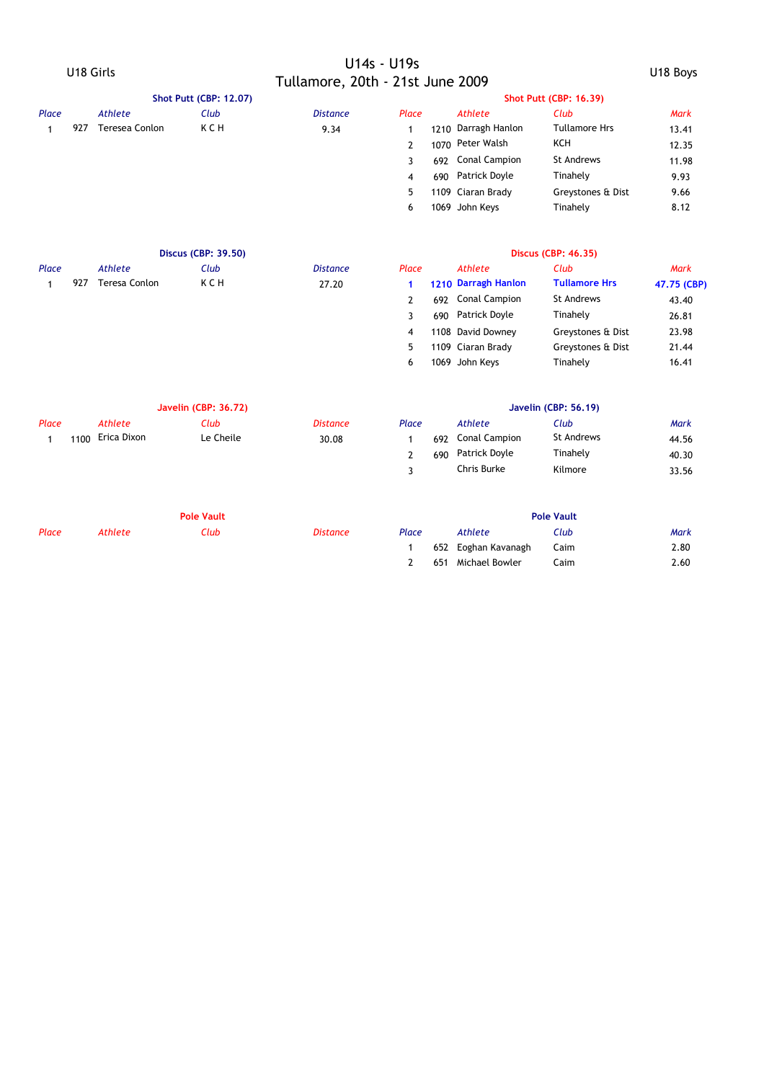|       |           |                      |                               |                                  | U14s - U19s    |          |                      |                               |             |
|-------|-----------|----------------------|-------------------------------|----------------------------------|----------------|----------|----------------------|-------------------------------|-------------|
|       | U18 Girls |                      |                               | Tullamore, 20th - 21st June 2009 |                | U18 Boys |                      |                               |             |
|       |           |                      | <b>Shot Putt (CBP: 12.07)</b> |                                  |                |          |                      | <b>Shot Putt (CBP: 16.39)</b> |             |
| Place |           | <b>Athlete</b>       | Club                          | <b>Distance</b>                  | Place          |          | <b>Athlete</b>       | Club                          | <b>Mark</b> |
| 1     | 927       | Teresea Conlon       | K C H                         | 9.34                             | $\mathbf{1}$   | 1210     | Darragh Hanlon       | <b>Tullamore Hrs</b>          | 13.41       |
|       |           |                      |                               |                                  | $\overline{2}$ |          | 1070 Peter Walsh     | KCH                           | 12.35       |
|       |           |                      |                               |                                  | 3              | 692      | Conal Campion        | St Andrews                    | 11.98       |
|       |           |                      |                               |                                  | $\overline{4}$ | 690      | Patrick Doyle        | Tinahely                      | 9.93        |
|       |           |                      |                               |                                  | 5              |          | 1109 Ciaran Brady    | Greystones & Dist             | 9.66        |
|       |           |                      |                               |                                  | 6              |          | 1069 John Keys       | Tinahely                      | 8.12        |
|       |           |                      | <b>Discus (CBP: 39.50)</b>    |                                  |                |          |                      | <b>Discus (CBP: 46.35)</b>    |             |
| Place |           | <b>Athlete</b>       | Club                          | <b>Distance</b>                  | Place          |          | <b>Athlete</b>       | Club                          | <b>Mark</b> |
| 1     | 927       | <b>Teresa Conlon</b> | <b>KCH</b>                    | 27.20                            | 1              |          | 1210 Darragh Hanlon  | <b>Tullamore Hrs</b>          | 47.75 (CBP) |
|       |           |                      |                               |                                  | $\overline{2}$ | 692      | Conal Campion        | <b>St Andrews</b>             | 43.40       |
|       |           |                      |                               |                                  | 3              | 690      | Patrick Doyle        | Tinahely                      | 26.81       |
|       |           |                      |                               |                                  | $\overline{4}$ |          | 1108 David Downey    | Greystones & Dist             | 23.98       |
|       |           |                      |                               |                                  | 5              |          | 1109 Ciaran Brady    | Greystones & Dist             | 21.44       |
|       |           |                      |                               |                                  | 6              |          | 1069 John Keys       | Tinahely                      | 16.41       |
|       |           |                      | <b>Javelin (CBP: 36.72)</b>   |                                  |                |          |                      | <b>Javelin (CBP: 56.19)</b>   |             |
| Place |           | <b>Athlete</b>       | Club                          | <b>Distance</b>                  | Place          |          | <b>Athlete</b>       | Club                          | <b>Mark</b> |
| 1     | 1100      | Erica Dixon          | Le Cheile                     | 30.08                            | $\mathbf{1}$   | 692      | <b>Conal Campion</b> | St Andrews                    | 44.56       |
|       |           |                      |                               |                                  | $\overline{2}$ | 690      | Patrick Doyle        | Tinahely                      | 40.30       |
|       |           |                      |                               |                                  | 3              |          | Chris Burke          | Kilmore                       | 33.56       |
|       |           |                      | <b>Pole Vault</b>             |                                  |                |          |                      | <b>Pole Vault</b>             |             |
| Place |           | <b>Athlete</b>       | Club                          | <b>Distance</b>                  | Place          |          | Athlete              | Club                          | Mark        |
|       |           |                      |                               |                                  | $\mathbf{1}$   | 652      | Eoghan Kavanagh      | Caim                          | 2.80        |
|       |           |                      |                               |                                  | 2              | 651      | Michael Bowler       | Caim                          | 2.60        |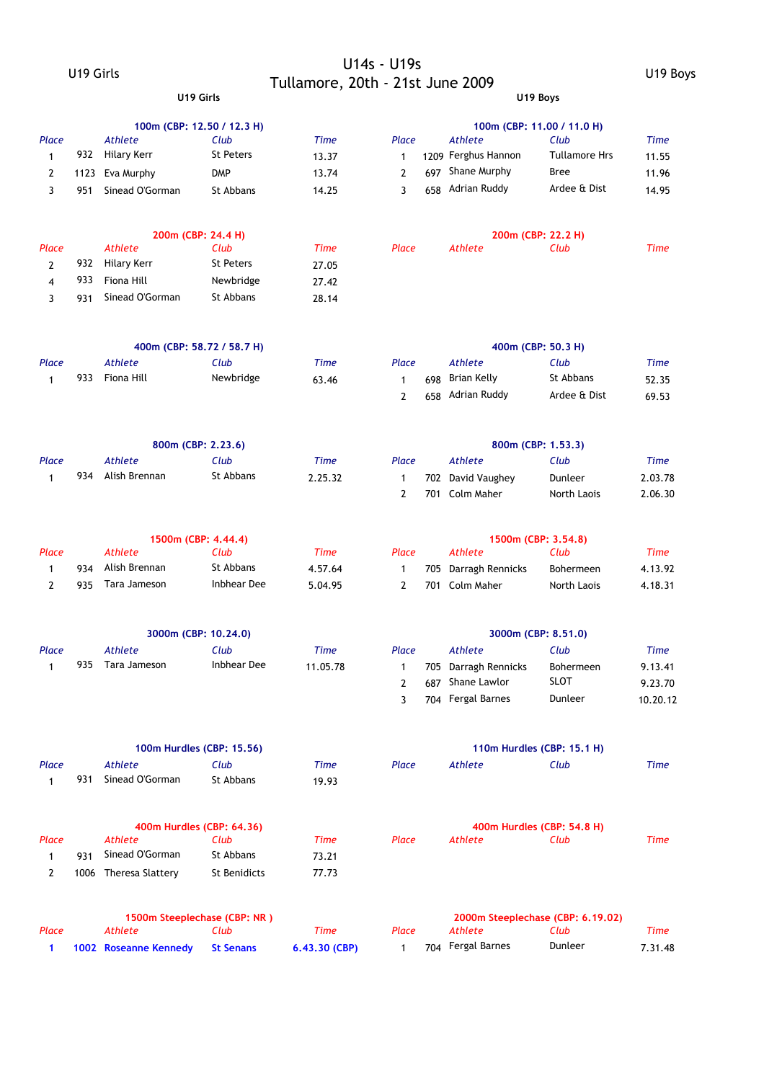### U19 Girls U14s - U19s Tullamore, 20th - 21st June 2009 U19 Boys **U19 Girls U19 Boys**

|                     |            |                                 | 100m (CBP: 12.50 / 12.3 H)         |               |                     |     |                                    | 100m (CBP: 11.00 / 11.0 H)        |                    |
|---------------------|------------|---------------------------------|------------------------------------|---------------|---------------------|-----|------------------------------------|-----------------------------------|--------------------|
| Place               |            | Athlete                         | Club                               | <b>Time</b>   | Place               |     | Athlete                            | Club                              | <b>Time</b>        |
| $\mathbf{1}$        | 932        | <b>Hilary Kerr</b>              | <b>St Peters</b>                   | 13.37         | $\mathbf{1}$        |     | 1209 Ferghus Hannon                | <b>Tullamore Hrs</b>              | 11.55              |
| 2                   | 1123       | Eva Murphy                      | <b>DMP</b>                         | 13.74         | 2                   | 697 | Shane Murphy                       | Bree                              | 11.96              |
| 3                   | 951        | Sinead O'Gorman                 | St Abbans                          | 14.25         | 3                   | 658 | Adrian Ruddy                       | Ardee & Dist                      | 14.95              |
|                     |            |                                 | 200m (CBP: 24.4 H)                 |               |                     |     |                                    | 200m (CBP: 22.2 H)                |                    |
| Place               |            | <b>Athlete</b>                  | Club                               | <b>Time</b>   | Place               |     | <b>Athlete</b>                     | Club                              | Time               |
| $\overline{2}$      | 932        | <b>Hilary Kerr</b>              | <b>St Peters</b>                   | 27.05         |                     |     |                                    |                                   |                    |
| 4                   | 933        | Fiona Hill                      | Newbridge                          | 27.42         |                     |     |                                    |                                   |                    |
| 3                   | 931        | Sinead O'Gorman                 | St Abbans                          | 28.14         |                     |     |                                    |                                   |                    |
|                     |            |                                 |                                    |               |                     |     |                                    |                                   |                    |
| Place               |            | Athlete                         | 400m (CBP: 58.72 / 58.7 H)<br>Club | <b>Time</b>   | Place               |     | Athlete                            | 400m (CBP: 50.3 H)<br>Club        | <b>Time</b>        |
| $\mathbf{1}$        | 933        | Fiona Hill                      | Newbridge                          | 63.46         | $\mathbf{1}$        | 698 | Brian Kelly                        | St Abbans                         |                    |
|                     |            |                                 |                                    |               | $\overline{2}$      | 658 | Adrian Ruddy                       | Ardee & Dist                      | 52.35<br>69.53     |
|                     |            |                                 |                                    |               |                     |     |                                    |                                   |                    |
|                     |            |                                 | 800m (CBP: 2.23.6)                 |               |                     |     |                                    | 800m (CBP: 1.53.3)                |                    |
| Place               |            | Athlete                         | Club                               | <b>Time</b>   | Place               |     | Athlete                            | Club                              | <b>Time</b>        |
| 1                   | 934        | Alish Brennan                   | St Abbans                          | 2.25.32       | 1                   |     | 702 David Vaughey                  | Dunleer                           | 2.03.78            |
|                     |            |                                 |                                    |               | $\overline{2}$      |     | 701 Colm Maher                     | North Laois                       | 2.06.30            |
|                     |            |                                 | 1500m (CBP: 4.44.4)                |               |                     |     |                                    | 1500m (CBP: 3.54.8)               |                    |
| Place               |            | <b>Athlete</b><br>Alish Brennan | Club<br>St Abbans                  | <b>Time</b>   | Place               |     | <b>Athlete</b>                     | Club                              | <b>Time</b>        |
| 1<br>$\overline{2}$ | 934<br>935 | Tara Jameson                    | Inbhear Dee                        | 4.57.64       | 1<br>$\overline{2}$ | 705 | Darragh Rennicks<br>701 Colm Maher | Bohermeen                         | 4.13.92<br>4.18.31 |
|                     |            |                                 |                                    | 5.04.95       |                     |     |                                    | North Laois                       |                    |
|                     |            |                                 | 3000m (CBP: 10.24.0)               |               |                     |     |                                    | 3000m (CBP: 8.51.0)               |                    |
| Place               |            | <b>Athlete</b>                  | Club                               | <b>Time</b>   | Place               |     | Athlete                            | Club                              | <b>Time</b>        |
| 1                   | 935        | <b>Tara Jameson</b>             | <b>Inbhear Dee</b>                 | 11.05.78      | 1                   |     | 705 Darragh Rennicks               | Bohermeen                         | 9.13.41            |
|                     |            |                                 |                                    |               | 2                   |     | 687 Shane Lawlor                   | <b>SLOT</b>                       | 9.23.70            |
|                     |            |                                 |                                    |               | 3                   |     | 704 Fergal Barnes                  | Dunleer                           | 10.20.12           |
|                     |            |                                 | 100m Hurdles (CBP: 15.56)          |               |                     |     |                                    | 110m Hurdles (CBP: 15.1 H)        |                    |
| Place               |            | Athlete                         | Club                               | <b>Time</b>   | Place               |     | Athlete                            | Club                              | Time               |
| 1                   | 931        | Sinead O'Gorman                 | St Abbans                          | 19.93         |                     |     |                                    |                                   |                    |
|                     |            |                                 | 400m Hurdles (CBP: 64.36)          |               |                     |     |                                    | 400m Hurdles (CBP: 54.8 H)        |                    |
| Place               |            | <b>Athlete</b>                  | Club                               | <b>Time</b>   | Place               |     | <b>Athlete</b>                     | Club                              | Time               |
| $\mathbf{1}$        | 931        | Sinead O'Gorman                 | St Abbans                          | 73.21         |                     |     |                                    |                                   |                    |
| 2                   |            | 1006 Theresa Slattery           | St Benidicts                       | 77.73         |                     |     |                                    |                                   |                    |
|                     |            |                                 | 1500m Steeplechase (CBP: NR)       |               |                     |     |                                    | 2000m Steeplechase (CBP: 6.19.02) |                    |
| Place               |            | <b>Athlete</b>                  | Club                               | <b>Time</b>   | Place               |     | <b>Athlete</b>                     | Club                              | Time               |
| 1                   |            | 1002 Roseanne Kennedy           | <b>St Senans</b>                   | 6.43.30 (CBP) | $\mathbf{1}$        |     | 704 Fergal Barnes                  | Dunleer                           | 7.31.48            |